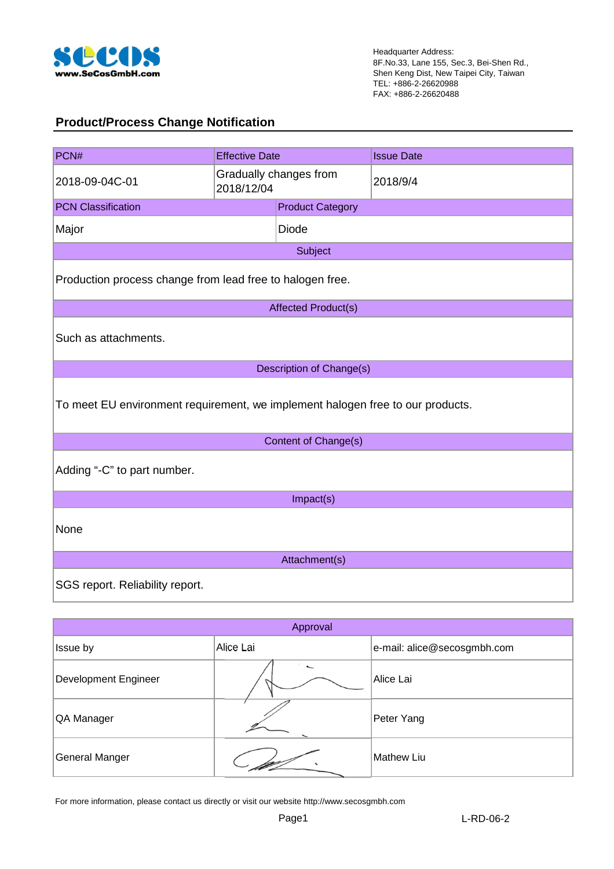

#### **Product/Process Change Notification**

| PCN#                                                                           | <b>Effective Date</b> |                            | <b>Issue Date</b> |  |  |  |  |
|--------------------------------------------------------------------------------|-----------------------|----------------------------|-------------------|--|--|--|--|
| 2018-09-04C-01                                                                 | 2018/12/04            | Gradually changes from     | 2018/9/4          |  |  |  |  |
| <b>PCN Classification</b>                                                      |                       | <b>Product Category</b>    |                   |  |  |  |  |
| Major                                                                          |                       | <b>Diode</b>               |                   |  |  |  |  |
|                                                                                |                       | Subject                    |                   |  |  |  |  |
| Production process change from lead free to halogen free.                      |                       |                            |                   |  |  |  |  |
|                                                                                |                       | <b>Affected Product(s)</b> |                   |  |  |  |  |
| Such as attachments.                                                           |                       |                            |                   |  |  |  |  |
|                                                                                |                       | Description of Change(s)   |                   |  |  |  |  |
| To meet EU environment requirement, we implement halogen free to our products. |                       |                            |                   |  |  |  |  |
|                                                                                |                       | Content of Change(s)       |                   |  |  |  |  |
| Adding "-C" to part number.                                                    |                       |                            |                   |  |  |  |  |
|                                                                                | Impact(s)             |                            |                   |  |  |  |  |
| None                                                                           |                       |                            |                   |  |  |  |  |
|                                                                                |                       | Attachment(s)              |                   |  |  |  |  |
| SGS report. Reliability report.                                                |                       |                            |                   |  |  |  |  |

| Approval             |           |                             |  |  |  |  |  |  |
|----------------------|-----------|-----------------------------|--|--|--|--|--|--|
| Issue by             | Alice Lai | e-mail: alice@secosgmbh.com |  |  |  |  |  |  |
| Development Engineer | ↽         | Alice Lai                   |  |  |  |  |  |  |
| QA Manager           | ∼         | Peter Yang                  |  |  |  |  |  |  |
| General Manger       |           | <b>Mathew Liu</b>           |  |  |  |  |  |  |

For more information, please contact us directly or visit our website http://www.secosgmbh.com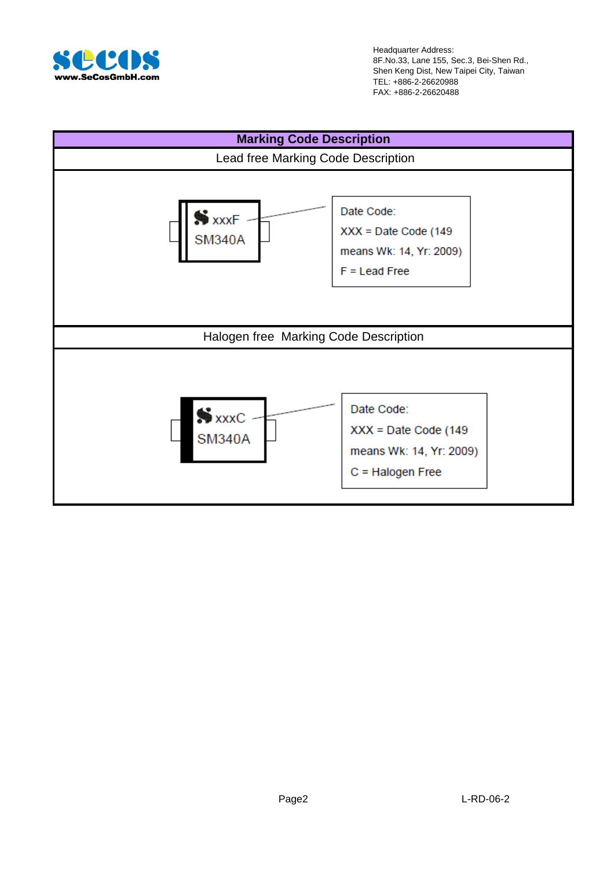

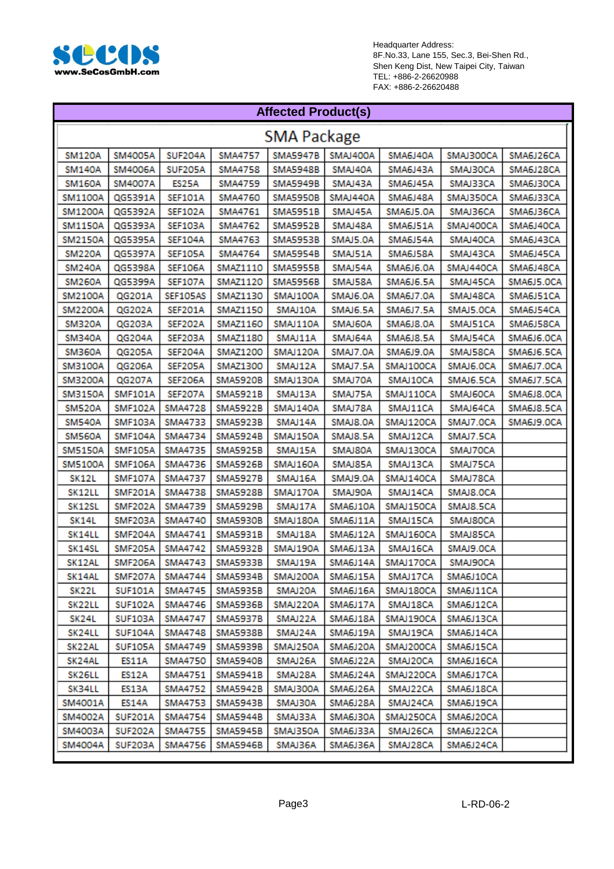

| <b>Affected Product(s)</b> |                    |                   |                 |                 |          |                  |           |            |  |  |  |
|----------------------------|--------------------|-------------------|-----------------|-----------------|----------|------------------|-----------|------------|--|--|--|
|                            | <b>SMA Package</b> |                   |                 |                 |          |                  |           |            |  |  |  |
| <b>SM120A</b>              | SM4005A            | SUF204A           | <b>SMA4757</b>  | <b>SMA5947B</b> | SMAJ400A | SMA6J40A         | SMAJ300CA | SMA6J26CA  |  |  |  |
| <b>SM140A</b>              | SM4006A            | <b>SUF205A</b>    | SMA4758         | <b>SMA5948B</b> | SMAJ40A  | SMA6J43A         | SMAJ30CA  | SMA6J28CA  |  |  |  |
| <b>SM160A</b>              | SM4007A            | ES25A             | SMA4759         | <b>SMA5949B</b> | SMAJ43A  | SMA6J45A         | SMAJ33CA  | SMA6J30CA  |  |  |  |
| SM1100A                    | QG5391A            | SEF101A           | SMA4760         | SMA5950B        | SMAJ440A | SMA6J48A         | SMAJ350CA | SMA6J33CA  |  |  |  |
| SM1200A                    | QG5392A            | SEF102A           | SMA4761         | SMA5951B        | SMAJ45A  | SMA6J5.0A        | SMAJ36CA  | SMA6J36CA  |  |  |  |
| <b>SM1150A</b>             | QG5393A            | <b>SEF103A</b>    | SMA4762         | <b>SMA5952B</b> | SMAJ48A  | SMA6J51A         | SMAJ400CA | SMA6J40CA  |  |  |  |
| SM2150A                    | QG5395A            | SEF104A           | SMA4763         | <b>SMA5953B</b> | SMAJ5.0A | SMA6J54A         | SMAJ40CA  | SMA6J43CA  |  |  |  |
| <b>SM220A</b>              | QG5397A            | SEF105A           | SMA4764         | <b>SMA5954B</b> | SMAJ51A  | SMA6J58A         | SMAJ43CA  | SMA6J45CA  |  |  |  |
| <b>SM240A</b>              | QG5398A            | SEF106A           | SMAZ1110        | <b>SMA5955B</b> | SMAJ54A  | SMA6J6.0A        | SMAJ440CA | SMA6J48CA  |  |  |  |
| <b>SM260A</b>              | QG5399A            | <b>SEF107A</b>    | SMAZ1120        | <b>SMA5956B</b> | SMAJ58A  | SMA6J6.5A        | SMAJ45CA  | SMA6J5.OCA |  |  |  |
| SM2100A                    | QG201A             | SEF105AS          | SMAZ1130        | SMAJ100A        | SMAJ6.0A | SMA6J7.0A        | SMAJ48CA  | SMA6J51CA  |  |  |  |
| SM2200A                    | QG202A             | SEF201A           | SMAZ1150        | SMAJ10A         | SMAJ6.5A | <b>SMA6J7.5A</b> | SMAJ5.OCA | SMA6J54CA  |  |  |  |
| <b>SM320A</b>              | QG203A             | SEF202A           | SMAZ1160        | SMAJ110A        | SMAJ60A  | SMA6J8.0A        | SMAJ51CA  | SMA6J58CA  |  |  |  |
| SM340A                     | QG204A             | SEF203A           | SMAZ1180        | SMAJ11A         | SMAJ64A  | <b>SMA6J8.5A</b> | SMAJ54CA  | SMA6J6.OCA |  |  |  |
| SM360A                     | QG205A             | SEF204A           | SMAZ1200        | SMAJ120A        | SMAJ7.0A | SMA6J9.0A        | SMAJ58CA  | SMA6J6.5CA |  |  |  |
| SM3100A                    | QG206A             | SEF205A           | SMAZ1300        | SMAJ12A         | SMAJ7.5A | SMAJ100CA        | SMAJ6.OCA | SMA6J7.OCA |  |  |  |
| SM3200A                    | QG207A             | SEF206A           | <b>SMA5920B</b> | SMAJ130A        | SMAJ70A  | SMAJ10CA         | SMAJ6.5CA | SMA6J7.5CA |  |  |  |
| SM3150A                    | <b>SMF101A</b>     | SEF207A           | SMA5921B        | SMAJ13A         | SMAJ75A  | SMAJ110CA        | SMAJ60CA  | SMA6J8.OCA |  |  |  |
| <b>SM520A</b>              | <b>SMF102A</b>     | SMA4728           | <b>SMA5922B</b> | SMAJ140A        | SMAJ78A  | SMAJ11CA         | SMAJ64CA  | SMA6J8.5CA |  |  |  |
| <b>SM540A</b>              | SMF103A            | SMA4733           | <b>SMA5923B</b> | SMAJ14A         | SMAJ8.0A | SMAJ120CA        | SMAJ7.OCA | SMA6J9.OCA |  |  |  |
| <b>SM560A</b>              | <b>SMF104A</b>     | SMA4734           | SMA5924B        | SMAJ150A        | SMAJ8.5A | SMAJ12CA         | SMAJ7.5CA |            |  |  |  |
| SM5150A                    | SMF105A            | SMA4735           | <b>SMA5925B</b> | SMAJ15A         | SMAJ80A  | SMAJ130CA        | SMAJ70CA  |            |  |  |  |
| SM5100A                    | <b>SMF106A</b>     | SMA4736           | SMA5926B        | SMAJ160A        | SMAJ85A  | SMAJ13CA         | SMAJ75CA  |            |  |  |  |
| SK12L                      | <b>SMF107A</b>     | <b>SMA4737</b>    | <b>SMA5927B</b> | SMAJ16A         | SMAJ9.0A | SMAJ140CA        | SMAJ78CA  |            |  |  |  |
| SK12LL                     | SMF201A            | <b>SMA4738</b>    | <b>SMA5928B</b> | SMAJ170A        | SMAJ90A  | SMAJ14CA         | SMAJ8.OCA |            |  |  |  |
| SK12SL                     | SMF202A            | SMA4739           | <b>SMA5929B</b> | SMAJ17A         | SMA6J10A | SMAJ150CA        | SMAJ8.5CA |            |  |  |  |
| SK14L                      | SMF203A            | <b>SMA4740</b>    | <b>SMA5930B</b> | SMAJ180A        | SMA6J11A | SMAJ15CA         | SMAJ80CA  |            |  |  |  |
| SK14LL                     | SMF204A            | SMA4741           | SMA5931B        | SMAJ18A         | SMA6J12A | SMAJ160CA        | SMAJ85CA  |            |  |  |  |
| SK14SL                     | SMF205A            | SMA4742           | <b>SMA5932B</b> | SMAJ190A        | SMA6J13A | SMAJ16CA         | SMAJ9.0CA |            |  |  |  |
| SK12AL                     |                    | SMF206A   SMA4743 | SMA5933B        | SMAJ19A         | SMA6J14A | SMAJ170CA        | SMAJ90CA  |            |  |  |  |
| SK14AL                     | SMF207A            | SMA4744           | SMA5934B        | SMAJ200A        | SMA6J15A | SMAJ17CA         | SMA6J10CA |            |  |  |  |
| SK22L                      | SUF101A            | SMA4745           | SMA5935B        | SMAJ20A         | SMA6J16A | SMAJ180CA        | SMA6J11CA |            |  |  |  |
| SK22LL                     | <b>SUF102A</b>     | SMA4746           | SMA5936B        | SMAJ220A        | SMA6J17A | SMAJ18CA         | SMA6J12CA |            |  |  |  |
| SK24L                      | SUF103A            | SMA4747           | SMA5937B        | SMAJ22A         | SMA6J18A | SMAJ190CA        | SMA6J13CA |            |  |  |  |
| SK24LL                     | SUF104A            | SMA4748           | SMA5938B        | SMAJ24A         | SMA6J19A | SMAJ19CA         | SMA6J14CA |            |  |  |  |
| SK22AL                     | <b>SUF105A</b>     | SMA4749           | SMA5939B        | SMAJ250A        | SMA6J20A | SMAJ200CA        | SMA6J15CA |            |  |  |  |
| SK24AL                     | ES11A              | SMA4750           | SMA5940B        | SMAJ26A         | SMA6J22A | SMAJ20CA         | SMA6J16CA |            |  |  |  |
| SK26LL                     | ES12A              | SMA4751           | SMA5941B        | SMAJ28A         | SMA6J24A | SMAJ220CA        | SMA6J17CA |            |  |  |  |
| SK34LL                     | ES13A              | SMA4752           | SMA5942B        | SMAJ300A        | SMA6J26A | SMAJ22CA         | SMA6J18CA |            |  |  |  |
| SM4001A                    | ES14A              | SMA4753           | SMA5943B        | SMAJ30A         | SMA6J28A | SMAJ24CA         | SMA6J19CA |            |  |  |  |
| SM4002A                    | SUF201A            | SMA4754           | SMA5944B        | SMAJ33A         | SMA6J30A | SMAJ250CA        | SMA6J20CA |            |  |  |  |
| SM4003A                    | SUF202A            | SMA4755           | SMA5945B        | SMAJ350A        | SMA6J33A | SMAJ26CA         | SMA6J22CA |            |  |  |  |
| SM4004A                    | SUF203A            | SMA4756           | SMA5946B        | SMAJ36A         | SMA6J36A | SMAJ28CA         | SMA6J24CA |            |  |  |  |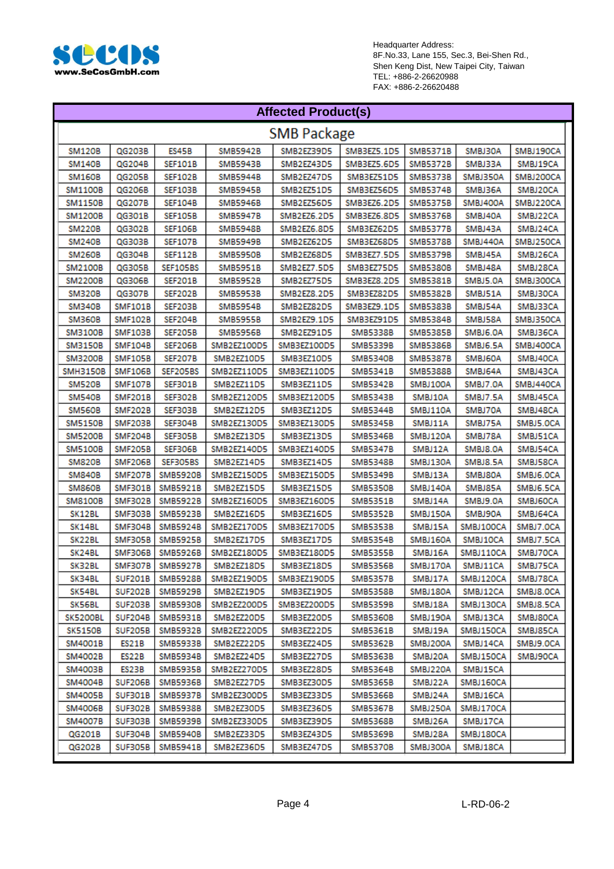

| <b>Affected Product(s)</b> |                |                    |                 |             |                 |                 |           |           |  |
|----------------------------|----------------|--------------------|-----------------|-------------|-----------------|-----------------|-----------|-----------|--|
| <b>SMB Package</b>         |                |                    |                 |             |                 |                 |           |           |  |
| <b>SM120B</b>              | QG203B         | ES45B              | <b>SMB5942B</b> | SMB2EZ39D5  | SMB3EZ5.1D5     | SMB5371B        | SMBJ30A   | SMBJ190CA |  |
| <b>SM140B</b>              | QG204B         | <b>SEF101B</b>     | SMB5943B        | SMB2EZ43D5  | SMB3EZ5.6D5     | <b>SMB5372B</b> | SMBJ33A   | SMBJ19CA  |  |
| <b>SM160B</b>              | QG205B         | SEF102B            | <b>SMB5944B</b> | SMB2EZ47D5  | SMB3EZ51D5      | SMB5373B        | SMBJ350A  | SMBJ200CA |  |
| <b>SM1100B</b>             | QG206B         | SEF103B            | <b>SMB5945B</b> | SMB2EZ51D5  | SMB3EZ56D5      | SMB5374B        | SMBJ36A   | SMBJ20CA  |  |
| <b>SM1150B</b>             | QG207B         | <b>SEF104B</b>     | <b>SMB5946B</b> | SMB2EZ56D5  | SMB3EZ6.2D5     | <b>SMB5375B</b> | SMBJ400A  | SMBJ220CA |  |
| <b>SM1200B</b>             | QG301B         | <b>SEF105B</b>     | <b>SMB5947B</b> | SMB2EZ6.2D5 | SMB3EZ6.8D5     | <b>SMB5376B</b> | SMBJ40A   | SMBJ22CA  |  |
| <b>SM220B</b>              | QG302B         | <b>SEF106B</b>     | SMB5948B        | SMB2EZ6.8D5 | SMB3EZ62D5      | <b>SMB5377B</b> | SMBJ43A   | SMBJ24CA  |  |
| <b>SM240B</b>              | QG303B         | <b>SEF107B</b>     | <b>SMB5949B</b> | SMB2EZ62D5  | SMB3EZ68D5      | <b>SMB5378B</b> | SMBJ440A  | SMBJ250CA |  |
| <b>SM260B</b>              | QG304B         | SEF112B            | <b>SMB5950B</b> | SMB2EZ68D5  | SMB3EZ7.5D5     | SMB5379B        | SMBJ45A   | SMBJ26CA  |  |
| SM2100B                    | QG305B         | SEF105BS           | SMB5951B        | SMB2EZ7.5D5 | SMB3EZ75D5      | <b>SMB5380B</b> | SMBJ48A   | SMBJ28CA  |  |
| <b>SM2200B</b>             | QG306B         | SEF201B            | SMB5952B        | SMB2EZ75D5  | SMB3EZ8.2D5     | SMB5381B        | SMBJ5.0A  | SMBJ300CA |  |
| SM320B                     | QG307B         | SEF202B            | SMB5953B        | SMB2EZ8.2D5 | SMB3EZ82D5      | SMB5382B        | SMBJ51A   | SMBJ30CA  |  |
| SM340B                     | SMF101B        | SEF203B            | SMB5954B        | SMB2EZ82D5  | SMB3EZ9.1D5     | SMB5383B        | SMBJ54A   | SMBJ33CA  |  |
| SM360B                     | <b>SMF102B</b> | SEF204B            | SMB5955B        | SMB2EZ9.1D5 | SMB3EZ91D5      | SMB5384B        | SMBJ58A   | SMBJ350CA |  |
| <b>SM3100B</b>             | <b>SMF103B</b> | SEF205B            | <b>SMB5956B</b> | SMB2EZ91D5  | SMB5338B        | SMB5385B        | SMBJ6.0A  | SMBJ36CA  |  |
| <b>SM3150B</b>             | <b>SMF104B</b> | <b>SEF206B</b>     | SMB2EZ100D5     | SMB3EZ100D5 | <b>SMB5339B</b> | <b>SMB5386B</b> | SMBJ6.5A  | SMBJ400CA |  |
| <b>SM3200B</b>             | <b>SMF105B</b> | SEF207B            | SMB2EZ10D5      | SMB3EZ10D5  | <b>SMB5340B</b> | <b>SMB5387B</b> | SMBJ60A   | SMBJ40CA  |  |
| <b>SMH3150B</b>            | <b>SMF106B</b> | SEF205BS           | SMB2EZ110D5     | SMB3EZ110D5 | <b>SMB5341B</b> | SMB5388B        | SMBJ64A   | SMBJ43CA  |  |
| <b>SM520B</b>              | <b>SMF107B</b> | SEF301B            | SMB2EZ11D5      | SMB3EZ11D5  | SMB5342B        | SMBJ100A        | SMBJ7.0A  | SMBJ440CA |  |
| SM540B                     | SMF201B        | SEF302B            | SMB2EZ120D5     | SMB3EZ120D5 | SMB5343B        | SMBJ10A         | SMBJ7.5A  | SMBJ45CA  |  |
| SM560B                     | SMF202B        | SEF303B            | SMB2EZ12D5      | SMB3EZ12D5  | SMB5344B        | SMBJ110A        | SMBJ70A   | SMBJ48CA  |  |
| SM5150B                    | SMF203B        | SEF304B            | SMB2EZ130D5     | SMB3EZ130D5 | SMB5345B        | SMBJ11A         | SMBJ75A   | SMBJ5.OCA |  |
| <b>SM5200B</b>             | SMF204B        | SEF305B            | SMB2EZ13D5      | SMB3EZ13D5  | SMB5346B        | SMBJ120A        | SMBJ78A   | SMBJ51CA  |  |
| SM5100B                    | SMF205B        | SEF306B            | SMB2EZ140D5     | SMB3EZ140D5 | SMB5347B        | SMBJ12A         | SMBJ8.0A  | SMBJ54CA  |  |
| <b>SM820B</b>              | SMF206B        | SEF305BS           | SMB2EZ14D5      | SMB3EZ14D5  | SMB5348B        | SMBJ130A        | SMBJ8.5A  | SMBJ58CA  |  |
| <b>SM840B</b>              | SMF207B        | <b>SMB5920B</b>    | SMB2EZ150D5     | SMB3EZ150D5 | SMB5349B        | SMBJ13A         | SMBJ80A   | SMBJ6.OCA |  |
| <b>SM860B</b>              | SMF301B        | SMB5921B           | SMB2EZ15D5      | SMB3EZ15D5  | <b>SMB5350B</b> | SMBJ140A        | SMBJ85A   | SMBJ6.5CA |  |
| <b>SM8100B</b>             | <b>SMF302B</b> | SMB5922B           | SMB2EZ160D5     | SMB3EZ160D5 | <b>SMB5351B</b> | SMBJ14A         | SMBJ9.0A  | SMBJ60CA  |  |
| SK12BL                     | SMF303B        | <b>SMB5923B</b>    | SMB2EZ16D5      | SMB3EZ16D5  | SMB5352B        | SMBJ150A        | SMBJ90A   | SMBJ64CA  |  |
| SK14BL                     | SMF304B        | SMB5924B           | SMB2EZ170D5     | SMB3EZ170D5 | SMB5353B        | SMBJ15A         | SMBJ100CA | SMBJ7.OCA |  |
| SK22BL                     | SMF305B        | <b>SMB5925B</b>    | SMB2EZ17D5      | SMB3EZ17D5  | SMB5354B        | SMBJ160A        | SMBJ10CA  | SMBJ7.5CA |  |
| SK24BL                     | SMF306B        | <b>SMB5926B</b>    | SMB2EZ180D5     | SMB3EZ180D5 | SMB5355B        | SMBJ16A         | SMBJ110CA | SMBJ70CA  |  |
| SK32BL                     |                | SMF307B SMB5927B   | SMB2EZ18D5      | SMB3EZ18D5  | SMB5356B        | SMBJ170A        | SMBJ11CA  | SMBJ75CA  |  |
| SK34BL                     | <b>SUF201B</b> | SMB5928B           | SMB2EZ190D5     | SMB3EZ190D5 | SMB5357B        | SMBJ17A         | SMBJ120CA | SMBJ78CA  |  |
| SK54BL                     |                | SUF202B   SMB5929B | SMB2EZ19D5      | SMB3EZ19D5  | SMB5358B        | SMBJ180A        | SMBJ12CA  | SMBJ8.OCA |  |
| SK56BL                     |                | SUF203B   SMB5930B | SMB2EZ200D5     | SMB3EZ200D5 | SMB5359B        | SMBJ18A         | SMBJ130CA | SMBJ8.5CA |  |
| SK5200BL                   | <b>SUF204B</b> | SMB5931B           | SMB2EZ20D5      | SMB3EZ20D5  | SMB5360B        | SMBJ190A        | SMBJ13CA  | SMBJ80CA  |  |
| <b>SK5150B</b>             | SUF205B        | SMB5932B           | SMB2EZ220D5     | SMB3EZ22D5  | SMB5361B        | SMBJ19A         | SMBJ150CA | SMBJ85CA  |  |
| SM4001B                    | ES21B          | SMB5933B           | SMB2EZ22D5      | SMB3EZ24D5  | SMB5362B        | SMBJ200A        | SMBJ14CA  | SMBJ9.OCA |  |
| SM4002B                    | ES22B          | SMB5934B           | SMB2EZ24D5      | SMB3EZ27D5  | SMB5363B        | SMBJ20A         | SMBJ150CA | SMBJ90CA  |  |
| SM4003B                    | ES23B          | SMB5935B           | SMB2EZ270D5     | SMB3EZ28D5  | SMB5364B        | SMBJ220A        | SMBJ15CA  |           |  |
| SM4004B                    | <b>SUF206B</b> | SMB5936B           | SMB2EZ27D5      | SMB3EZ30D5  | SMB5365B        | SMBJ22A         | SMBJ160CA |           |  |
| SM4005B                    | SUF301B        | SMB5937B           | SMB2EZ300D5     | SMB3EZ33D5  | SMB5366B        | SMBJ24A         | SMBJ16CA  |           |  |
| SM4006B                    | SUF302B        | SMB5938B           | SMB2EZ30D5      | SMB3EZ36D5  | SMB5367B        | SMBJ250A        | SMBJ170CA |           |  |
| SM4007B                    | SUF303B        | SMB5939B           | SMB2EZ330D5     | SMB3EZ39D5  | SMB5368B        | SMBJ26A         | SMBJ17CA  |           |  |
| QG201B                     |                | SUF304B   SMB5940B | SMB2EZ33D5      | SMB3EZ43D5  | SMB5369B        | SMBJ28A         | SMBJ180CA |           |  |
| QG202B                     | SUF305B        | SMB5941B           | SMB2EZ36D5      | SMB3EZ47D5  | SMB5370B        | SMBJ300A        | SMBJ18CA  |           |  |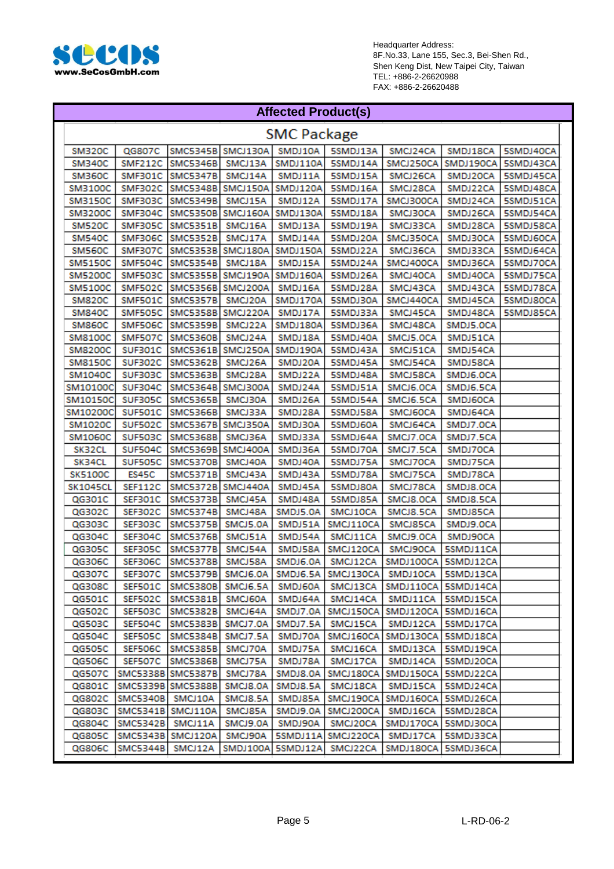

#### **Affected Product(s)**

|                 | <b>SMC Package</b>        |                          |                          |                                    |                                    |                                                                          |                      |           |  |
|-----------------|---------------------------|--------------------------|--------------------------|------------------------------------|------------------------------------|--------------------------------------------------------------------------|----------------------|-----------|--|
| SM320C          | QG807C                    |                          |                          |                                    | SMC5345B SMCJ130A SMDJ10A SSMDJ13A | SMCJ24CA                                                                 | SMDJ18CA             | 5SMDJ40CA |  |
| SM340C          |                           | SMF212C SMC5346B         | SMCJ13A                  |                                    | SMDJ110A 5SMDJ14A                  | SMCJ250CA                                                                | SMDJ190CA            | 5SMDJ43CA |  |
| SM360C          | SMF301C                   | <b>SMC5347B</b>          | SMCJ14A                  | SMDJ11A                            | 5SMDJ15A                           | SMCJ26CA                                                                 | SMDJ20CA             | 5SMDJ45CA |  |
| SM3100C         | SMF302C                   | SMC5348B SMCJ150A        |                          | SMDJ120A                           | 5SMDJ16A                           | SMCJ28CA                                                                 | SMDJ22CA             | 5SMDJ48CA |  |
| <b>SM3150C</b>  | SMF303C                   | <b>SMC5349B</b>          | SMCJ15A                  | SMDJ12A                            | 5SMDJ17A                           | SMCJ300CA                                                                | SMDJ24CA             | 5SMDJ51CA |  |
| SM3200C         | SMF304C                   |                          | SMC5350B SMCJ160A        | SMDJ130A                           | 5SMDJ18A                           | <b>SMCJ30CA</b>                                                          | SMDJ26CA             | 5SMDJ54CA |  |
| <b>SM520C</b>   | SMF305C                   | <b>SMC5351B</b>          | SMCJ16A                  | SMDJ13A                            | 5SMDJ19A                           | SMCJ33CA                                                                 | SMDJ28CA             | 5SMDJ58CA |  |
| <b>SM540C</b>   | SMF306C                   | <b>SMC5352B</b>          | SMCJ17A                  | SMDJ14A                            | 5SMDJ20A                           | SMCJ350CA                                                                | SMDJ30CA             | 5SMDJ60CA |  |
| SM560C          | SMF307C                   |                          | SMC5353B SMCJ180A        | SMDJ150A                           | 5SMDJ22A                           | SMCJ36CA                                                                 | SMDJ33CA             | 5SMDJ64CA |  |
| <b>SM5150C</b>  | SMF504C                   | <b>SMC5354B</b>          | SMCJ18A                  | SMDJ15A                            | 5SMDJ24A                           | SMCJ400CA                                                                | SMDJ36CA             | 5SMDJ70CA |  |
| <b>SM5200C</b>  | SMF503C                   |                          | SMC5355B SMCJ190A        | SMDJ160A                           | 5SMDJ26A                           | SMCJ40CA                                                                 | SMDJ40CA             | 5SMDJ75CA |  |
| <b>SM5100C</b>  | SMF502C                   | SMC5356B SMCJ200A        |                          | SMDJ16A                            | 5SMDJ28A                           | SMCJ43CA                                                                 | SMDJ43CA             | 5SMDJ78CA |  |
| <b>SM820C</b>   | SMF501C                   | <b>SMC5357B</b>          | SMCJ20A                  | SMDJ170A                           | 5SMDJ30A                           | SMCJ440CA                                                                | SMDJ45CA             | 5SMDJ80CA |  |
| <b>SM840C</b>   | SMF505C                   | SMC5358B SMCJ220A        |                          | SMDJ17A                            | 5SMDJ33A                           | SMCJ45CA                                                                 | SMDJ48CA             | 5SMDJ85CA |  |
| <b>SM860C</b>   | SMF506C                   | <b>SMC5359B</b>          | SMCJ22A                  | SMDJ180A                           | 5SMDJ36A                           | SMCJ48CA                                                                 | SMDJ5.0CA            |           |  |
| <b>SM8100C</b>  | SMF507C                   | <b>SMC5360B</b>          | SMCJ24A                  | SMDJ18A                            | 5SMDJ40A                           | SMCJ5.OCA                                                                | SMDJ51CA             |           |  |
| <b>SM8200C</b>  | SUF301C                   | <b>SMC5361B</b>          | SMCJ250A                 | SMDJ190A                           | 5SMDJ43A                           | SMCJ51CA                                                                 | SMDJ54CA             |           |  |
| <b>SM8150C</b>  | <b>SUF302C</b>            | SMC5362B                 | SMCJ26A                  | SMDJ20A                            | 5SMDJ45A                           | SMCJ54CA                                                                 | SMDJ58CA             |           |  |
| SM1040C         | SUF303C                   | SMC5363B                 | SMCJ28A                  | SMDJ22A                            | 5SMDJ48A                           | SMCJ58CA                                                                 | SMDJ6.OCA            |           |  |
| SM10100C        | SUF304C                   |                          | SMC5364B SMCJ300A        | SMDJ24A                            | 5SMDJ51A                           | SMCJ6.OCA                                                                | SMDJ6.5CA            |           |  |
| SM10150C        | SUF305C                   | <b>SMC5365B</b>          | SMCJ30A                  | SMDJ26A                            | 5SMDJ54A                           | SMCJ6.5CA                                                                | SMDJ60CA             |           |  |
| SM10200C        | SUF501C                   | <b>SMC5366B</b>          | SMCJ33A                  | SMDJ28A                            | 5SMDJ58A                           | SMCJ60CA                                                                 | SMDJ64CA             |           |  |
| SM1020C         | <b>SUF502C</b>            | SMC5367B SMCJ350A        |                          | SMDJ30A                            | 5SMDJ60A                           | SMCJ64CA                                                                 | SMDJ7.0CA            |           |  |
| SM1060C         | SUF503C                   | <b>SMC5368B</b>          | SMCJ36A                  | SMDJ33A                            | 5SMDJ64A                           | SMCJ7.OCA                                                                | SMDJ7.5CA            |           |  |
| SK32CL          | SUF504C                   | SMC5369B SMCJ400A        |                          | SMDJ36A                            | 5SMDJ70A                           | SMCJ7.5CA                                                                | SMDJ70CA             |           |  |
| SK34CL          | SUF505C                   | SMC5370B                 | SMCJ40A                  | SMDJ40A                            | 5SMDJ75A                           | SMCJ70CA                                                                 | SMDJ75CA             |           |  |
| <b>SK5100C</b>  | ES45C                     | <b>SMC5371B</b>          | SMCJ43A                  | SMDJ43A                            | 5SMDJ78A                           | SMCJ75CA                                                                 | SMDJ78CA             |           |  |
| <b>SK1045CL</b> | SEF112C                   | <b>SMC5372B</b>          | SMCJ440A                 | SMDJ45A                            | 5SMDJ80A                           | SMCJ78CA                                                                 | SMDJ8.OCA            |           |  |
| QG301C          | SEF301C                   | <b>SMC5373B</b>          | SMCJ45A                  | SMDJ48A                            | 5SMDJ85A                           | SMCJ8.OCA                                                                | SMDJ8.5CA            |           |  |
| QG302C          | SEF302C                   | <b>SMC5374B</b>          | SMCJ48A                  | SMDJ5.0A                           | SMCJ10CA                           | SMCJ8.5CA                                                                | SMDJ85CA             |           |  |
| QG303C          | SEF303C                   | <b>SMC5375B</b>          | SMCJ5.0A                 | SMDJ51A                            | SMCJ110CA                          | SMCJ85CA                                                                 | SMDJ9.OCA            |           |  |
| QG304C          | SEF304C                   | <b>SMC5376B</b>          | SMCJ51A                  | SMDJ54A                            | SMCJ11CA                           | SMCJ9.OCA                                                                | SMDJ90CA             |           |  |
| QG305C          | SEF305C                   | <b>SMC5377B</b>          | SMCJ54A                  | SMDJ58A                            | SMCJ120CA                          | SMCJ90CA                                                                 | 5SMDJ11CA            |           |  |
| QG306C          | SEF306C                   | <b>SMC5378B</b>          | SMCJ58A                  | SMDJ6.0A                           | SMCJ12CA                           | SMDJ100CA                                                                | 5SMDJ12CA            |           |  |
| QG307C          | SEF307C                   | <b>SMC5379B</b>          | SMCJ6.0A                 | SMDJ6.5A                           | SMCJ130CA                          | SMDJ10CA                                                                 | 5SMDJ13CA            |           |  |
| QG308C          |                           |                          |                          |                                    |                                    | SEF501C  SMC5380B  SMCJ6.5A   SMDJ60A   SMCJ13CA   SMDJ110CA   5SMDJ14CA |                      |           |  |
| QG501C          |                           | SEF502C SMC5381B SMCJ60A |                          | SMDJ64A                            |                                    | SMCJ14CA   SMDJ11CA   5SMDJ15CA                                          |                      |           |  |
| QG502C          |                           |                          | SEF503C SMC5382B SMCJ64A |                                    |                                    | SMDJ7.0A   SMCJ150CA   SMDJ120CA   5SMDJ16CA                             |                      |           |  |
| QG503C          |                           |                          |                          | SEF504C SMC5383B SMCJ7.0A SMDJ7.5A |                                    | SMCJ15CA   SMDJ12CA   5SMDJ17CA                                          |                      |           |  |
| QG504C          |                           |                          |                          | SEF505C SMC5384B SMCJ7.5A SMDJ70A  |                                    | SMCJ160CA SMDJ130CA 5SMDJ18CA                                            |                      |           |  |
| QG505C          |                           | SEF506C SMC5385B SMCJ70A |                          | SMDJ75A                            | SMCJ16CA                           |                                                                          | SMDJ13CA   5SMDJ19CA |           |  |
| QG506C          |                           | SEF507C SMC5386B SMCJ75A |                          | SMDJ78A                            | SMCJ17CA                           |                                                                          | SMDJ14CA   5SMDJ20CA |           |  |
|                 | QG507C  SMC5338B SMC5387B |                          | SMCJ78A                  | SMDJ8.0A                           |                                    | SMCJ180CA SMDJ150CA SSMDJ22CA                                            |                      |           |  |
|                 | QG801C SMC5339B SMC5388B  |                          | SMCJ8.0A                 | SMDJ8.5A                           | SMCJ18CA                           |                                                                          | SMDJ15CA   5SMDJ24CA |           |  |
|                 | QG802C SMC5340B SMCJ10A   |                          | SMCJ8.5A                 | SMDJ85A                            |                                    | SMCJ190CA SMDJ160CA SSMDJ26CA                                            |                      |           |  |
|                 | QG803C SMC5341B SMCJ110A  |                          | SMCJ85A                  | SMDJ9.0A                           |                                    | SMCJ200CA SMDJ16CA SSMDJ28CA                                             |                      |           |  |
|                 | QG804C SMC5342B SMCJ11A   |                          | SMCJ9.0A                 | SMDJ90A                            | SMCJ20CA                           | SMDJ170CA 5SMDJ30CA                                                      |                      |           |  |
|                 | QG805C SMC5343B SMCJ120A  |                          | SMCJ90A                  |                                    | 5SMDJ11A SMCJ220CA                 | SMDJ17CA                                                                 | 5SMDJ33CA            |           |  |
| QG806C          | SMC5344B SMCJ12A          |                          |                          |                                    | SMDJ100A 5SMDJ12A SMCJ22CA         | SMDJ180CA 5SMDJ36CA                                                      |                      |           |  |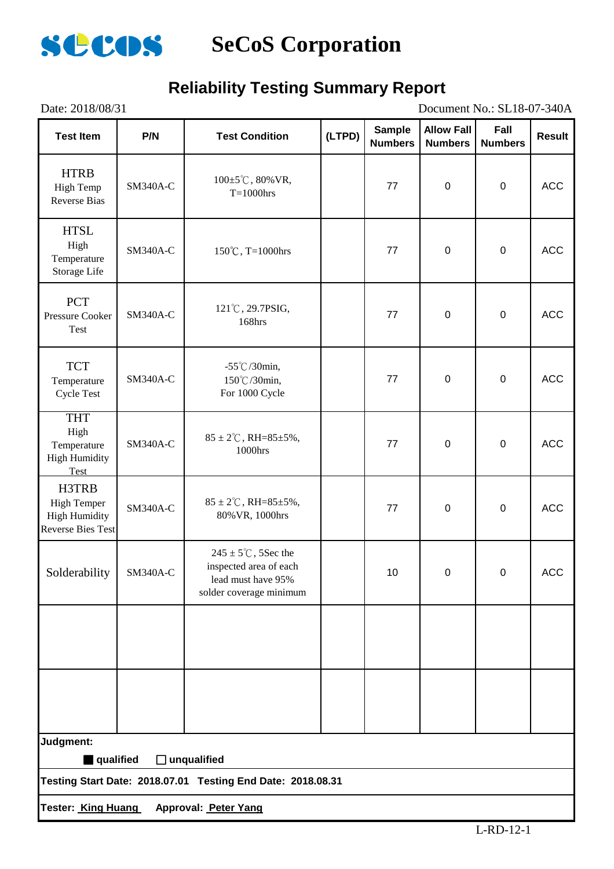

### **Reliability Testing Summary Report**

| Date: 2018/08/31                                                                |                 |                                                                                                            |        |                                 |                                     | Document No.: SL18-07-340A |               |
|---------------------------------------------------------------------------------|-----------------|------------------------------------------------------------------------------------------------------------|--------|---------------------------------|-------------------------------------|----------------------------|---------------|
| <b>Test Item</b>                                                                | P/N             | <b>Test Condition</b>                                                                                      | (LTPD) | <b>Sample</b><br><b>Numbers</b> | <b>Allow Fall</b><br><b>Numbers</b> | Fall<br><b>Numbers</b>     | <b>Result</b> |
| <b>HTRB</b><br>High Temp<br><b>Reverse Bias</b>                                 | SM340A-C        | $100 \pm 5^{\circ}$ C, 80% VR,<br>$T=1000$ hrs                                                             |        | 77                              | $\mathbf 0$                         | $\pmb{0}$                  | <b>ACC</b>    |
| <b>HTSL</b><br>High<br>Temperature<br>Storage Life                              | <b>SM340A-C</b> | 150°C, T=1000hrs                                                                                           |        | 77                              | $\pmb{0}$                           | $\pmb{0}$                  | <b>ACC</b>    |
| <b>PCT</b><br><b>Pressure Cooker</b><br>Test                                    | SM340A-C        | 121°C, 29.7PSIG,<br>168hrs                                                                                 |        | 77                              | $\pmb{0}$                           | $\pmb{0}$                  | <b>ACC</b>    |
| <b>TCT</b><br>Temperature<br><b>Cycle Test</b>                                  | <b>SM340A-C</b> | $-55^{\circ}$ C/30min,<br>150℃/30min,<br>For 1000 Cycle                                                    |        | 77                              | $\pmb{0}$                           | $\pmb{0}$                  | <b>ACC</b>    |
| <b>THT</b><br>High<br>Temperature<br><b>High Humidity</b><br>Test               | SM340A-C        | $85 \pm 2^{\circ}$ C, RH= $85 \pm 5\%$ ,<br>1000hrs                                                        |        | 77                              | $\pmb{0}$                           | $\pmb{0}$                  | <b>ACC</b>    |
| H3TRB<br><b>High Temper</b><br><b>High Humidity</b><br><b>Reverse Bies Test</b> | SM340A-C        | $85 \pm 2^{\circ}$ C, RH= $85 \pm 5\%$ ,<br>80% VR, 1000hrs                                                |        | 77                              | $\pmb{0}$                           | $\pmb{0}$                  | <b>ACC</b>    |
| Solderability                                                                   | SM340A-C        | $245 \pm 5^{\circ}$ C, 5Sec the<br>inspected area of each<br>lead must have 95%<br>solder coverage minimum |        | 10                              | 0                                   | $\mathbf 0$                | <b>ACC</b>    |
|                                                                                 |                 |                                                                                                            |        |                                 |                                     |                            |               |
|                                                                                 |                 |                                                                                                            |        |                                 |                                     |                            |               |
| Judgment:                                                                       |                 |                                                                                                            |        |                                 |                                     |                            |               |
| qualified                                                                       |                 | $\Box$ unqualified<br>Testing Start Date: 2018.07.01 Testing End Date: 2018.08.31                          |        |                                 |                                     |                            |               |
|                                                                                 |                 | Tester: King Huang Approval: Peter Yang                                                                    |        |                                 |                                     |                            |               |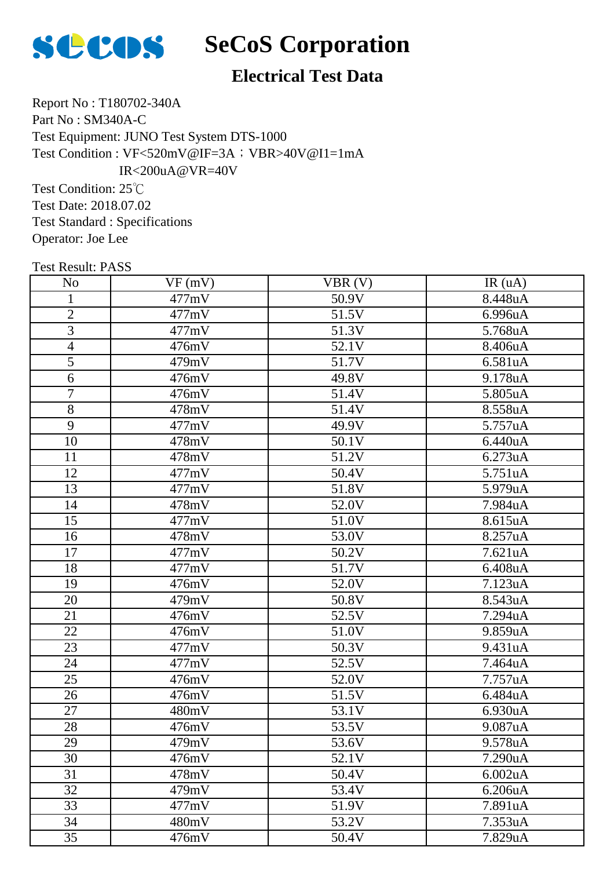

#### **Electrical Test Data**

Report No : T180702-340A Part No : SM340A-C Test Equipment: JUNO Test System DTS-1000 Test Condition : VF<520mV@IF=3A; VBR>40V@I1=1mA IR<200uA@VR=40V

Test Condition: 25℃ Test Date: 2018.07.02 Test Standard : Specifications Operator: Joe Lee

| <b>Test Result: PASS</b> |        |        |         |
|--------------------------|--------|--------|---------|
| N <sub>o</sub>           | VF(mV) | VBR(V) | IR(uA)  |
| $\mathbf{1}$             | 477mV  | 50.9V  | 8.448uA |
| $\overline{2}$           | 477mV  | 51.5V  | 6.996uA |
| 3                        | 477mV  | 51.3V  | 5.768uA |
| $\overline{4}$           | 476mV  | 52.1V  | 8.406uA |
| $\overline{5}$           | 479mV  | 51.7V  | 6.581uA |
| 6                        | 476mV  | 49.8V  | 9.178uA |
| $\overline{7}$           | 476mV  | 51.4V  | 5.805uA |
| $\overline{8}$           | 478mV  | 51.4V  | 8.558uA |
| 9                        | 477mV  | 49.9V  | 5.757uA |
| 10                       | 478mV  | 50.1V  | 6.440uA |
| 11                       | 478mV  | 51.2V  | 6.273uA |
| $\overline{12}$          | 477mV  | 50.4V  | 5.751uA |
| 13                       | 477mV  | 51.8V  | 5.979uA |
| 14                       | 478mV  | 52.0V  | 7.984uA |
| 15                       | 477mV  | 51.0V  | 8.615uA |
| 16                       | 478mV  | 53.0V  | 8.257uA |
| 17                       | 477mV  | 50.2V  | 7.621uA |
| 18                       | 477mV  | 51.7V  | 6.408uA |
| 19                       | 476mV  | 52.0V  | 7.123uA |
| 20                       | 479mV  | 50.8V  | 8.543uA |
| 21                       | 476mV  | 52.5V  | 7.294uA |
| 22                       | 476mV  | 51.0V  | 9.859uA |
| 23                       | 477mV  | 50.3V  | 9.431uA |
| 24                       | 477mV  | 52.5V  | 7.464uA |
| 25                       | 476mV  | 52.0V  | 7.757uA |
| 26                       | 476mV  | 51.5V  | 6.484uA |
| 27                       | 480mV  | 53.1V  | 6.930uA |
| 28                       | 476mV  | 53.5V  | 9.087uA |
| 29                       | 479mV  | 53.6V  | 9.578uA |
| 30                       | 476mV  | 52.1V  | 7.290uA |
| 31                       | 478mV  | 50.4V  | 6.002uA |
| 32                       | 479mV  | 53.4V  | 6.206uA |
| 33                       | 477mV  | 51.9V  | 7.891uA |
| 34                       | 480mV  | 53.2V  | 7.353uA |

35 | 476mV | 50.4V | 7.829uA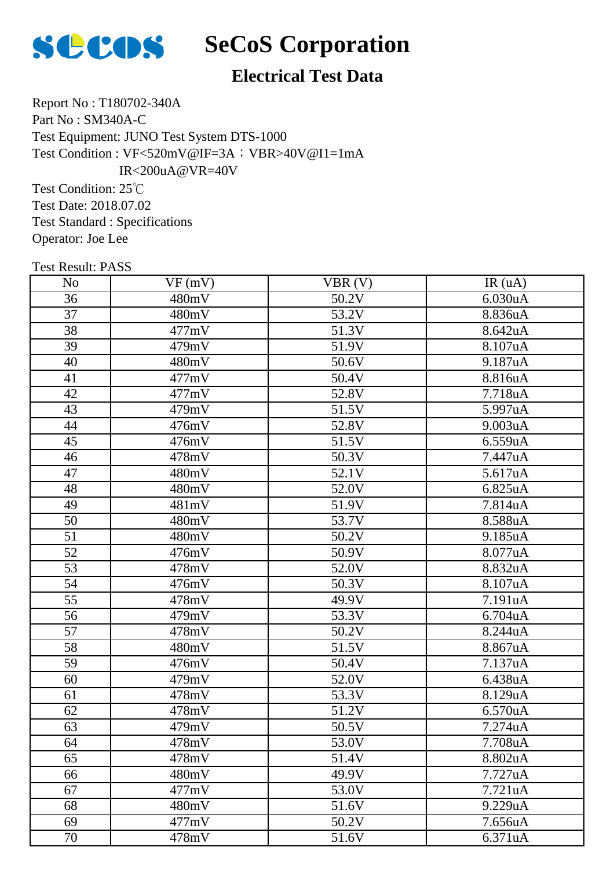

#### **Electrical Test Data**

Report No : T180702-340A Part No : SM340A-C Test Equipment: JUNO Test System DTS-1000 Test Condition : VF<520mV@IF=3A; VBR>40V@I1=1mA IR<200uA@VR=40V

Test Condition: 25℃ Test Date: 2018.07.02 Test Standard : Specifications Operator: Joe Lee

| <b>Test Result: PASS</b> |        |                    |                      |
|--------------------------|--------|--------------------|----------------------|
| N <sub>0</sub>           | VF(mV) | VBR(V)             | IR(uA)               |
| 36                       | 480mV  | 50.2V              | 6.030uA              |
| 37                       | 480mV  | 53.2V              | 8.836uA              |
| 38                       | 477mV  | 51.3V              | 8.642uA              |
| 39                       | 479mV  | 51.9V              | 8.107uA              |
| 40                       | 480mV  | 50.6V              | 9.187uA              |
| 41                       | 477mV  | $\overline{50.4V}$ | 8.816uA              |
| 42                       | 477mV  | 52.8V              | 7.718uA              |
| 43                       | 479mV  | 51.5V              | 5.997uA              |
| 44                       | 476mV  | 52.8V              | 9.003uA              |
| 45                       | 476mV  | 51.5V              | 6.559uA              |
| 46                       | 478mV  | 50.3V              | 7.447uA              |
| 47                       | 480mV  | 52.1V              | 5.617uA              |
| 48                       | 480mV  | 52.0V              | 6.825uA              |
| 49                       | 481mV  | 51.9V              | 7.814uA              |
| 50                       | 480mV  | 53.7V              | 8.588uA              |
| 51                       | 480mV  | 50.2V              | 9.185uA              |
| 52                       | 476mV  | 50.9V              | 8.077uA              |
| 53                       | 478mV  | 52.0V              | 8.832uA              |
| 54                       | 476mV  | 50.3V              | 8.107uA              |
| 55                       | 478mV  | 49.9V              | 7.191uA              |
| 56                       | 479mV  | 53.3V              | 6.704uA              |
| 57                       | 478mV  | 50.2V              | 8.244uA              |
| 58                       | 480mV  | 51.5V              | 8.867uA              |
| 59                       | 476mV  | 50.4V              | 7.137uA              |
| 60                       | 479mV  | 52.0V              | 6.438uA              |
| 61                       | 478mV  | 53.3V              | 8.129uA              |
| 62                       | 478mV  | 51.2V              | 6.570uA              |
| 63                       | 479mV  | 50.5V              | 7.274uA              |
| 64                       | 478mV  | 53.0V              | 7.708uA              |
| 65                       | 478mV  | 51.4V              | 8.802uA              |
| 66                       | 480mV  | 49.9V              | 7.727uA              |
| 67                       | 477mV  | 53.0V              | 7.721 <sub>u</sub> A |
| 68                       | 480mV  | 51.6V              | 9.229uA              |
| 69                       | 477mV  | 50.2V              | 7.656uA              |

70 | 478mV | 51.6V | 6.371uA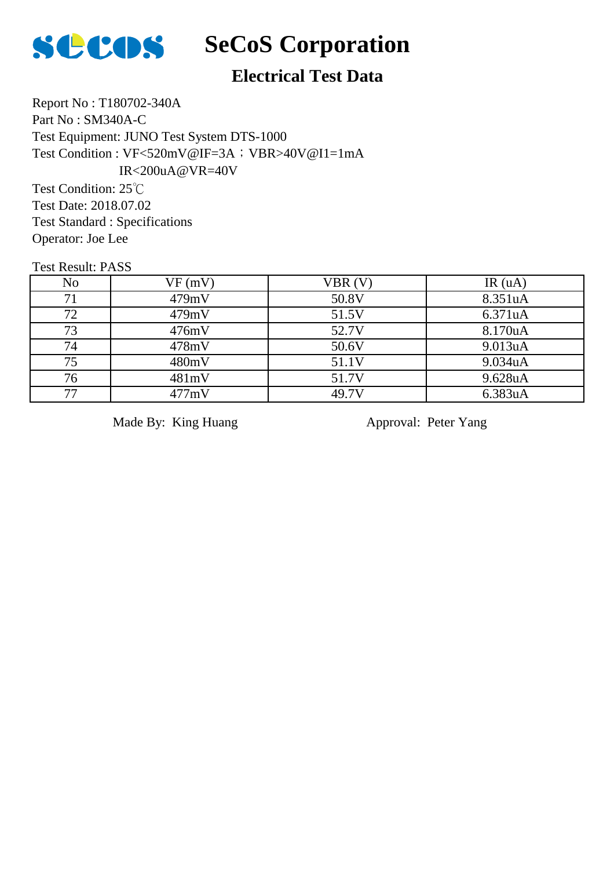

#### **Electrical Test Data**

Report No : T180702-340A Part No : SM340A-C Test Equipment: JUNO Test System DTS-1000 Test Condition : VF<520mV@IF=3A; VBR>40V@I1=1mA IR<200uA@VR=40V

Test Condition: 25℃ Test Date: 2018.07.02 Test Standard : Specifications Operator: Joe Lee

Test Result: PASS

| No. | VF(mV) | VBR (V) | IR(uA)  |
|-----|--------|---------|---------|
| 71  | 479mV  | 50.8V   | 8.351uA |
| 72  | 479mV  | 51.5V   | 6.371uA |
| 73  | 476mV  | 52.7V   | 8.170uA |
| 74  | 478mV  | 50.6V   | 9.013uA |
| 75  | 480mV  | 51.1V   | 9.034uA |
| 76  | 481mV  | 51.7V   | 9.628uA |
| ワワ  | 477mV  | 49.7V   | 6.383uA |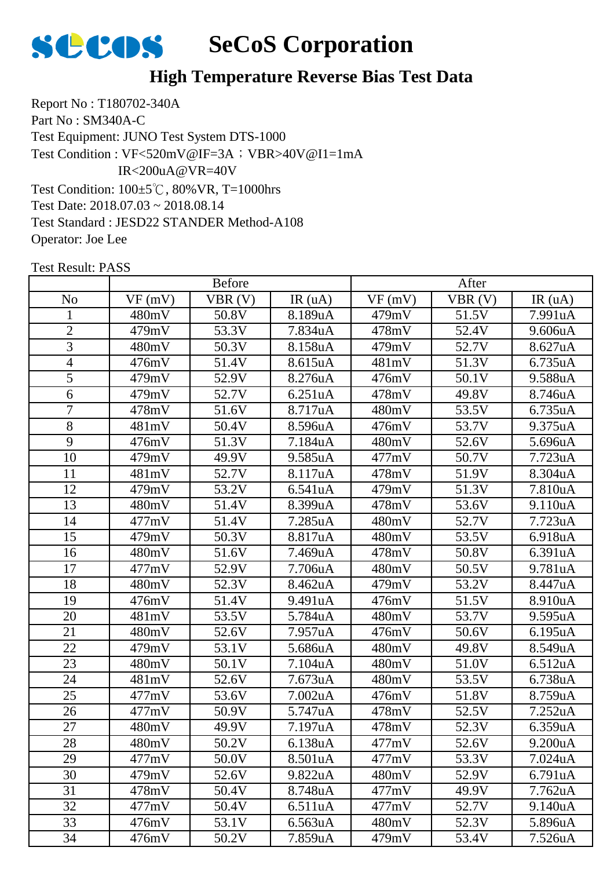

Report No : T180702-340A Part No : SM340A-C Test Equipment: JUNO Test System DTS-1000 Test Condition: 100±5℃, 80%VR, T=1000hrs Test Date: 2018.07.03 ~ 2018.08.14 Test Standard : JESD22 STANDER Method-A108 Operator: Joe Lee Test Condition : VF<520mV@IF=3A; VBR>40V@I1=1mA IR<200uA@VR=40V

|                 | <b>Before</b> |        |         | After  |        |                      |
|-----------------|---------------|--------|---------|--------|--------|----------------------|
| N <sub>o</sub>  | VF(mV)        | VBR(V) | IR(uA)  | VF(mV) | VBR(V) | IR(uA)               |
| $\mathbf{1}$    | 480mV         | 50.8V  | 8.189uA | 479mV  | 51.5V  | 7.991uA              |
| $\mathbf{2}$    | 479mV         | 53.3V  | 7.834uA | 478mV  | 52.4V  | 9.606uA              |
| 3               | 480mV         | 50.3V  | 8.158uA | 479mV  | 52.7V  | 8.627uA              |
| 4               | 476mV         | 51.4V  | 8.615uA | 481mV  | 51.3V  | 6.735uA              |
| $\overline{5}$  | 479mV         | 52.9V  | 8.276uA | 476mV  | 50.1V  | 9.588uA              |
| 6               | 479mV         | 52.7V  | 6.251uA | 478mV  | 49.8V  | 8.746uA              |
| $\overline{7}$  | 478mV         | 51.6V  | 8.717uA | 480mV  | 53.5V  | 6.735uA              |
| 8               | 481mV         | 50.4V  | 8.596uA | 476mV  | 53.7V  | 9.375uA              |
| 9               | 476mV         | 51.3V  | 7.184uA | 480mV  | 52.6V  | 5.696uA              |
| 10              | 479mV         | 49.9V  | 9.585uA | 477mV  | 50.7V  | 7.723uA              |
| 11              | 481mV         | 52.7V  | 8.117uA | 478mV  | 51.9V  | 8.304uA              |
| 12              | 479mV         | 53.2V  | 6.541uA | 479mV  | 51.3V  | 7.810uA              |
| 13              | 480mV         | 51.4V  | 8.399uA | 478mV  | 53.6V  | 9.110uA              |
| 14              | 477mV         | 51.4V  | 7.285uA | 480mV  | 52.7V  | 7.723uA              |
| 15              | 479mV         | 50.3V  | 8.817uA | 480mV  | 53.5V  | 6.918uA              |
| 16              | 480mV         | 51.6V  | 7.469uA | 478mV  | 50.8V  | 6.391uA              |
| 17              | 477mV         | 52.9V  | 7.706uA | 480mV  | 50.5V  | 9.781 <sub>u</sub> A |
| 18              | 480mV         | 52.3V  | 8.462uA | 479mV  | 53.2V  | 8.447uA              |
| 19              | 476mV         | 51.4V  | 9.491uA | 476mV  | 51.5V  | 8.910uA              |
| 20              | 481mV         | 53.5V  | 5.784uA | 480mV  | 53.7V  | 9.595uA              |
| $\overline{21}$ | 480mV         | 52.6V  | 7.957uA | 476mV  | 50.6V  | 6.195uA              |
| 22              | 479mV         | 53.1V  | 5.686uA | 480mV  | 49.8V  | 8.549uA              |
| 23              | 480mV         | 50.1V  | 7.104uA | 480mV  | 51.0V  | 6.512uA              |
| 24              | 481mV         | 52.6V  | 7.673uA | 480mV  | 53.5V  | 6.738uA              |
| 25              | 477mV         | 53.6V  | 7.002uA | 476mV  | 51.8V  | 8.759uA              |
| 26              | 477mV         | 50.9V  | 5.747uA | 478mV  | 52.5V  | 7.252uA              |
| 27              | 480mV         | 49.9V  | 7.197uA | 478mV  | 52.3V  | 6.359uA              |
| 28              | 480mV         | 50.2V  | 6.138uA | 477mV  | 52.6V  | 9.200uA              |
| 29              | 477mV         | 50.0V  | 8.501uA | 477mV  | 53.3V  | 7.024uA              |
| 30              | 479mV         | 52.6V  | 9.822uA | 480mV  | 52.9V  | 6.791uA              |
| 31              | 478mV         | 50.4V  | 8.748uA | 477mV  | 49.9V  | 7.762uA              |
| 32              | 477mV         | 50.4V  | 6.511uA | 477mV  | 52.7V  | 9.140uA              |
| 33              | 476mV         | 53.1V  | 6.563uA | 480mV  | 52.3V  | 5.896uA              |
| 34              | 476mV         | 50.2V  | 7.859uA | 479mV  | 53.4V  | 7.526uA              |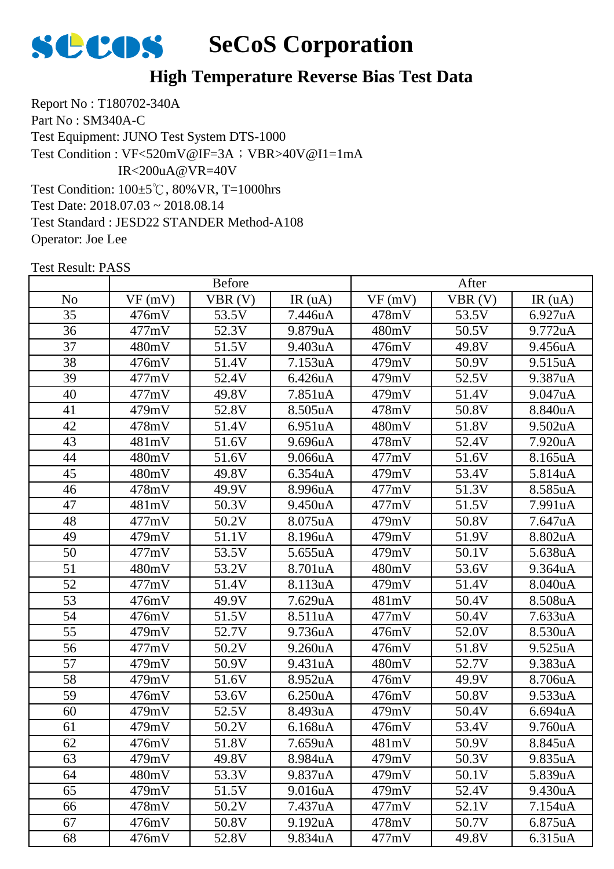

Report No : T180702-340A Part No : SM340A-C Test Equipment: JUNO Test System DTS-1000 Test Condition: 100±5℃, 80%VR, T=1000hrs Test Date: 2018.07.03 ~ 2018.08.14 Test Standard : JESD22 STANDER Method-A108 Operator: Joe Lee Test Condition : VF<520mV@IF=3A; VBR>40V@I1=1mA IR<200uA@VR=40V

|                | <b>Before</b> |        |                      | After  |        |         |
|----------------|---------------|--------|----------------------|--------|--------|---------|
| N <sub>o</sub> | VF(mV)        | VBR(V) | IR(uA)               | VF(mV) | VBR(V) | IR(uA)  |
| 35             | 476mV         | 53.5V  | 7.446uA              | 478mV  | 53.5V  | 6.927uA |
| 36             | 477mV         | 52.3V  | 9.879uA              | 480mV  | 50.5V  | 9.772uA |
| 37             | 480mV         | 51.5V  | 9.403uA              | 476mV  | 49.8V  | 9.456uA |
| 38             | 476mV         | 51.4V  | 7.153uA              | 479mV  | 50.9V  | 9.515uA |
| 39             | 477mV         | 52.4V  | 6.426uA              | 479mV  | 52.5V  | 9.387uA |
| 40             | 477mV         | 49.8V  | 7.851uA              | 479mV  | 51.4V  | 9.047uA |
| 41             | 479mV         | 52.8V  | 8.505uA              | 478mV  | 50.8V  | 8.840uA |
| 42             | 478mV         | 51.4V  | 6.951uA              | 480mV  | 51.8V  | 9.502uA |
| 43             | 481mV         | 51.6V  | 9.696uA              | 478mV  | 52.4V  | 7.920uA |
| 44             | 480mV         | 51.6V  | 9.066uA              | 477mV  | 51.6V  | 8.165uA |
| 45             | 480mV         | 49.8V  | 6.354uA              | 479mV  | 53.4V  | 5.814uA |
| 46             | 478mV         | 49.9V  | 8.996uA              | 477mV  | 51.3V  | 8.585uA |
| 47             | 481mV         | 50.3V  | 9.450uA              | 477mV  | 51.5V  | 7.991uA |
| 48             | 477mV         | 50.2V  | 8.075uA              | 479mV  | 50.8V  | 7.647uA |
| 49             | 479mV         | 51.1V  | 8.196uA              | 479mV  | 51.9V  | 8.802uA |
| 50             | 477mV         | 53.5V  | 5.655uA              | 479mV  | 50.1V  | 5.638uA |
| 51             | 480mV         | 53.2V  | 8.701uA              | 480mV  | 53.6V  | 9.364uA |
| 52             | 477mV         | 51.4V  | 8.113uA              | 479mV  | 51.4V  | 8.040uA |
| 53             | 476mV         | 49.9V  | 7.629uA              | 481mV  | 50.4V  | 8.508uA |
| 54             | 476mV         | 51.5V  | 8.511uA              | 477mV  | 50.4V  | 7.633uA |
| 55             | 479mV         | 52.7V  | 9.736uA              | 476mV  | 52.0V  | 8.530uA |
| 56             | 477mV         | 50.2V  | 9.260 <sub>u</sub> A | 476mV  | 51.8V  | 9.525uA |
| 57             | 479mV         | 50.9V  | 9.431uA              | 480mV  | 52.7V  | 9.383uA |
| 58             | 479mV         | 51.6V  | 8.952uA              | 476mV  | 49.9V  | 8.706uA |
| 59             | 476mV         | 53.6V  | 6.250uA              | 476mV  | 50.8V  | 9.533uA |
| 60             | 479mV         | 52.5V  | 8.493uA              | 479mV  | 50.4V  | 6.694uA |
| 61             | 479mV         | 50.2V  | 6.168uA              | 476mV  | 53.4V  | 9.760uA |
| 62             | 476mV         | 51.8V  | 7.659uA              | 481mV  | 50.9V  | 8.845uA |
| 63             | 479mV         | 49.8V  | 8.984uA              | 479mV  | 50.3V  | 9.835uA |
| 64             | 480mV         | 53.3V  | 9.837uA              | 479mV  | 50.1V  | 5.839uA |
| 65             | 479mV         | 51.5V  | 9.016uA              | 479mV  | 52.4V  | 9.430uA |
| 66             | 478mV         | 50.2V  | 7.437uA              | 477mV  | 52.1V  | 7.154uA |
| 67             | 476mV         | 50.8V  | 9.192uA              | 478mV  | 50.7V  | 6.875uA |
| 68             | 476mV         | 52.8V  | 9.834uA              | 477mV  | 49.8V  | 6.315uA |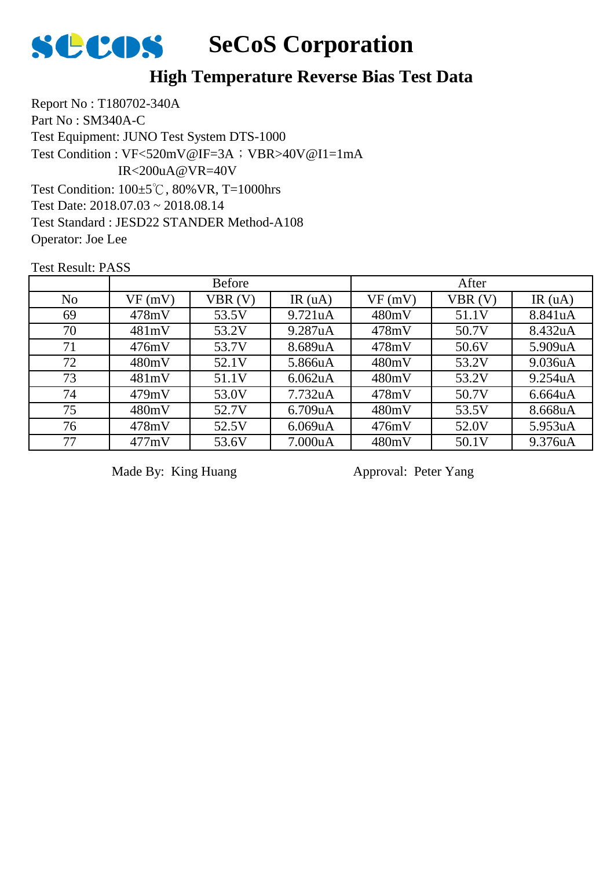

Report No : T180702-340A Part No : SM340A-C Test Equipment: JUNO Test System DTS-1000 Test Condition: 100±5℃, 80%VR, T=1000hrs Test Date: 2018.07.03 ~ 2018.08.14 Test Standard : JESD22 STANDER Method-A108 Operator: Joe Lee Test Condition : VF<520mV@IF=3A; VBR>40V@I1=1mA IR<200uA@VR=40V

Test Result: PASS

|                |        | <b>Before</b> |                      | After  |        |         |  |
|----------------|--------|---------------|----------------------|--------|--------|---------|--|
| N <sub>o</sub> | VF(mV) | VBR(V)        | IR $(uA)$            | VF(mV) | VBR(V) | IR(uA)  |  |
| 69             | 478mV  | 53.5V         | 9.721 <sub>u</sub> A | 480mV  | 51.1V  | 8.841uA |  |
| 70             | 481mV  | 53.2V         | 9.287uA              | 478mV  | 50.7V  | 8.432uA |  |
| 71             | 476mV  | 53.7V         | 8.689uA              | 478mV  | 50.6V  | 5.909uA |  |
| 72             | 480mV  | 52.1V         | 5.866uA              | 480mV  | 53.2V  | 9.036uA |  |
| 73             | 481mV  | 51.1V         | 6.062 <sub>u</sub> A | 480mV  | 53.2V  | 9.254uA |  |
| 74             | 479mV  | 53.0V         | 7.732 <sub>u</sub> A | 478mV  | 50.7V  | 6.664uA |  |
| 75             | 480mV  | 52.7V         | 6.709uA              | 480mV  | 53.5V  | 8.668uA |  |
| 76             | 478mV  | 52.5V         | 6.069uA              | 476mV  | 52.0V  | 5.953uA |  |
| 77             | 477mV  | 53.6V         | 7.000uA              | 480mV  | 50.1V  | 9.376uA |  |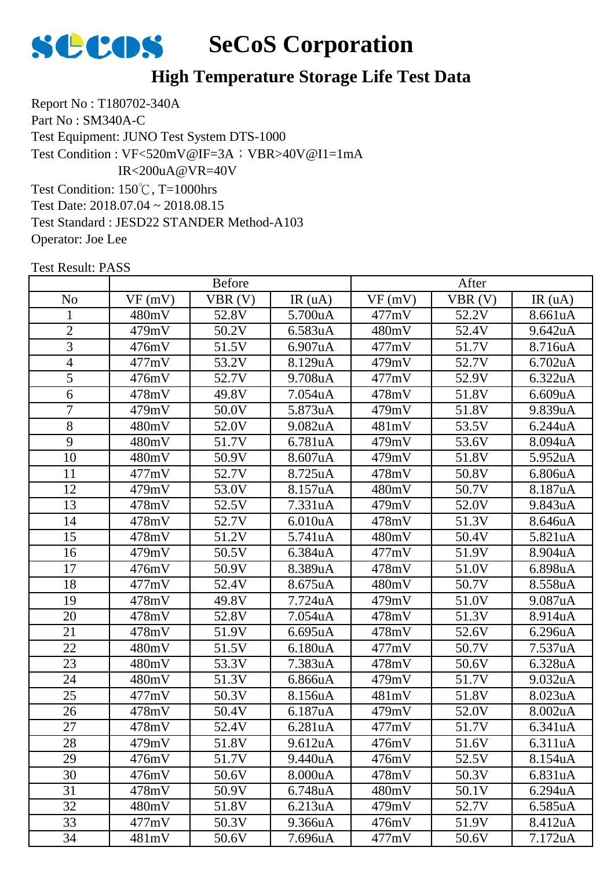

Report No : T180702-340A Part No : SM340A-C Test Equipment: JUNO Test System DTS-1000 Test Condition: 150℃, T=1000hrs Test Date: 2018.07.04 ~ 2018.08.15 Test Standard : JESD22 STANDER Method-A103 Test Condition : VF<520mV@IF=3A; VBR>40V@I1=1mA IR<200uA@VR=40V

Operator: Joe Lee

|                | <b>Before</b> |                    |         | After  |        |         |
|----------------|---------------|--------------------|---------|--------|--------|---------|
| N <sub>o</sub> | VF(mV)        | VBR(V)             | IR(uA)  | VF(mV) | VBR(V) | IR(uA)  |
| 1              | 480mV         | 52.8V              | 5.700uA | 477mV  | 52.2V  | 8.661uA |
| $\overline{2}$ | 479mV         | 50.2V              | 6.583uA | 480mV  | 52.4V  | 9.642uA |
| 3              | 476mV         | 51.5V              | 6.907uA | 477mV  | 51.7V  | 8.716uA |
| $\overline{4}$ | 477mV         | 53.2V              | 8.129uA | 479mV  | 52.7V  | 6.702uA |
| 5              | 476mV         | 52.7V              | 9.708uA | 477mV  | 52.9V  | 6.322uA |
| 6              | 478mV         | 49.8V              | 7.054uA | 478mV  | 51.8V  | 6.609uA |
| 7              | 479mV         | 50.0V              | 5.873uA | 479mV  | 51.8V  | 9.839uA |
| 8              | 480mV         | 52.0V              | 9.082uA | 481mV  | 53.5V  | 6.244uA |
| 9              | 480mV         | 51.7V              | 6.781uA | 479mV  | 53.6V  | 8.094uA |
| 10             | 480mV         | 50.9V              | 8.607uA | 479mV  | 51.8V  | 5.952uA |
| 11             | 477mV         | 52.7V              | 8.725uA | 478mV  | 50.8V  | 6.806uA |
| 12             | 479mV         | 53.0V              | 8.157uA | 480mV  | 50.7V  | 8.187uA |
| 13             | 478mV         | 52.5V              | 7.331uA | 479mV  | 52.0V  | 9.843uA |
| 14             | 478mV         | 52.7V              | 6.010uA | 478mV  | 51.3V  | 8.646uA |
| 15             | 478mV         | 51.2V              | 5.741uA | 480mV  | 50.4V  | 5.821uA |
| 16             | 479mV         | 50.5V              | 6.384uA | 477mV  | 51.9V  | 8.904uA |
| 17             | 476mV         | $50.9\overline{V}$ | 8.389uA | 478mV  | 51.0V  | 6.898uA |
| 18             | 477mV         | 52.4V              | 8.675uA | 480mV  | 50.7V  | 8.558uA |
| 19             | 478mV         | 49.8V              | 7.724uA | 479mV  | 51.0V  | 9.087uA |
| 20             | 478mV         | 52.8V              | 7.054uA | 478mV  | 51.3V  | 8.914uA |
| 21             | 478mV         | 51.9V              | 6.695uA | 478mV  | 52.6V  | 6.296uA |
| 22             | 480mV         | 51.5V              | 6.180uA | 477mV  | 50.7V  | 7.537uA |
| 23             | 480mV         | 53.3V              | 7.383uA | 478mV  | 50.6V  | 6.328uA |
| 24             | 480mV         | 51.3V              | 6.866uA | 479mV  | 51.7V  | 9.032uA |
| 25             | 477mV         | 50.3V              | 8.156uA | 481mV  | 51.8V  | 8.023uA |
| 26             | 478mV         | 50.4V              | 6.187uA | 479mV  | 52.0V  | 8.002uA |
| 27             | 478mV         | 52.4V              | 6.281uA | 477mV  | 51.7V  | 6.341uA |
| 28             | 479mV         | 51.8V              | 9.612uA | 476mV  | 51.6V  | 6.311uA |
| 29             | 476mV         | 51.7V              | 9.440uA | 476mV  | 52.5V  | 8.154uA |
| 30             | 476mV         | 50.6V              | 8.000uA | 478mV  | 50.3V  | 6.831uA |
| 31             | 478mV         | 50.9V              | 6.748uA | 480mV  | 50.1V  | 6.294uA |
| 32             | 480mV         | 51.8V              | 6.213uA | 479mV  | 52.7V  | 6.585uA |
| 33             | 477mV         | 50.3V              | 9.366uA | 476mV  | 51.9V  | 8.412uA |
| 34             | 481mV         | 50.6V              | 7.696uA | 477mV  | 50.6V  | 7.172uA |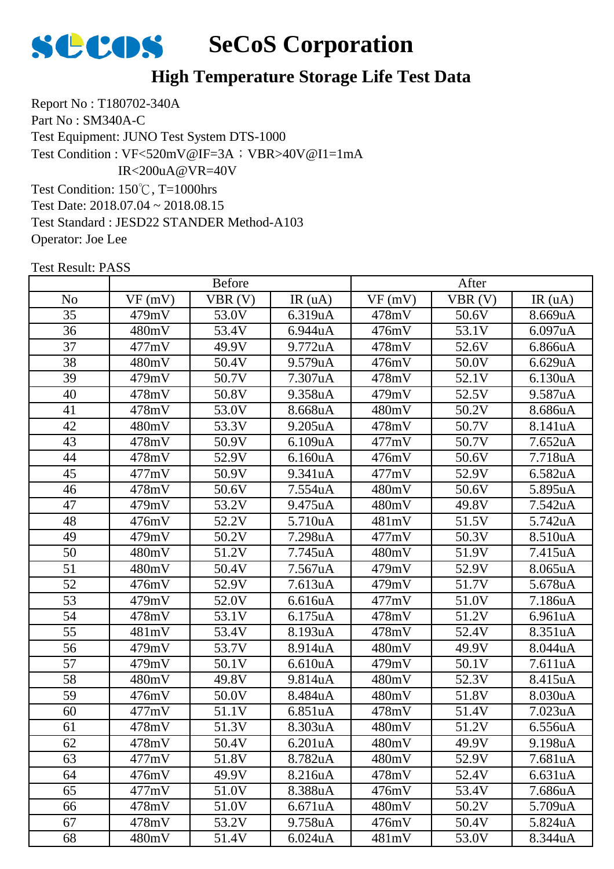

Report No : T180702-340A Part No : SM340A-C Test Equipment: JUNO Test System DTS-1000 Test Condition: 150℃, T=1000hrs Test Date: 2018.07.04 ~ 2018.08.15 Test Standard : JESD22 STANDER Method-A103 Test Condition : VF<520mV@IF=3A; VBR>40V@I1=1mA IR<200uA@VR=40V

Operator: Joe Lee

|                 | <b>Before</b> |        |                      | After  |        |         |
|-----------------|---------------|--------|----------------------|--------|--------|---------|
| N <sub>o</sub>  | VF(mV)        | VBR(V) | IR(uA)               | VF(mV) | VBR(V) | IR(uA)  |
| 35              | 479mV         | 53.0V  | 6.319uA              | 478mV  | 50.6V  | 8.669uA |
| 36              | 480mV         | 53.4V  | 6.944uA              | 476mV  | 53.1V  | 6.097uA |
| 37              | 477mV         | 49.9V  | 9.772uA              | 478mV  | 52.6V  | 6.866uA |
| 38              | 480mV         | 50.4V  | 9.579uA              | 476mV  | 50.0V  | 6.629uA |
| 39              | 479mV         | 50.7V  | 7.307uA              | 478mV  | 52.1V  | 6.130uA |
| 40              | 478mV         | 50.8V  | 9.358uA              | 479mV  | 52.5V  | 9.587uA |
| 41              | 478mV         | 53.0V  | 8.668uA              | 480mV  | 50.2V  | 8.686uA |
| 42              | 480mV         | 53.3V  | 9.205uA              | 478mV  | 50.7V  | 8.141uA |
| 43              | 478mV         | 50.9V  | 6.109uA              | 477mV  | 50.7V  | 7.652uA |
| 44              | 478mV         | 52.9V  | 6.160uA              | 476mV  | 50.6V  | 7.718uA |
| 45              | 477mV         | 50.9V  | 9.341uA              | 477mV  | 52.9V  | 6.582uA |
| 46              | 478mV         | 50.6V  | 7.554uA              | 480mV  | 50.6V  | 5.895uA |
| 47              | 479mV         | 53.2V  | 9.475uA              | 480mV  | 49.8V  | 7.542uA |
| 48              | 476mV         | 52.2V  | 5.710uA              | 481mV  | 51.5V  | 5.742uA |
| 49              | 479mV         | 50.2V  | 7.298uA              | 477mV  | 50.3V  | 8.510uA |
| 50              | 480mV         | 51.2V  | 7.745uA              | 480mV  | 51.9V  | 7.415uA |
| 51              | 480mV         | 50.4V  | 7.567uA              | 479mV  | 52.9V  | 8.065uA |
| 52              | 476mV         | 52.9V  | 7.613uA              | 479mV  | 51.7V  | 5.678uA |
| 53              | 479mV         | 52.0V  | 6.616uA              | 477mV  | 51.0V  | 7.186uA |
| 54              | 478mV         | 53.1V  | 6.175uA              | 478mV  | 51.2V  | 6.961uA |
| $\overline{55}$ | 481mV         | 53.4V  | 8.193uA              | 478mV  | 52.4V  | 8.351uA |
| 56              | 479mV         | 53.7V  | 8.914uA              | 480mV  | 49.9V  | 8.044uA |
| 57              | 479mV         | 50.1V  | 6.610uA              | 479mV  | 50.1V  | 7.611uA |
| 58              | 480mV         | 49.8V  | 9.814uA              | 480mV  | 52.3V  | 8.415uA |
| 59              | 476mV         | 50.0V  | 8.484uA              | 480mV  | 51.8V  | 8.030uA |
| 60              | 477mV         | 51.1V  | 6.851uA              | 478mV  | 51.4V  | 7.023uA |
| 61              | 478mV         | 51.3V  | 8.303uA              | 480mV  | 51.2V  | 6.556uA |
| 62              | 478mV         | 50.4V  | 6.201uA              | 480mV  | 49.9V  | 9.198uA |
| 63              | 477mV         | 51.8V  | 8.782uA              | 480mV  | 52.9V  | 7.681uA |
| 64              | 476mV         | 49.9V  | 8.216uA              | 478mV  | 52.4V  | 6.631uA |
| 65              | 477mV         | 51.0V  | 8.388uA              | 476mV  | 53.4V  | 7.686uA |
| 66              | 478mV         | 51.0V  | 6.671uA              | 480mV  | 50.2V  | 5.709uA |
| 67              | 478mV         | 53.2V  | 9.758uA              | 476mV  | 50.4V  | 5.824uA |
| 68              | 480mV         | 51.4V  | 6.024 <sub>u</sub> A | 481mV  | 53.0V  | 8.344uA |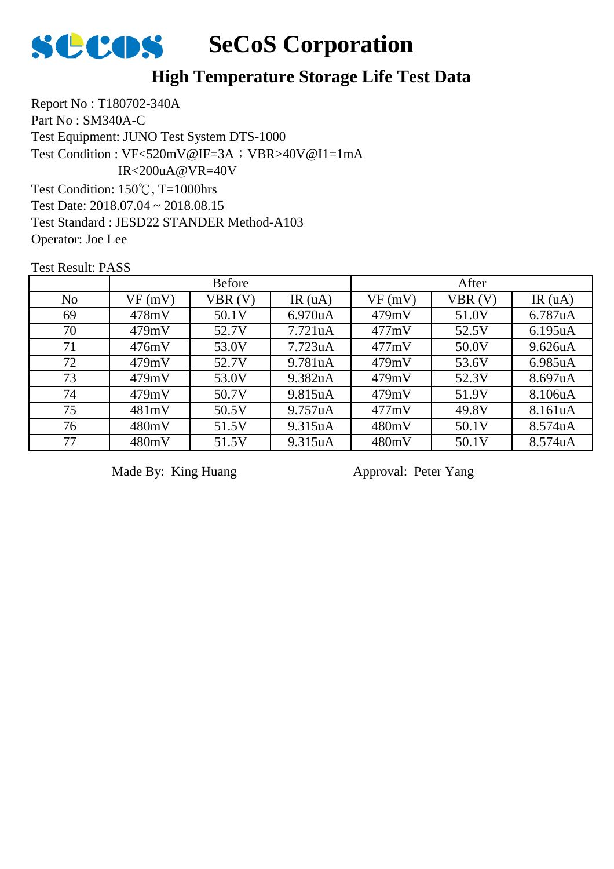

Report No : T180702-340A Part No : SM340A-C Test Equipment: JUNO Test System DTS-1000 Test Condition: 150℃, T=1000hrs Test Date: 2018.07.04 ~ 2018.08.15 Test Standard : JESD22 STANDER Method-A103 Operator: Joe Lee Test Condition : VF<520mV@IF=3A; VBR>40V@I1=1mA IR<200uA@VR=40V

Test Result: PASS

|                | <b>Before</b> |        |                      | After  |        |           |
|----------------|---------------|--------|----------------------|--------|--------|-----------|
| N <sub>o</sub> | VF(mV)        | VBR(V) | IR $(uA)$            | VF(mV) | VBR(V) | IR $(uA)$ |
| 69             | 478mV         | 50.1V  | 6.970 <sub>u</sub> A | 479mV  | 51.0V  | 6.787uA   |
| 70             | 479mV         | 52.7V  | 7.721 <sub>u</sub> A | 477mV  | 52.5V  | 6.195uA   |
| 71             | 476mV         | 53.0V  | 7.723 <sub>u</sub> A | 477mV  | 50.0V  | 9.626uA   |
| 72             | 479mV         | 52.7V  | 9.781uA              | 479mV  | 53.6V  | 6.985uA   |
| 73             | 479mV         | 53.0V  | 9.382uA              | 479mV  | 52.3V  | 8.697uA   |
| 74             | 479mV         | 50.7V  | 9.815uA              | 479mV  | 51.9V  | 8.106uA   |
| 75             | 481mV         | 50.5V  | 9.757uA              | 477mV  | 49.8V  | 8.161uA   |
| 76             | 480mV         | 51.5V  | 9.315uA              | 480mV  | 50.1V  | 8.574uA   |
| 77             | 480mV         | 51.5V  | 9.315uA              | 480mV  | 50.1V  | 8.574uA   |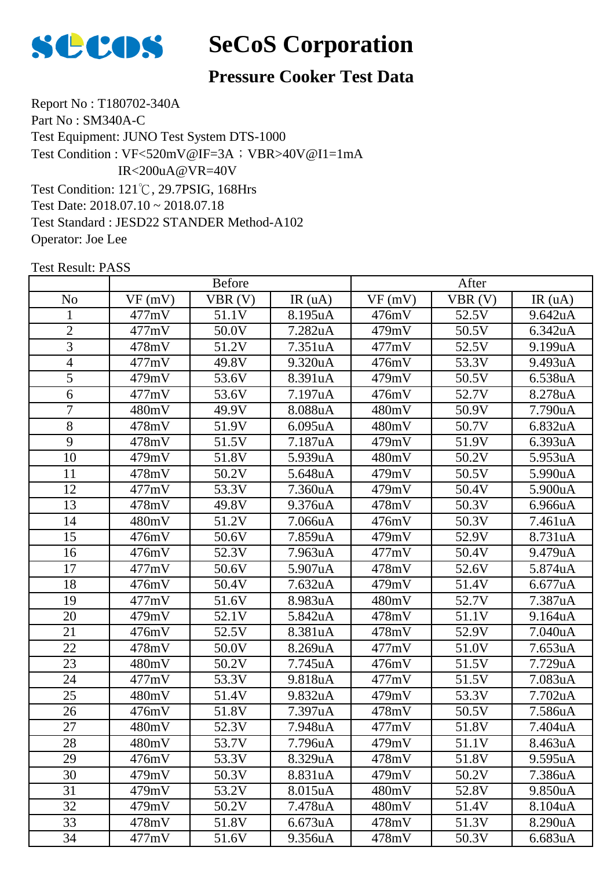

#### **Pressure Cooker Test Data**

Report No : T180702-340A Part No : SM340A-C Test Equipment: JUNO Test System DTS-1000 Test Condition: 121℃, 29.7PSIG, 168Hrs Test Date: 2018.07.10 ~ 2018.07.18 Test Standard : JESD22 STANDER Method-A102 Operator: Joe Lee Test Condition : VF<520mV@IF=3A; VBR>40V@I1=1mA IR<200uA@VR=40V

|                | <b>Before</b> |        |         | After  |        |         |
|----------------|---------------|--------|---------|--------|--------|---------|
| N <sub>o</sub> | VF(mV)        | VBR(V) | IR(uA)  | VF(mV) | VBR(V) | IR(uA)  |
| 1              | 477mV         | 51.1V  | 8.195uA | 476mV  | 52.5V  | 9.642uA |
| $\overline{2}$ | 477mV         | 50.0V  | 7.282uA | 479mV  | 50.5V  | 6.342uA |
| 3              | 478mV         | 51.2V  | 7.351uA | 477mV  | 52.5V  | 9.199uA |
| $\overline{4}$ | 477mV         | 49.8V  | 9.320uA | 476mV  | 53.3V  | 9.493uA |
| 5              | 479mV         | 53.6V  | 8.391uA | 479mV  | 50.5V  | 6.538uA |
| 6              | 477mV         | 53.6V  | 7.197uA | 476mV  | 52.7V  | 8.278uA |
| $\overline{7}$ | 480mV         | 49.9V  | 8.088uA | 480mV  | 50.9V  | 7.790uA |
| 8              | 478mV         | 51.9V  | 6.095uA | 480mV  | 50.7V  | 6.832uA |
| 9              | 478mV         | 51.5V  | 7.187uA | 479mV  | 51.9V  | 6.393uA |
| 10             | 479mV         | 51.8V  | 5.939uA | 480mV  | 50.2V  | 5.953uA |
| 11             | 478mV         | 50.2V  | 5.648uA | 479mV  | 50.5V  | 5.990uA |
| 12             | 477mV         | 53.3V  | 7.360uA | 479mV  | 50.4V  | 5.900uA |
| 13             | 478mV         | 49.8V  | 9.376uA | 478mV  | 50.3V  | 6.966uA |
| 14             | 480mV         | 51.2V  | 7.066uA | 476mV  | 50.3V  | 7.461uA |
| 15             | 476mV         | 50.6V  | 7.859uA | 479mV  | 52.9V  | 8.731uA |
| 16             | 476mV         | 52.3V  | 7.963uA | 477mV  | 50.4V  | 9.479uA |
| 17             | 477mV         | 50.6V  | 5.907uA | 478mV  | 52.6V  | 5.874uA |
| 18             | 476mV         | 50.4V  | 7.632uA | 479mV  | 51.4V  | 6.677uA |
| 19             | 477mV         | 51.6V  | 8.983uA | 480mV  | 52.7V  | 7.387uA |
| 20             | 479mV         | 52.1V  | 5.842uA | 478mV  | 51.1V  | 9.164uA |
| 21             | 476mV         | 52.5V  | 8.381uA | 478mV  | 52.9V  | 7.040uA |
| 22             | 478mV         | 50.0V  | 8.269uA | 477mV  | 51.0V  | 7.653uA |
| 23             | 480mV         | 50.2V  | 7.745uA | 476mV  | 51.5V  | 7.729uA |
| 24             | 477mV         | 53.3V  | 9.818uA | 477mV  | 51.5V  | 7.083uA |
| 25             | 480mV         | 51.4V  | 9.832uA | 479mV  | 53.3V  | 7.702uA |
| 26             | 476mV         | 51.8V  | 7.397uA | 478mV  | 50.5V  | 7.586uA |
| 27             | 480mV         | 52.3V  | 7.948uA | 477mV  | 51.8V  | 7.404uA |
| 28             | 480mV         | 53.7V  | 7.796uA | 479mV  | 51.1V  | 8.463uA |
| 29             | 476mV         | 53.3V  | 8.329uA | 478mV  | 51.8V  | 9.595uA |
| 30             | 479mV         | 50.3V  | 8.831uA | 479mV  | 50.2V  | 7.386uA |
| 31             | 479mV         | 53.2V  | 8.015uA | 480mV  | 52.8V  | 9.850uA |
| 32             | 479mV         | 50.2V  | 7.478uA | 480mV  | 51.4V  | 8.104uA |
| 33             | 478mV         | 51.8V  | 6.673uA | 478mV  | 51.3V  | 8.290uA |
| 34             | 477mV         | 51.6V  | 9.356uA | 478mV  | 50.3V  | 6.683uA |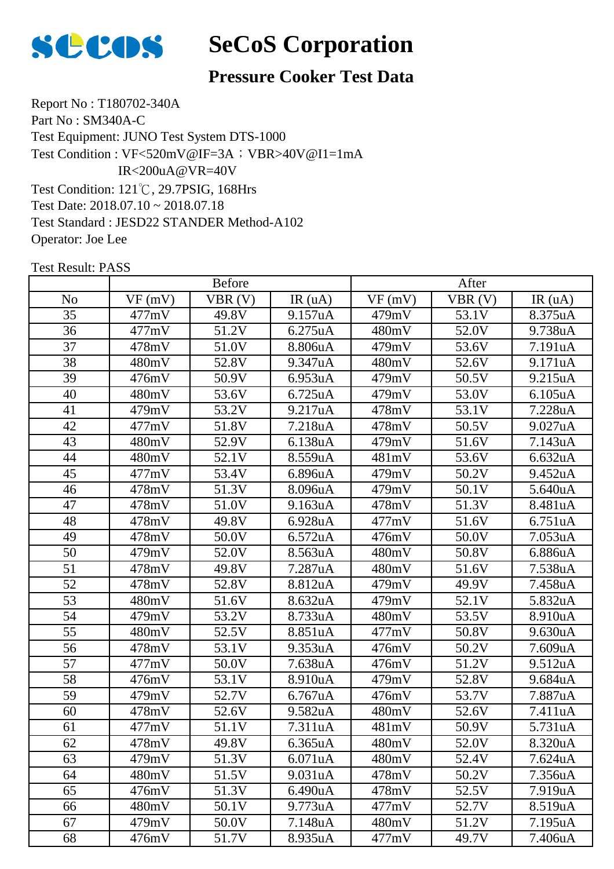

#### **Pressure Cooker Test Data**

Report No : T180702-340A Part No : SM340A-C Test Equipment: JUNO Test System DTS-1000 Test Condition: 121℃, 29.7PSIG, 168Hrs Test Date: 2018.07.10 ~ 2018.07.18 Test Standard : JESD22 STANDER Method-A102 Operator: Joe Lee Test Condition : VF<520mV@IF=3A; VBR>40V@I1=1mA IR<200uA@VR=40V

|                 | <b>Before</b> |        |         | After  |        |         |
|-----------------|---------------|--------|---------|--------|--------|---------|
| N <sub>o</sub>  | VF(mV)        | VBR(V) | IR(uA)  | VF(mV) | VBR(V) | IR(uA)  |
| 35              | 477mV         | 49.8V  | 9.157uA | 479mV  | 53.1V  | 8.375uA |
| 36              | 477mV         | 51.2V  | 6.275uA | 480mV  | 52.0V  | 9.738uA |
| 37              | 478mV         | 51.0V  | 8.806uA | 479mV  | 53.6V  | 7.191uA |
| 38              | 480mV         | 52.8V  | 9.347uA | 480mV  | 52.6V  | 9.171uA |
| 39              | 476mV         | 50.9V  | 6.953uA | 479mV  | 50.5V  | 9.215uA |
| 40              | 480mV         | 53.6V  | 6.725uA | 479mV  | 53.0V  | 6.105uA |
| 41              | 479mV         | 53.2V  | 9.217uA | 478mV  | 53.1V  | 7.228uA |
| 42              | 477mV         | 51.8V  | 7.218uA | 478mV  | 50.5V  | 9.027uA |
| 43              | 480mV         | 52.9V  | 6.138uA | 479mV  | 51.6V  | 7.143uA |
| 44              | 480mV         | 52.1V  | 8.559uA | 481mV  | 53.6V  | 6.632uA |
| 45              | 477mV         | 53.4V  | 6.896uA | 479mV  | 50.2V  | 9.452uA |
| 46              | 478mV         | 51.3V  | 8.096uA | 479mV  | 50.1V  | 5.640uA |
| 47              | 478mV         | 51.0V  | 9.163uA | 478mV  | 51.3V  | 8.481uA |
| 48              | 478mV         | 49.8V  | 6.928uA | 477mV  | 51.6V  | 6.751uA |
| 49              | 478mV         | 50.0V  | 6.572uA | 476mV  | 50.0V  | 7.053uA |
| $\overline{50}$ | 479mV         | 52.0V  | 8.563uA | 480mV  | 50.8V  | 6.886uA |
| 51              | 478mV         | 49.8V  | 7.287uA | 480mV  | 51.6V  | 7.538uA |
| 52              | 478mV         | 52.8V  | 8.812uA | 479mV  | 49.9V  | 7.458uA |
| $\overline{53}$ | 480mV         | 51.6V  | 8.632uA | 479mV  | 52.1V  | 5.832uA |
| 54              | 479mV         | 53.2V  | 8.733uA | 480mV  | 53.5V  | 8.910uA |
| $\overline{55}$ | 480mV         | 52.5V  | 8.851uA | 477mV  | 50.8V  | 9.630uA |
| 56              | 478mV         | 53.1V  | 9.353uA | 476mV  | 50.2V  | 7.609uA |
| 57              | 477mV         | 50.0V  | 7.638uA | 476mV  | 51.2V  | 9.512uA |
| 58              | 476mV         | 53.1V  | 8.910uA | 479mV  | 52.8V  | 9.684uA |
| 59              | 479mV         | 52.7V  | 6.767uA | 476mV  | 53.7V  | 7.887uA |
| 60              | 478mV         | 52.6V  | 9.582uA | 480mV  | 52.6V  | 7.411uA |
| 61              | 477mV         | 51.1V  | 7.311uA | 481mV  | 50.9V  | 5.731uA |
| 62              | 478mV         | 49.8V  | 6.365uA | 480mV  | 52.0V  | 8.320uA |
| 63              | 479mV         | 51.3V  | 6.071uA | 480mV  | 52.4V  | 7.624uA |
| 64              | 480mV         | 51.5V  | 9.031uA | 478mV  | 50.2V  | 7.356uA |
| 65              | 476mV         | 51.3V  | 6.490uA | 478mV  | 52.5V  | 7.919uA |
| 66              | 480mV         | 50.1V  | 9.773uA | 477mV  | 52.7V  | 8.519uA |
| 67              | 479mV         | 50.0V  | 7.148uA | 480mV  | 51.2V  | 7.195uA |
| 68              | 476mV         | 51.7V  | 8.935uA | 477mV  | 49.7V  | 7.406uA |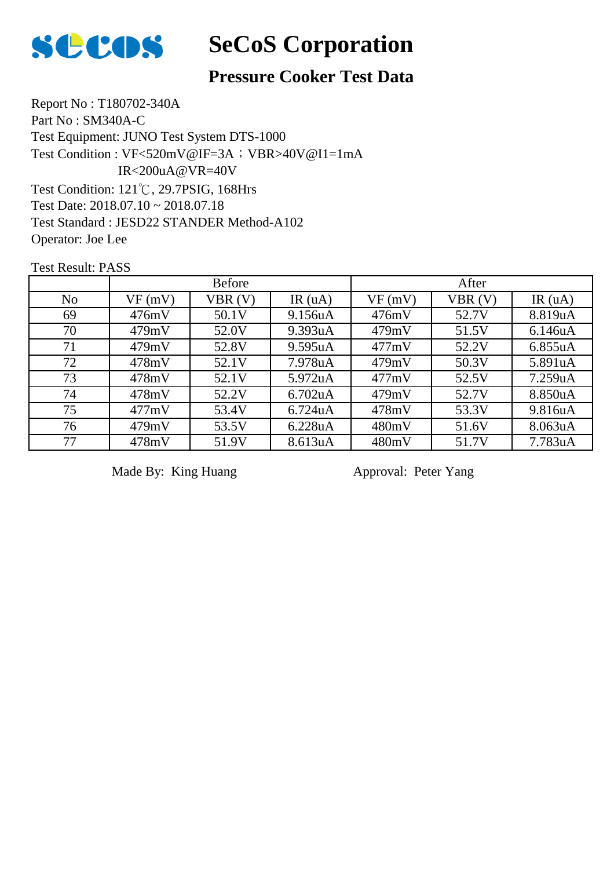

#### **Pressure Cooker Test Data**

Report No : T180702-340A Part No : SM340A-C Test Equipment: JUNO Test System DTS-1000 Test Condition: 121℃, 29.7PSIG, 168Hrs Test Date: 2018.07.10 ~ 2018.07.18 Test Standard : JESD22 STANDER Method-A102 Operator: Joe Lee Test Condition : VF<520mV@IF=3A; VBR>40V@I1=1mA IR<200uA@VR=40V

Test Result: PASS

|                |        | <b>Before</b> |                      |        | After  |           |
|----------------|--------|---------------|----------------------|--------|--------|-----------|
| N <sub>o</sub> | VF(mV) | VBR(V)        | IR $(uA)$            | VF(mV) | VBR(V) | IR $(uA)$ |
| 69             | 476mV  | 50.1V         | 9.156uA              | 476mV  | 52.7V  | 8.819uA   |
| 70             | 479mV  | 52.0V         | 9.393uA              | 479mV  | 51.5V  | 6.146uA   |
| 71             | 479mV  | 52.8V         | 9.595uA              | 477mV  | 52.2V  | 6.855uA   |
| 72             | 478mV  | 52.1V         | 7.978uA              | 479mV  | 50.3V  | 5.891uA   |
| 73             | 478mV  | 52.1V         | 5.972uA              | 477mV  | 52.5V  | 7.259uA   |
| 74             | 478mV  | 52.2V         | 6.702 <sub>u</sub> A | 479mV  | 52.7V  | 8.850uA   |
| 75             | 477mV  | 53.4V         | 6.724 <sub>u</sub> A | 478mV  | 53.3V  | 9.816uA   |
| 76             | 479mV  | 53.5V         | 6.228uA              | 480mV  | 51.6V  | 8.063uA   |
| 77             | 478mV  | 51.9V         | 8.613uA              | 480mV  | 51.7V  | 7.783uA   |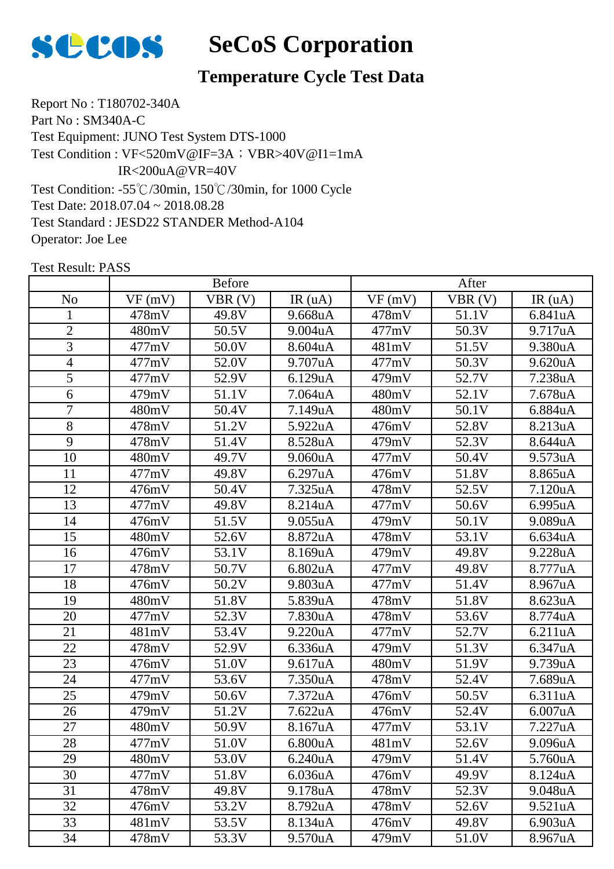

### **Temperature Cycle Test Data**

Report No : T180702-340A Part No : SM340A-C Test Equipment: JUNO Test System DTS-1000 Test Condition: -55℃/30min, 150℃/30min, for 1000 Cycle Test Date: 2018.07.04 ~ 2018.08.28 Test Standard : JESD22 STANDER Method-A104 Operator: Joe Lee Test Condition : VF<520mV@IF=3A; VBR>40V@I1=1mA IR<200uA@VR=40V

|                 | <b>Before</b> |        |                      | After  |        |         |
|-----------------|---------------|--------|----------------------|--------|--------|---------|
| N <sub>o</sub>  | VF(mV)        | VBR(V) | IR(uA)               | VF(mV) | VBR(V) | IR(uA)  |
| 1               | 478mV         | 49.8V  | 9.668uA              | 478mV  | 51.1V  | 6.841uA |
| $\overline{2}$  | 480mV         | 50.5V  | 9.004uA              | 477mV  | 50.3V  | 9.717uA |
| 3               | 477mV         | 50.0V  | 8.604uA              | 481mV  | 51.5V  | 9.380uA |
| $\overline{4}$  | 477mV         | 52.0V  | 9.707uA              | 477mV  | 50.3V  | 9.620uA |
| 5               | 477mV         | 52.9V  | 6.129uA              | 479mV  | 52.7V  | 7.238uA |
| 6               | 479mV         | 51.1V  | 7.064uA              | 480mV  | 52.1V  | 7.678uA |
| $\overline{7}$  | 480mV         | 50.4V  | 7.149uA              | 480mV  | 50.1V  | 6.884uA |
| 8               | 478mV         | 51.2V  | 5.922uA              | 476mV  | 52.8V  | 8.213uA |
| 9               | 478mV         | 51.4V  | 8.528uA              | 479mV  | 52.3V  | 8.644uA |
| 10              | 480mV         | 49.7V  | 9.060uA              | 477mV  | 50.4V  | 9.573uA |
| 11              | 477mV         | 49.8V  | 6.297uA              | 476mV  | 51.8V  | 8.865uA |
| 12              | 476mV         | 50.4V  | 7.325uA              | 478mV  | 52.5V  | 7.120uA |
| 13              | 477mV         | 49.8V  | 8.214uA              | 477mV  | 50.6V  | 6.995uA |
| 14              | 476mV         | 51.5V  | 9.055uA              | 479mV  | 50.1V  | 9.089uA |
| 15              | 480mV         | 52.6V  | 8.872uA              | 478mV  | 53.1V  | 6.634uA |
| 16              | 476mV         | 53.1V  | 8.169uA              | 479mV  | 49.8V  | 9.228uA |
| 17              | 478mV         | 50.7V  | 6.802uA              | 477mV  | 49.8V  | 8.777uA |
| 18              | 476mV         | 50.2V  | 9.803uA              | 477mV  | 51.4V  | 8.967uA |
| 19              | 480mV         | 51.8V  | 5.839uA              | 478mV  | 51.8V  | 8.623uA |
| 20              | 477mV         | 52.3V  | 7.830uA              | 478mV  | 53.6V  | 8.774uA |
| 21              | 481mV         | 53.4V  | 9.220uA              | 477mV  | 52.7V  | 6.211uA |
| 22              | 478mV         | 52.9V  | 6.336uA              | 479mV  | 51.3V  | 6.347uA |
| $\overline{23}$ | 476mV         | 51.0V  | 9.617uA              | 480mV  | 51.9V  | 9.739uA |
| 24              | 477mV         | 53.6V  | 7.350uA              | 478mV  | 52.4V  | 7.689uA |
| 25              | 479mV         | 50.6V  | 7.372uA              | 476mV  | 50.5V  | 6.311uA |
| 26              | 479mV         | 51.2V  | 7.622uA              | 476mV  | 52.4V  | 6.007uA |
| 27              | 480mV         | 50.9V  | 8.167uA              | 477mV  | 53.1V  | 7.227uA |
| 28              | 477mV         | 51.0V  | 6.800uA              | 481mV  | 52.6V  | 9.096uA |
| 29              | 480mV         | 53.0V  | 6.240 <sub>u</sub> A | 479mV  | 51.4V  | 5.760uA |
| 30              | 477mV         | 51.8V  | 6.036uA              | 476mV  | 49.9V  | 8.124uA |
| 31              | 478mV         | 49.8V  | 9.178uA              | 478mV  | 52.3V  | 9.048uA |
| 32              | 476mV         | 53.2V  | 8.792uA              | 478mV  | 52.6V  | 9.521uA |
| 33              | 481mV         | 53.5V  | 8.134uA              | 476mV  | 49.8V  | 6.903uA |
| 34              | 478mV         | 53.3V  | 9.570uA              | 479mV  | 51.0V  | 8.967uA |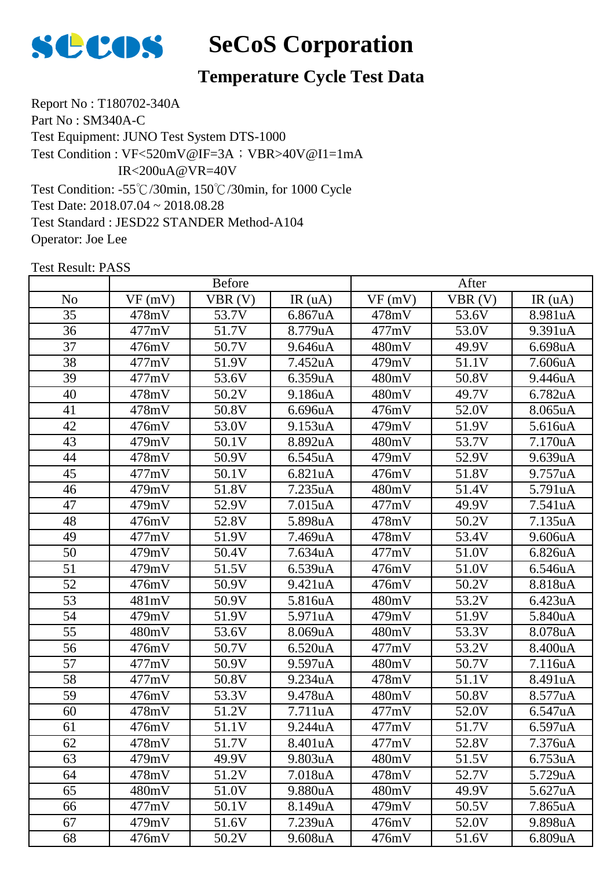

### **Temperature Cycle Test Data**

Report No : T180702-340A Part No : SM340A-C Test Equipment: JUNO Test System DTS-1000 Test Condition: -55℃/30min, 150℃/30min, for 1000 Cycle Test Date: 2018.07.04 ~ 2018.08.28 Test Standard : JESD22 STANDER Method-A104 Operator: Joe Lee Test Condition : VF<520mV@IF=3A; VBR>40V@I1=1mA IR<200uA@VR=40V

|                 | <b>Before</b> |        |         | After  |        |         |
|-----------------|---------------|--------|---------|--------|--------|---------|
| N <sub>o</sub>  | VF(mV)        | VBR(V) | IR(uA)  | VF(mV) | VBR(V) | IR(uA)  |
| 35              | 478mV         | 53.7V  | 6.867uA | 478mV  | 53.6V  | 8.981uA |
| 36              | 477mV         | 51.7V  | 8.779uA | 477mV  | 53.0V  | 9.391uA |
| 37              | 476mV         | 50.7V  | 9.646uA | 480mV  | 49.9V  | 6.698uA |
| 38              | 477mV         | 51.9V  | 7.452uA | 479mV  | 51.1V  | 7.606uA |
| 39              | 477mV         | 53.6V  | 6.359uA | 480mV  | 50.8V  | 9.446uA |
| 40              | 478mV         | 50.2V  | 9.186uA | 480mV  | 49.7V  | 6.782uA |
| 41              | 478mV         | 50.8V  | 6.696uA | 476mV  | 52.0V  | 8.065uA |
| 42              | 476mV         | 53.0V  | 9.153uA | 479mV  | 51.9V  | 5.616uA |
| 43              | 479mV         | 50.1V  | 8.892uA | 480mV  | 53.7V  | 7.170uA |
| 44              | 478mV         | 50.9V  | 6.545uA | 479mV  | 52.9V  | 9.639uA |
| 45              | 477mV         | 50.1V  | 6.821uA | 476mV  | 51.8V  | 9.757uA |
| 46              | 479mV         | 51.8V  | 7.235uA | 480mV  | 51.4V  | 5.791uA |
| 47              | 479mV         | 52.9V  | 7.015uA | 477mV  | 49.9V  | 7.541uA |
| 48              | 476mV         | 52.8V  | 5.898uA | 478mV  | 50.2V  | 7.135uA |
| 49              | 477mV         | 51.9V  | 7.469uA | 478mV  | 53.4V  | 9.606uA |
| 50              | 479mV         | 50.4V  | 7.634uA | 477mV  | 51.0V  | 6.826uA |
| 51              | 479mV         | 51.5V  | 6.539uA | 476mV  | 51.0V  | 6.546uA |
| $\overline{52}$ | 476mV         | 50.9V  | 9.421uA | 476mV  | 50.2V  | 8.818uA |
| 53              | 481mV         | 50.9V  | 5.816uA | 480mV  | 53.2V  | 6.423uA |
| 54              | 479mV         | 51.9V  | 5.971uA | 479mV  | 51.9V  | 5.840uA |
| 55              | 480mV         | 53.6V  | 8.069uA | 480mV  | 53.3V  | 8.078uA |
| 56              | 476mV         | 50.7V  | 6.520uA | 477mV  | 53.2V  | 8.400uA |
| 57              | 477mV         | 50.9V  | 9.597uA | 480mV  | 50.7V  | 7.116uA |
| 58              | 477mV         | 50.8V  | 9.234uA | 478mV  | 51.1V  | 8.491uA |
| 59              | 476mV         | 53.3V  | 9.478uA | 480mV  | 50.8V  | 8.577uA |
| 60              | 478mV         | 51.2V  | 7.711uA | 477mV  | 52.0V  | 6.547uA |
| 61              | 476mV         | 51.1V  | 9.244uA | 477mV  | 51.7V  | 6.597uA |
| 62              | 478mV         | 51.7V  | 8.401uA | 477mV  | 52.8V  | 7.376uA |
| 63              | 479mV         | 49.9V  | 9.803uA | 480mV  | 51.5V  | 6.753uA |
| 64              | 478mV         | 51.2V  | 7.018uA | 478mV  | 52.7V  | 5.729uA |
| 65              | 480mV         | 51.0V  | 9.880uA | 480mV  | 49.9V  | 5.627uA |
| 66              | 477mV         | 50.1V  | 8.149uA | 479mV  | 50.5V  | 7.865uA |
| 67              | 479mV         | 51.6V  | 7.239uA | 476mV  | 52.0V  | 9.898uA |
| 68              | 476mV         | 50.2V  | 9.608uA | 476mV  | 51.6V  | 6.809uA |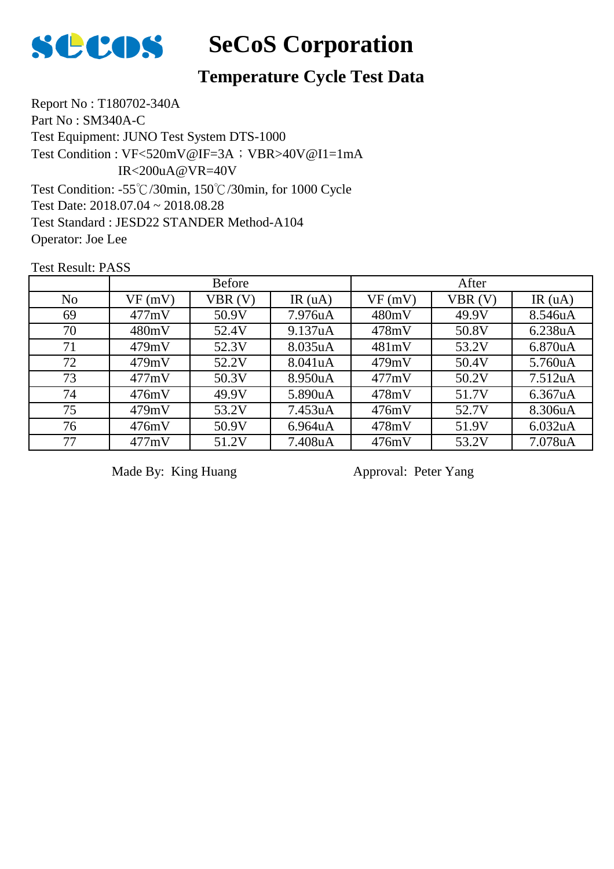

#### **Temperature Cycle Test Data**

Report No : T180702-340A Part No : SM340A-C Test Equipment: JUNO Test System DTS-1000 Test Condition: -55℃/30min, 150℃/30min, for 1000 Cycle Test Date: 2018.07.04 ~ 2018.08.28 Test Standard : JESD22 STANDER Method-A104 Operator: Joe Lee Test Condition : VF<520mV@IF=3A; VBR>40V@I1=1mA IR<200uA@VR=40V

Test Result: PASS

|                | <b>Before</b> |        |         | After  |        |                      |
|----------------|---------------|--------|---------|--------|--------|----------------------|
| N <sub>o</sub> | VF(mV)        | VBR(V) | IR(uA)  | VF(mV) | VBR(V) | IR $(uA)$            |
| 69             | 477mV         | 50.9V  | 7.976uA | 480mV  | 49.9V  | 8.546uA              |
| 70             | 480mV         | 52.4V  | 9.137uA | 478mV  | 50.8V  | 6.238uA              |
| 71             | 479mV         | 52.3V  | 8.035uA | 481mV  | 53.2V  | 6.870uA              |
| 72             | 479mV         | 52.2V  | 8.041uA | 479mV  | 50.4V  | 5.760uA              |
| 73             | 477mV         | 50.3V  | 8.950uA | 477mV  | 50.2V  | 7.512 <sub>u</sub> A |
| 74             | 476mV         | 49.9V  | 5.890uA | 478mV  | 51.7V  | 6.367uA              |
| 75             | 479mV         | 53.2V  | 7.453uA | 476mV  | 52.7V  | 8.306uA              |
| 76             | 476mV         | 50.9V  | 6.964uA | 478mV  | 51.9V  | 6.032uA              |
| 77             | 477mV         | 51.2V  | 7.408uA | 476mV  | 53.2V  | 7.078uA              |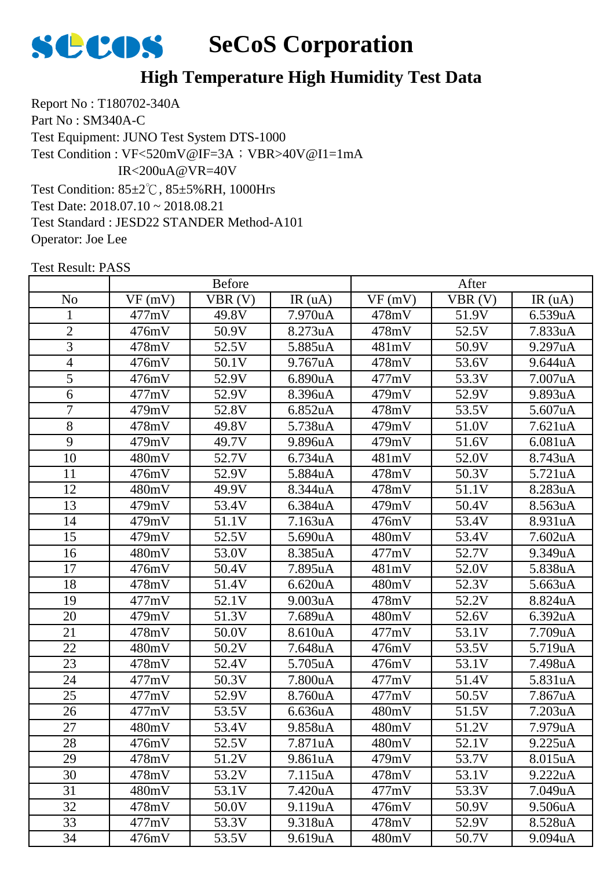

#### **High Temperature High Humidity Test Data**

Report No : T180702-340A Part No : SM340A-C Test Equipment: JUNO Test System DTS-1000 Test Condition: 85±2℃, 85±5%RH, 1000Hrs Test Date: 2018.07.10 ~ 2018.08.21 Test Standard : JESD22 STANDER Method-A101 Operator: Joe Lee Test Condition : VF<520mV@IF=3A; VBR>40V@I1=1mA IR<200uA@VR=40V

| <b>Before</b>   |        |        | After                |        |        |                      |
|-----------------|--------|--------|----------------------|--------|--------|----------------------|
| N <sub>o</sub>  | VF(mV) | VBR(V) | IR(uA)               | VF(mV) | VBR(V) | IR(uA)               |
| 1               | 477mV  | 49.8V  | 7.970uA              | 478mV  | 51.9V  | 6.539uA              |
| $\overline{2}$  | 476mV  | 50.9V  | 8.273uA              | 478mV  | 52.5V  | 7.833uA              |
| 3               | 478mV  | 52.5V  | 5.885uA              | 481mV  | 50.9V  | 9.297uA              |
| $\overline{4}$  | 476mV  | 50.1V  | 9.767uA              | 478mV  | 53.6V  | 9.644uA              |
| 5               | 476mV  | 52.9V  | 6.890uA              | 477mV  | 53.3V  | 7.007uA              |
| 6               | 477mV  | 52.9V  | 8.396uA              | 479mV  | 52.9V  | 9.893uA              |
| $\overline{7}$  | 479mV  | 52.8V  | 6.852uA              | 478mV  | 53.5V  | 5.607uA              |
| 8               | 478mV  | 49.8V  | 5.738uA              | 479mV  | 51.0V  | 7.621uA              |
| 9               | 479mV  | 49.7V  | 9.896uA              | 479mV  | 51.6V  | 6.081uA              |
| 10              | 480mV  | 52.7V  | 6.734uA              | 481mV  | 52.0V  | 8.743uA              |
| 11              | 476mV  | 52.9V  | 5.884uA              | 478mV  | 50.3V  | 5.721uA              |
| 12              | 480mV  | 49.9V  | 8.344uA              | 478mV  | 51.1V  | 8.283uA              |
| 13              | 479mV  | 53.4V  | 6.384uA              | 479mV  | 50.4V  | 8.563uA              |
| 14              | 479mV  | 51.1V  | 7.163uA              | 476mV  | 53.4V  | 8.931uA              |
| 15              | 479mV  | 52.5V  | 5.690uA              | 480mV  | 53.4V  | 7.602uA              |
| 16              | 480mV  | 53.0V  | 8.385uA              | 477mV  | 52.7V  | 9.349uA              |
| 17              | 476mV  | 50.4V  | 7.895uA              | 481mV  | 52.0V  | 5.838uA              |
| 18              | 478mV  | 51.4V  | 6.620 <sub>u</sub> A | 480mV  | 52.3V  | 5.663uA              |
| 19              | 477mV  | 52.1V  | 9.003uA              | 478mV  | 52.2V  | 8.824uA              |
| 20              | 479mV  | 51.3V  | 7.689uA              | 480mV  | 52.6V  | 6.392uA              |
| 21              | 478mV  | 50.0V  | 8.610uA              | 477mV  | 53.1V  | 7.709uA              |
| 22              | 480mV  | 50.2V  | 7.648uA              | 476mV  | 53.5V  | 5.719uA              |
| 23              | 478mV  | 52.4V  | 5.705uA              | 476mV  | 53.1V  | 7.498uA              |
| 24              | 477mV  | 50.3V  | 7.800uA              | 477mV  | 51.4V  | 5.831uA              |
| 25              | 477mV  | 52.9V  | 8.760uA              | 477mV  | 50.5V  | 7.867uA              |
| $\overline{26}$ | 477mV  | 53.5V  | 6.636uA              | 480mV  | 51.5V  | 7.203uA              |
| 27              | 480mV  | 53.4V  | 9.858uA              | 480mV  | 51.2V  | 7.979uA              |
| 28              | 476mV  | 52.5V  | 7.871uA              | 480mV  | 52.1V  | 9.225 <sub>u</sub> A |
| 29              | 478mV  | 51.2V  | 9.861uA              | 479mV  | 53.7V  | 8.015uA              |
| 30              | 478mV  | 53.2V  | 7.115uA              | 478mV  | 53.1V  | 9.222uA              |
| 31              | 480mV  | 53.1V  | 7.420uA              | 477mV  | 53.3V  | 7.049uA              |
| 32              | 478mV  | 50.0V  | 9.119uA              | 476mV  | 50.9V  | 9.506uA              |
| 33              | 477mV  | 53.3V  | 9.318uA              | 478mV  | 52.9V  | 8.528uA              |
| 34              | 476mV  | 53.5V  | 9.619uA              | 480mV  | 50.7V  | 9.094uA              |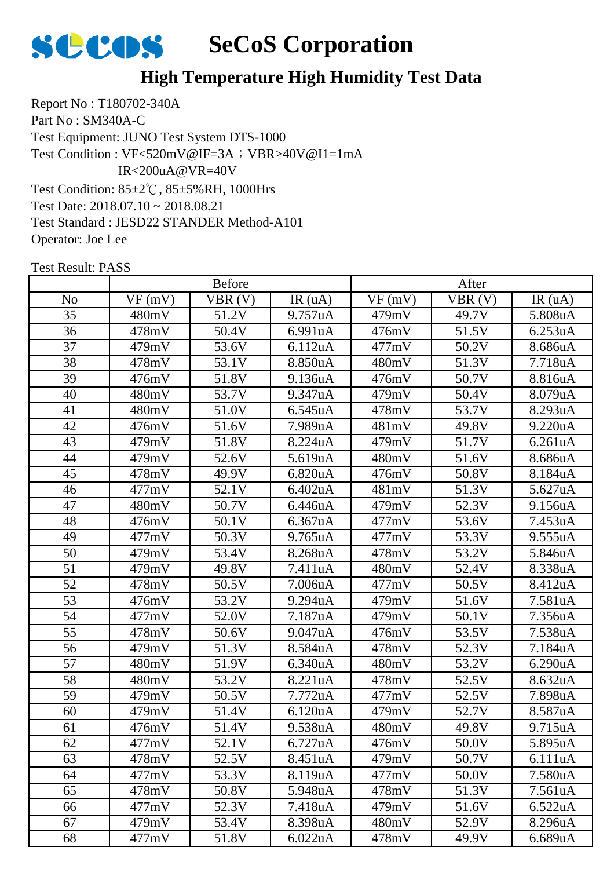

#### **High Temperature High Humidity Test Data**

Report No : T180702-340A Part No : SM340A-C Test Equipment: JUNO Test System DTS-1000 Test Condition: 85±2℃, 85±5%RH, 1000Hrs Test Date: 2018.07.10 ~ 2018.08.21 Test Standard : JESD22 STANDER Method-A101 Operator: Joe Lee Test Condition : VF<520mV@IF=3A; VBR>40V@I1=1mA IR<200uA@VR=40V

|                | <b>Before</b> |        |         | After  |        |         |
|----------------|---------------|--------|---------|--------|--------|---------|
| N <sub>o</sub> | VF(mV)        | VBR(V) | IR(uA)  | VF(mV) | VBR(V) | IR(uA)  |
| 35             | 480mV         | 51.2V  | 9.757uA | 479mV  | 49.7V  | 5.808uA |
| 36             | 478mV         | 50.4V  | 6.991uA | 476mV  | 51.5V  | 6.253uA |
| 37             | 479mV         | 53.6V  | 6.112uA | 477mV  | 50.2V  | 8.686uA |
| 38             | 478mV         | 53.1V  | 8.850uA | 480mV  | 51.3V  | 7.718uA |
| 39             | 476mV         | 51.8V  | 9.136uA | 476mV  | 50.7V  | 8.816uA |
| 40             | 480mV         | 53.7V  | 9.347uA | 479mV  | 50.4V  | 8.079uA |
| 41             | 480mV         | 51.0V  | 6.545uA | 478mV  | 53.7V  | 8.293uA |
| 42             | 476mV         | 51.6V  | 7.989uA | 481mV  | 49.8V  | 9.220uA |
| 43             | 479mV         | 51.8V  | 8.224uA | 479mV  | 51.7V  | 6.261uA |
| 44             | 479mV         | 52.6V  | 5.619uA | 480mV  | 51.6V  | 8.686uA |
| 45             | 478mV         | 49.9V  | 6.820uA | 476mV  | 50.8V  | 8.184uA |
| 46             | 477mV         | 52.1V  | 6.402uA | 481mV  | 51.3V  | 5.627uA |
| 47             | 480mV         | 50.7V  | 6.446uA | 479mV  | 52.3V  | 9.156uA |
| 48             | 476mV         | 50.1V  | 6.367uA | 477mV  | 53.6V  | 7.453uA |
| 49             | 477mV         | 50.3V  | 9.765uA | 477mV  | 53.3V  | 9.555uA |
| 50             | 479mV         | 53.4V  | 8.268uA | 478mV  | 53.2V  | 5.846uA |
| 51             | 479mV         | 49.8V  | 7.411uA | 480mV  | 52.4V  | 8.338uA |
| 52             | 478mV         | 50.5V  | 7.006uA | 477mV  | 50.5V  | 8.412uA |
| 53             | 476mV         | 53.2V  | 9.294uA | 479mV  | 51.6V  | 7.581uA |
| 54             | 477mV         | 52.0V  | 7.187uA | 479mV  | 50.1V  | 7.356uA |
| 55             | 478mV         | 50.6V  | 9.047uA | 476mV  | 53.5V  | 7.538uA |
| 56             | 479mV         | 51.3V  | 8.584uA | 478mV  | 52.3V  | 7.184uA |
| 57             | 480mV         | 51.9V  | 6.340uA | 480mV  | 53.2V  | 6.290uA |
| 58             | 480mV         | 53.2V  | 8.221uA | 478mV  | 52.5V  | 8.632uA |
| 59             | 479mV         | 50.5V  | 7.772uA | 477mV  | 52.5V  | 7.898uA |
| 60             | 479mV         | 51.4V  | 6.120uA | 479mV  | 52.7V  | 8.587uA |
| 61             | 476mV         | 51.4V  | 9.538uA | 480mV  | 49.8V  | 9.715uA |
| 62             | 477mV         | 52.1V  | 6.727uA | 476mV  | 50.0V  | 5.895uA |
| 63             | 478mV         | 52.5V  | 8.451uA | 479mV  | 50.7V  | 6.111uA |
| 64             | 477mV         | 53.3V  | 8.119uA | 477mV  | 50.0V  | 7.580uA |
| 65             | 478mV         | 50.8V  | 5.948uA | 478mV  | 51.3V  | 7.561uA |
| 66             | 477mV         | 52.3V  | 7.418uA | 479mV  | 51.6V  | 6.522uA |
| 67             | 479mV         | 53.4V  | 8.398uA | 480mV  | 52.9V  | 8.296uA |
| 68             | 477mV         | 51.8V  | 6.022uA | 478mV  | 49.9V  | 6.689uA |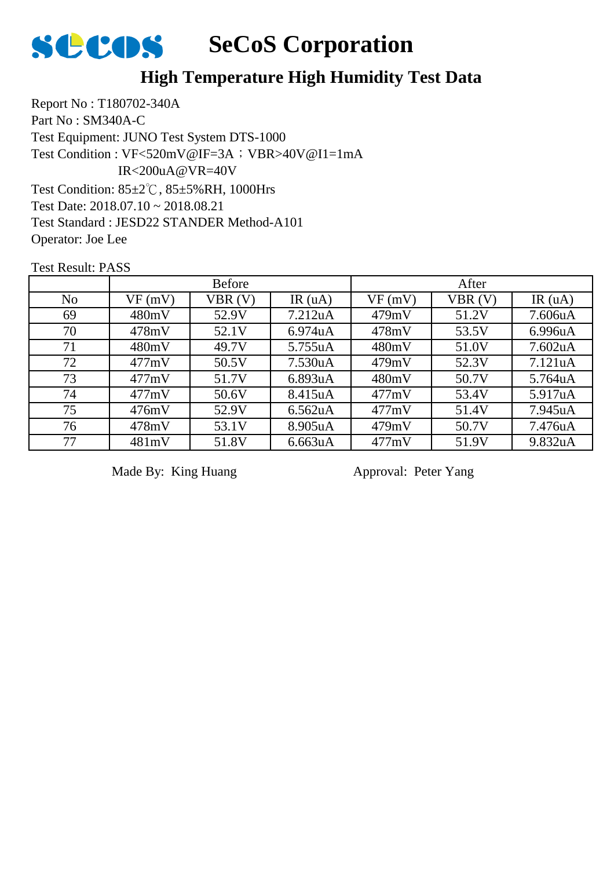

#### **High Temperature High Humidity Test Data**

Report No : T180702-340A Part No : SM340A-C Test Equipment: JUNO Test System DTS-1000 Test Condition: 85±2℃, 85±5%RH, 1000Hrs Test Date: 2018.07.10 ~ 2018.08.21 Test Standard : JESD22 STANDER Method-A101 Operator: Joe Lee Test Condition : VF<520mV@IF=3A; VBR>40V@I1=1mA IR<200uA@VR=40V

Test Result: PASS

|                |        | <b>Before</b> |                      |        | After  |                      |
|----------------|--------|---------------|----------------------|--------|--------|----------------------|
| N <sub>o</sub> | VF(mV) | VBR(V)        | IR $(uA)$            | VF(mV) | VBR(V) | IR $(uA)$            |
| 69             | 480mV  | 52.9V         | 7.212 <sub>u</sub> A | 479mV  | 51.2V  | 7.606uA              |
| 70             | 478mV  | 52.1V         | 6.974uA              | 478mV  | 53.5V  | 6.996uA              |
| 71             | 480mV  | 49.7V         | 5.755uA              | 480mV  | 51.0V  | 7.602 <sub>u</sub> A |
| 72             | 477mV  | 50.5V         | 7.530uA              | 479mV  | 52.3V  | 7.121uA              |
| 73             | 477mV  | 51.7V         | 6.893uA              | 480mV  | 50.7V  | 5.764uA              |
| 74             | 477mV  | 50.6V         | 8.415uA              | 477mV  | 53.4V  | 5.917uA              |
| 75             | 476mV  | 52.9V         | 6.562uA              | 477mV  | 51.4V  | 7.945uA              |
| 76             | 478mV  | 53.1V         | 8.905uA              | 479mV  | 50.7V  | 7.476uA              |
| 77             | 481mV  | 51.8V         | 6.663uA              | 477mV  | 51.9V  | 9.832uA              |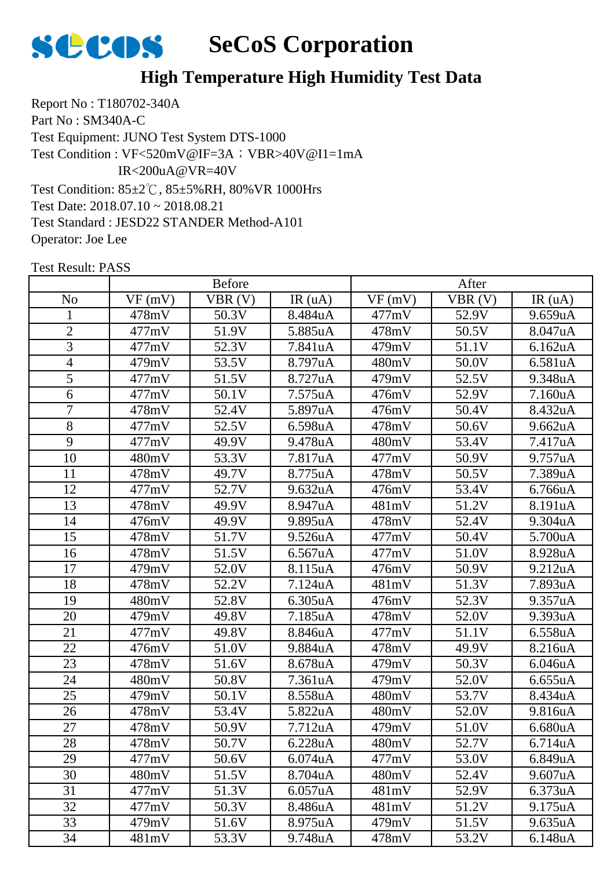

#### **High Temperature High Humidity Test Data**

Report No : T180702-340A Part No : SM340A-C Test Equipment: JUNO Test System DTS-1000 Test Condition: 85±2℃, 85±5%RH, 80%VR 1000Hrs Test Date: 2018.07.10 ~ 2018.08.21 Test Standard : JESD22 STANDER Method-A101 Operator: Joe Lee Test Condition : VF<520mV@IF=3A; VBR>40V@I1=1mA IR<200uA@VR=40V

|                |        | <b>Before</b> |                      |        | After  |         |
|----------------|--------|---------------|----------------------|--------|--------|---------|
| N <sub>o</sub> | VF(mV) | VBR(V)        | IR(uA)               | VF(mV) | VBR(V) | IR(uA)  |
| $\mathbf{1}$   | 478mV  | 50.3V         | 8.484uA              | 477mV  | 52.9V  | 9.659uA |
| $\overline{2}$ | 477mV  | 51.9V         | 5.885uA              | 478mV  | 50.5V  | 8.047uA |
| 3              | 477mV  | 52.3V         | 7.841uA              | 479mV  | 51.1V  | 6.162uA |
| $\overline{4}$ | 479mV  | 53.5V         | 8.797uA              | 480mV  | 50.0V  | 6.581uA |
| 5              | 477mV  | 51.5V         | 8.727uA              | 479mV  | 52.5V  | 9.348uA |
| 6              | 477mV  | 50.1V         | 7.575uA              | 476mV  | 52.9V  | 7.160uA |
| $\overline{7}$ | 478mV  | 52.4V         | 5.897uA              | 476mV  | 50.4V  | 8.432uA |
| 8              | 477mV  | 52.5V         | 6.598uA              | 478mV  | 50.6V  | 9.662uA |
| 9              | 477mV  | 49.9V         | 9.478uA              | 480mV  | 53.4V  | 7.417uA |
| 10             | 480mV  | 53.3V         | 7.817uA              | 477mV  | 50.9V  | 9.757uA |
| 11             | 478mV  | 49.7V         | 8.775uA              | 478mV  | 50.5V  | 7.389uA |
| 12             | 477mV  | 52.7V         | 9.632uA              | 476mV  | 53.4V  | 6.766uA |
| 13             | 478mV  | 49.9V         | 8.947uA              | 481mV  | 51.2V  | 8.191uA |
| 14             | 476mV  | 49.9V         | 9.895uA              | 478mV  | 52.4V  | 9.304uA |
| 15             | 478mV  | 51.7V         | 9.526uA              | 477mV  | 50.4V  | 5.700uA |
| 16             | 478mV  | 51.5V         | 6.567uA              | 477mV  | 51.0V  | 8.928uA |
| 17             | 479mV  | 52.0V         | 8.115uA              | 476mV  | 50.9V  | 9.212uA |
| 18             | 478mV  | 52.2V         | 7.124uA              | 481mV  | 51.3V  | 7.893uA |
| 19             | 480mV  | 52.8V         | 6.305uA              | 476mV  | 52.3V  | 9.357uA |
| 20             | 479mV  | 49.8V         | 7.185uA              | 478mV  | 52.0V  | 9.393uA |
| 21             | 477mV  | 49.8V         | 8.846uA              | 477mV  | 51.1V  | 6.558uA |
| 22             | 476mV  | 51.0V         | 9.884uA              | 478mV  | 49.9V  | 8.216uA |
| 23             | 478mV  | 51.6V         | 8.678uA              | 479mV  | 50.3V  | 6.046uA |
| 24             | 480mV  | 50.8V         | 7.361uA              | 479mV  | 52.0V  | 6.655uA |
| 25             | 479mV  | 50.1V         | 8.558uA              | 480mV  | 53.7V  | 8.434uA |
| 26             | 478mV  | 53.4V         | 5.822uA              | 480mV  | 52.0V  | 9.816uA |
| 27             | 478mV  | 50.9V         | 7.712uA              | 479mV  | 51.0V  | 6.680uA |
| 28             | 478mV  | 50.7V         | 6.228uA              | 480mV  | 52.7V  | 6.714uA |
| 29             | 477mV  | 50.6V         | 6.074 <sub>u</sub> A | 477mV  | 53.0V  | 6.849uA |
| 30             | 480mV  | 51.5V         | 8.704uA              | 480mV  | 52.4V  | 9.607uA |
| 31             | 477mV  | 51.3V         | 6.057uA              | 481mV  | 52.9V  | 6.373uA |
| 32             | 477mV  | 50.3V         | 8.486uA              | 481mV  | 51.2V  | 9.175uA |
| 33             | 479mV  | 51.6V         | 8.975uA              | 479mV  | 51.5V  | 9.635uA |
| 34             | 481mV  | 53.3V         | 9.748uA              | 478mV  | 53.2V  | 6.148uA |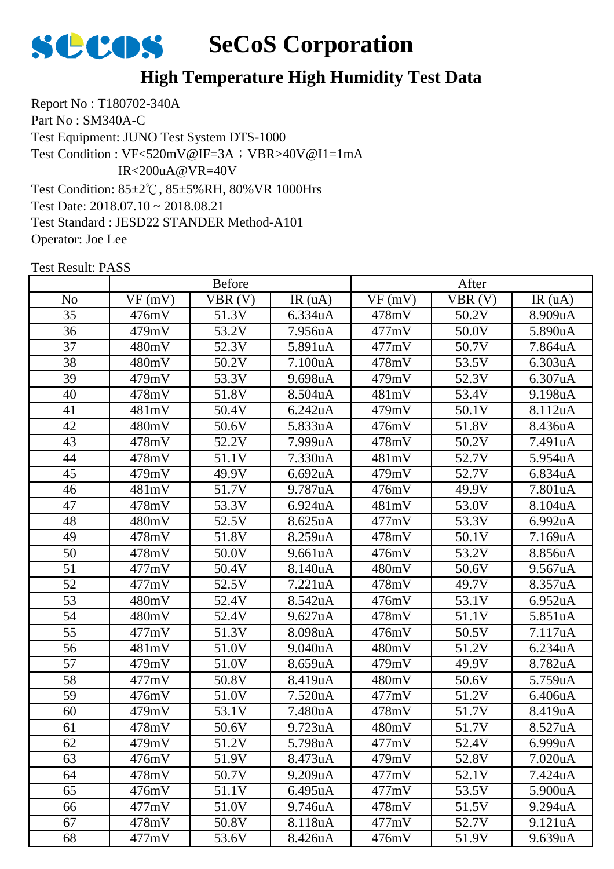

#### **High Temperature High Humidity Test Data**

Report No : T180702-340A Part No : SM340A-C Test Equipment: JUNO Test System DTS-1000 Test Condition: 85±2℃, 85±5%RH, 80%VR 1000Hrs Test Date: 2018.07.10 ~ 2018.08.21 Test Standard : JESD22 STANDER Method-A101 Operator: Joe Lee Test Condition : VF<520mV@IF=3A; VBR>40V@I1=1mA IR<200uA@VR=40V

|                 |        | <b>Before</b> |         |        | After  |         |
|-----------------|--------|---------------|---------|--------|--------|---------|
| No              | VF(mV) | VBR(V)        | IR(uA)  | VF(mV) | VBR(V) | IR(uA)  |
| 35              | 476mV  | 51.3V         | 6.334uA | 478mV  | 50.2V  | 8.909uA |
| 36              | 479mV  | 53.2V         | 7.956uA | 477mV  | 50.0V  | 5.890uA |
| 37              | 480mV  | 52.3V         | 5.891uA | 477mV  | 50.7V  | 7.864uA |
| 38              | 480mV  | 50.2V         | 7.100uA | 478mV  | 53.5V  | 6.303uA |
| 39              | 479mV  | 53.3V         | 9.698uA | 479mV  | 52.3V  | 6.307uA |
| 40              | 478mV  | 51.8V         | 8.504uA | 481mV  | 53.4V  | 9.198uA |
| 41              | 481mV  | 50.4V         | 6.242uA | 479mV  | 50.1V  | 8.112uA |
| 42              | 480mV  | 50.6V         | 5.833uA | 476mV  | 51.8V  | 8.436uA |
| 43              | 478mV  | 52.2V         | 7.999uA | 478mV  | 50.2V  | 7.491uA |
| 44              | 478mV  | 51.1V         | 7.330uA | 481mV  | 52.7V  | 5.954uA |
| 45              | 479mV  | 49.9V         | 6.692uA | 479mV  | 52.7V  | 6.834uA |
| 46              | 481mV  | 51.7V         | 9.787uA | 476mV  | 49.9V  | 7.801uA |
| 47              | 478mV  | 53.3V         | 6.924uA | 481mV  | 53.0V  | 8.104uA |
| 48              | 480mV  | 52.5V         | 8.625uA | 477mV  | 53.3V  | 6.992uA |
| 49              | 478mV  | 51.8V         | 8.259uA | 478mV  | 50.1V  | 7.169uA |
| 50              | 478mV  | 50.0V         | 9.661uA | 476mV  | 53.2V  | 8.856uA |
| 51              | 477mV  | 50.4V         | 8.140uA | 480mV  | 50.6V  | 9.567uA |
| 52              | 477mV  | 52.5V         | 7.221uA | 478mV  | 49.7V  | 8.357uA |
| $\overline{53}$ | 480mV  | 52.4V         | 8.542uA | 476mV  | 53.1V  | 6.952uA |
| 54              | 480mV  | 52.4V         | 9.627uA | 478mV  | 51.1V  | 5.851uA |
| 55              | 477mV  | 51.3V         | 8.098uA | 476mV  | 50.5V  | 7.117uA |
| 56              | 481mV  | 51.0V         | 9.040uA | 480mV  | 51.2V  | 6.234uA |
| 57              | 479mV  | 51.0V         | 8.659uA | 479mV  | 49.9V  | 8.782uA |
| 58              | 477mV  | 50.8V         | 8.419uA | 480mV  | 50.6V  | 5.759uA |
| 59              | 476mV  | 51.0V         | 7.520uA | 477mV  | 51.2V  | 6.406uA |
| 60              | 479mV  | 53.1V         | 7.480uA | 478mV  | 51.7V  | 8.419uA |
| 61              | 478mV  | 50.6V         | 9.723uA | 480mV  | 51.7V  | 8.527uA |
| 62              | 479mV  | 51.2V         | 5.798uA | 477mV  | 52.4V  | 6.999uA |
| 63              | 476mV  | 51.9V         | 8.473uA | 479mV  | 52.8V  | 7.020uA |
| 64              | 478mV  | 50.7V         | 9.209uA | 477mV  | 52.1V  | 7.424uA |
| 65              | 476mV  | 51.1V         | 6.495uA | 477mV  | 53.5V  | 5.900uA |
| 66              | 477mV  | 51.0V         | 9.746uA | 478mV  | 51.5V  | 9.294uA |
| 67              | 478mV  | 50.8V         | 8.118uA | 477mV  | 52.7V  | 9.121uA |
| 68              | 477mV  | 53.6V         | 8.426uA | 476mV  | 51.9V  | 9.639uA |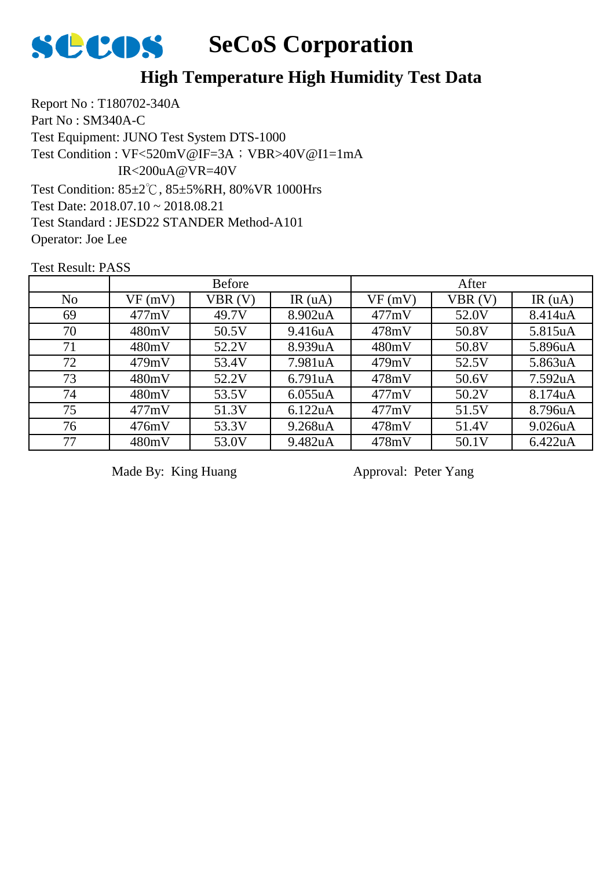

#### **High Temperature High Humidity Test Data**

Report No : T180702-340A Part No : SM340A-C Test Equipment: JUNO Test System DTS-1000 Test Condition: 85±2℃, 85±5%RH, 80%VR 1000Hrs Test Date: 2018.07.10 ~ 2018.08.21 Test Standard : JESD22 STANDER Method-A101 Operator: Joe Lee Test Condition : VF<520mV@IF=3A; VBR>40V@I1=1mA IR<200uA@VR=40V

Test Result: PASS

|                | <b>Before</b> |        |           | After  |        |           |
|----------------|---------------|--------|-----------|--------|--------|-----------|
| N <sub>o</sub> | VF(mV)        | VBR(V) | IR $(uA)$ | VF(mV) | VBR(V) | IR $(uA)$ |
| 69             | 477mV         | 49.7V  | 8.902uA   | 477mV  | 52.0V  | 8.414uA   |
| 70             | 480mV         | 50.5V  | 9.416uA   | 478mV  | 50.8V  | 5.815uA   |
| 71             | 480mV         | 52.2V  | 8.939uA   | 480mV  | 50.8V  | 5.896uA   |
| 72             | 479mV         | 53.4V  | 7.981uA   | 479mV  | 52.5V  | 5.863uA   |
| 73             | 480mV         | 52.2V  | 6.791uA   | 478mV  | 50.6V  | 7.592uA   |
| 74             | 480mV         | 53.5V  | 6.055uA   | 477mV  | 50.2V  | 8.174uA   |
| 75             | 477mV         | 51.3V  | 6.122uA   | 477mV  | 51.5V  | 8.796uA   |
| 76             | 476mV         | 53.3V  | 9.268uA   | 478mV  | 51.4V  | 9.026uA   |
| 77             | 480mV         | 53.0V  | 9.482uA   | 478mV  | 50.1V  | 6.422uA   |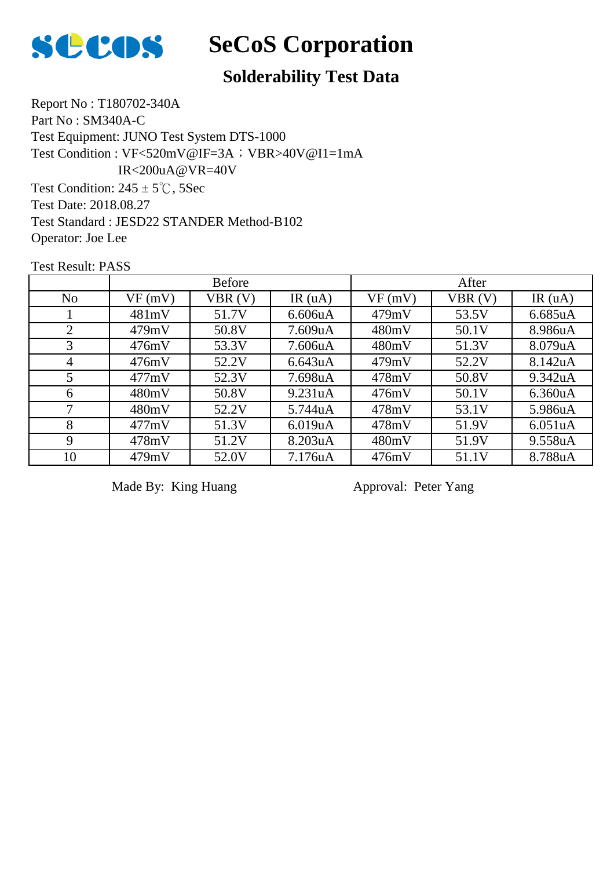

#### **Solderability Test Data**

Report No : T180702-340A Part No : SM340A-C Test Equipment: JUNO Test System DTS-1000 Test Condition:  $245 \pm 5^{\circ}$ C, 5Sec Test Date: 2018.08.27 Test Standard : JESD22 STANDER Method-B102 Operator: Joe Lee Test Condition : VF<520mV@IF=3A; VBR>40V@I1=1mA IR<200uA@VR=40V

Test Result: PASS

|                | <b>Before</b> |        |                      | After  |        |           |
|----------------|---------------|--------|----------------------|--------|--------|-----------|
| N <sub>o</sub> | VF(mV)        | VBR(V) | IR $(uA)$            | VF(mV) | VBR(V) | IR $(uA)$ |
|                | 481mV         | 51.7V  | 6.606uA              | 479mV  | 53.5V  | 6.685uA   |
| 2              | 479mV         | 50.8V  | 7.609uA              | 480mV  | 50.1V  | 8.986uA   |
| 3              | 476mV         | 53.3V  | 7.606 <sub>u</sub> A | 480mV  | 51.3V  | 8.079uA   |
| 4              | 476mV         | 52.2V  | 6.643uA              | 479mV  | 52.2V  | 8.142uA   |
| 5              | 477mV         | 52.3V  | 7.698uA              | 478mV  | 50.8V  | 9.342uA   |
| 6              | 480mV         | 50.8V  | 9.231 <sub>u</sub> A | 476mV  | 50.1V  | 6.360uA   |
| 7              | 480mV         | 52.2V  | 5.744uA              | 478mV  | 53.1V  | 5.986uA   |
| 8              | 477mV         | 51.3V  | 6.019uA              | 478mV  | 51.9V  | 6.051uA   |
| 9              | 478mV         | 51.2V  | 8.203uA              | 480mV  | 51.9V  | 9.558uA   |
| 10             | 479mV         | 52.0V  | 7.176 <sub>u</sub> A | 476mV  | 51.1V  | 8.788uA   |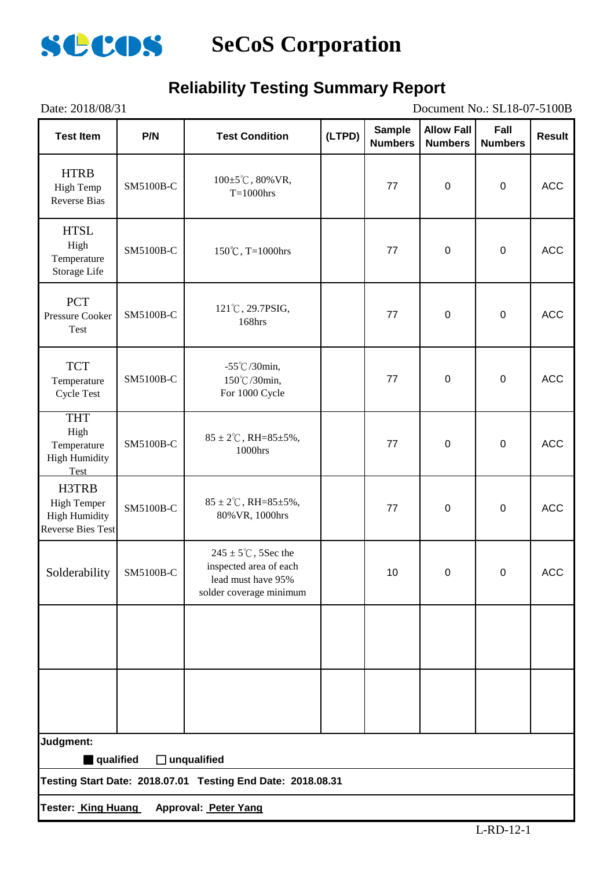

### **Reliability Testing Summary Report**

| Document No.: SL18-07-5100B<br>Date: 2018/08/31                                 |           |                                                                                                            |        |                                 |                                     |                        |            |  |  |
|---------------------------------------------------------------------------------|-----------|------------------------------------------------------------------------------------------------------------|--------|---------------------------------|-------------------------------------|------------------------|------------|--|--|
| <b>Test Item</b>                                                                | P/N       | <b>Test Condition</b>                                                                                      | (LTPD) | <b>Sample</b><br><b>Numbers</b> | <b>Allow Fall</b><br><b>Numbers</b> | Fall<br><b>Numbers</b> | Result     |  |  |
| <b>HTRB</b><br>High Temp<br><b>Reverse Bias</b>                                 | SM5100B-C | $100 \pm 5^{\circ}$ C, 80% VR,<br>$T=1000$ hrs                                                             |        | 77                              | $\mathbf 0$                         | $\boldsymbol{0}$       | <b>ACC</b> |  |  |
| <b>HTSL</b><br>High<br>Temperature<br>Storage Life                              | SM5100B-C | 150°C, T=1000hrs                                                                                           |        | 77                              | $\pmb{0}$                           | $\pmb{0}$              | <b>ACC</b> |  |  |
| <b>PCT</b><br>Pressure Cooker<br>Test                                           | SM5100B-C | 121°C, 29.7PSIG,<br>168hrs                                                                                 |        | 77                              | $\pmb{0}$                           | $\boldsymbol{0}$       | <b>ACC</b> |  |  |
| <b>TCT</b><br>Temperature<br><b>Cycle Test</b>                                  | SM5100B-C | $-55^{\circ}$ C/30min,<br>150℃/30min,<br>For 1000 Cycle                                                    |        | 77                              | $\boldsymbol{0}$                    | $\pmb{0}$              | <b>ACC</b> |  |  |
| <b>THT</b><br>High<br>Temperature<br><b>High Humidity</b><br>Test               | SM5100B-C | $85 \pm 2^{\circ}$ C, RH= $85 \pm 5\%$ ,<br>1000hrs                                                        |        | 77                              | $\boldsymbol{0}$                    | $\boldsymbol{0}$       | ACC        |  |  |
| H3TRB<br><b>High Temper</b><br><b>High Humidity</b><br><b>Reverse Bies Test</b> | SM5100B-C | $85 \pm 2^{\circ}$ C, RH= $85 \pm 5\%$ ,<br>80% VR, 1000hrs                                                |        | 77                              | $\boldsymbol{0}$                    | $\pmb{0}$              | <b>ACC</b> |  |  |
| Solderability                                                                   | SM5100B-C | $245 \pm 5^{\circ}$ C, 5Sec the<br>inspected area of each<br>lead must have 95%<br>solder coverage minimum |        | 10                              | 0                                   | 0                      | <b>ACC</b> |  |  |
|                                                                                 |           |                                                                                                            |        |                                 |                                     |                        |            |  |  |
|                                                                                 |           |                                                                                                            |        |                                 |                                     |                        |            |  |  |
| Judgment:                                                                       |           |                                                                                                            |        |                                 |                                     |                        |            |  |  |
| qualified                                                                       |           | $\Box$ unqualified<br>Testing Start Date: 2018.07.01 Testing End Date: 2018.08.31                          |        |                                 |                                     |                        |            |  |  |
|                                                                                 |           |                                                                                                            |        |                                 |                                     |                        |            |  |  |
| <b>Tester: King Huang</b><br>Approval: Peter Yang                               |           |                                                                                                            |        |                                 |                                     |                        |            |  |  |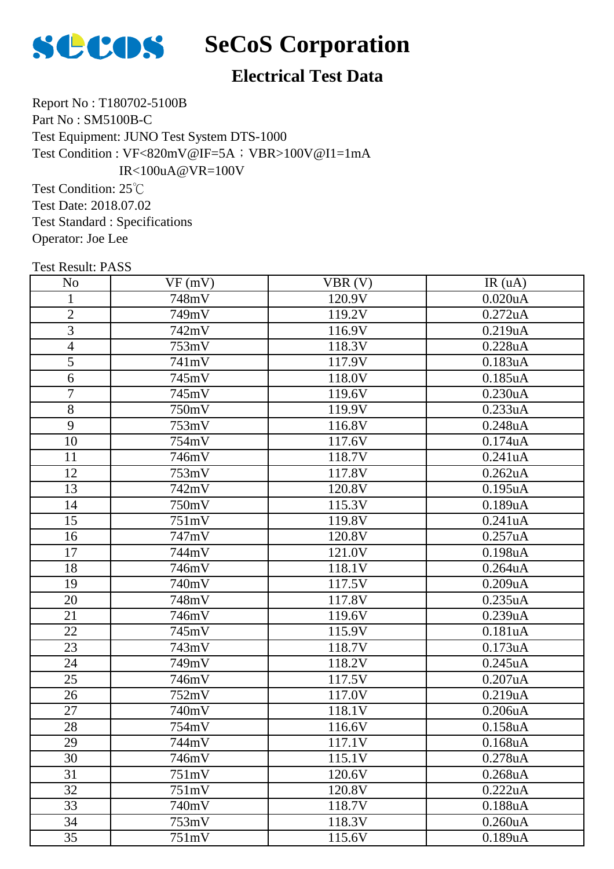

#### **Electrical Test Data**

Report No : T180702-5100B Part No : SM5100B-C Test Equipment: JUNO Test System DTS-1000 Test Condition : VF<820mV@IF=5A; VBR>100V@I1=1mA IR<100uA@VR=100V

Test Condition: 25℃ Test Date: 2018.07.02 Test Standard : Specifications Operator: Joe Lee

| <b>Test Result: PASS</b> |        |        |            |
|--------------------------|--------|--------|------------|
| N <sub>o</sub>           | VF(mV) | VBR(V) | IR(uA)     |
| 1                        | 748mV  | 120.9V | $0.020$ uA |
| $\overline{2}$           | 749mV  | 119.2V | 0.272uA    |
| 3                        | 742mV  | 116.9V | 0.219uA    |
| $\overline{4}$           | 753mV  | 118.3V | 0.228uA    |
| $\overline{5}$           | 741mV  | 117.9V | 0.183uA    |
| 6                        | 745mV  | 118.0V | 0.185uA    |
| $\overline{7}$           | 745mV  | 119.6V | 0.230uA    |
| 8                        | 750mV  | 119.9V | 0.233uA    |
| 9                        | 753mV  | 116.8V | 0.248uA    |
| 10                       | 754mV  | 117.6V | 0.174uA    |
| 11                       | 746mV  | 118.7V | 0.241uA    |
| 12                       | 753mV  | 117.8V | 0.262uA    |
| 13                       | 742mV  | 120.8V | $0.195$ uA |
| 14                       | 750mV  | 115.3V | 0.189uA    |
| 15                       | 751mV  | 119.8V | 0.241uA    |
| 16                       | 747mV  | 120.8V | 0.257uA    |
| 17                       | 744mV  | 121.0V | 0.198uA    |
| 18                       | 746mV  | 118.1V | $0.264$ uA |
| 19                       | 740mV  | 117.5V | 0.209uA    |
| 20                       | 748mV  | 117.8V | 0.235uA    |
| 21                       | 746mV  | 119.6V | 0.239uA    |
| 22                       | 745mV  | 115.9V | 0.181uA    |
| 23                       | 743mV  | 118.7V | 0.173uA    |
| 24                       | 749mV  | 118.2V | 0.245uA    |
| 25                       | 746mV  | 117.5V | 0.207uA    |
| 26                       | 752mV  | 117.0V | 0.219uA    |
| 27                       | 740mV  | 118.1V | 0.206uA    |
| 28                       | 754mV  | 116.6V | 0.158uA    |
| 29                       | 744mV  | 117.1V | 0.168uA    |
| 30                       | 746mV  | 115.1V | 0.278uA    |
| 31                       | 751mV  | 120.6V | 0.268uA    |
| 32                       | 751mV  | 120.8V | 0.222uA    |
| 33                       | 740mV  | 118.7V | 0.188uA    |
| 34                       | 753mV  | 118.3V | 0.260uA    |

35 | 751mV | 115.6V | 0.189uA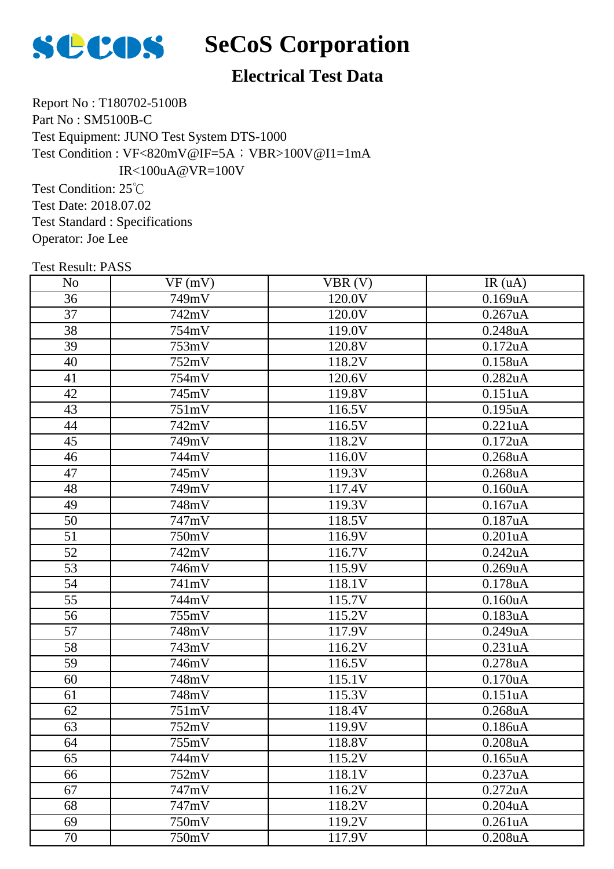

#### **Electrical Test Data**

Report No : T180702-5100B Part No : SM5100B-C Test Equipment: JUNO Test System DTS-1000 Test Condition : VF<820mV@IF=5A; VBR>100V@I1=1mA IR<100uA@VR=100V

Test Condition: 25℃ Test Date: 2018.07.02 Test Standard : Specifications Operator: Joe Lee

| <b>Test Result: PASS</b> |        |        |            |
|--------------------------|--------|--------|------------|
| N <sub>0</sub>           | VF(mV) | VBR(V) | IR(uA)     |
| 36                       | 749mV  | 120.0V | 0.169uA    |
| 37                       | 742mV  | 120.0V | $0.267$ uA |
| 38                       | 754mV  | 119.0V | 0.248uA    |
| 39                       | 753mV  | 120.8V | 0.172uA    |
| 40                       | 752mV  | 118.2V | 0.158uA    |
| 41                       | 754mV  | 120.6V | 0.282uA    |
| 42                       | 745mV  | 119.8V | 0.151uA    |
| 43                       | 751mV  | 116.5V | $0.195$ uA |
| 44                       | 742mV  | 116.5V | 0.221uA    |
| 45                       | 749mV  | 118.2V | 0.172uA    |
| 46                       | 744mV  | 116.0V | $0.268$ uA |
| 47                       | 745mV  | 119.3V | $0.268$ uA |
| 48                       | 749mV  | 117.4V | 0.160uA    |
| 49                       | 748mV  | 119.3V | 0.167uA    |
| 50                       | 747mV  | 118.5V | 0.187uA    |
| 51                       | 750mV  | 116.9V | $0.201$ uA |
| 52                       | 742mV  | 116.7V | 0.242uA    |
| 53                       | 746mV  | 115.9V | 0.269uA    |
| 54                       | 741mV  | 118.1V | 0.178uA    |
| 55                       | 744mV  | 115.7V | 0.160uA    |
| 56                       | 755mV  | 115.2V | 0.183uA    |
| 57                       | 748mV  | 117.9V | 0.249uA    |
| 58                       | 743mV  | 116.2V | 0.231uA    |
| 59                       | 746mV  | 116.5V | 0.278uA    |
| 60                       | 748mV  | 115.1V | 0.170uA    |
| 61                       | 748mV  | 115.3V | 0.151uA    |
| 62                       | 751mV  | 118.4V | $0.268$ uA |
| 63                       | 752mV  | 119.9V | 0.186uA    |
| 64                       | 755mV  | 118.8V | 0.208uA    |
| 65                       | 744mV  | 115.2V | $0.165$ uA |
| 66                       | 752mV  | 118.1V | 0.237uA    |
| 67                       | 747mV  | 116.2V | 0.272uA    |
| 68                       | 747mV  | 118.2V | 0.204uA    |
| 69                       | 750mV  | 119.2V | 0.261uA    |

70 | 750mV | 117.9V | 0.208uA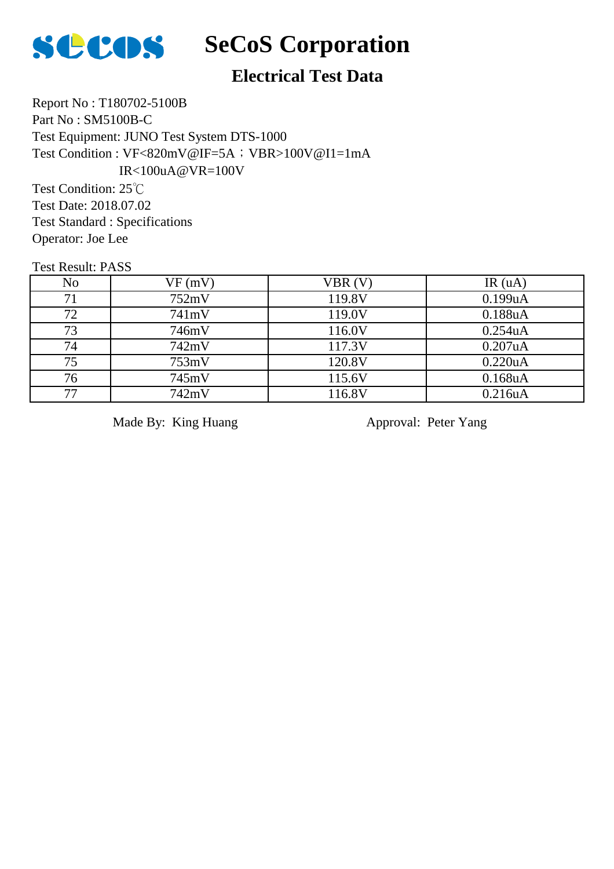

#### **Electrical Test Data**

Report No : T180702-5100B Part No : SM5100B-C Test Equipment: JUNO Test System DTS-1000 Test Condition : VF<820mV@IF=5A; VBR>100V@I1=1mA IR<100uA@VR=100V

Test Condition: 25℃ Test Date: 2018.07.02 Test Standard : Specifications Operator: Joe Lee

Test Result: PASS

| N <sub>o</sub> | VF(mV) | VBR(V) | IR(uA)  |
|----------------|--------|--------|---------|
| 71             | 752mV  | 119.8V | 0.199uA |
| 72             | 741mV  | 119.0V | 0.188uA |
| 73             | 746mV  | 116.0V | 0.254uA |
| 74             | 742mV  | 117.3V | 0.207uA |
| 75             | 753mV  | 120.8V | 0.220uA |
| 76             | 745mV  | 115.6V | 0.168uA |
| 77             | 742mV  | 116.8V | 0.216uA |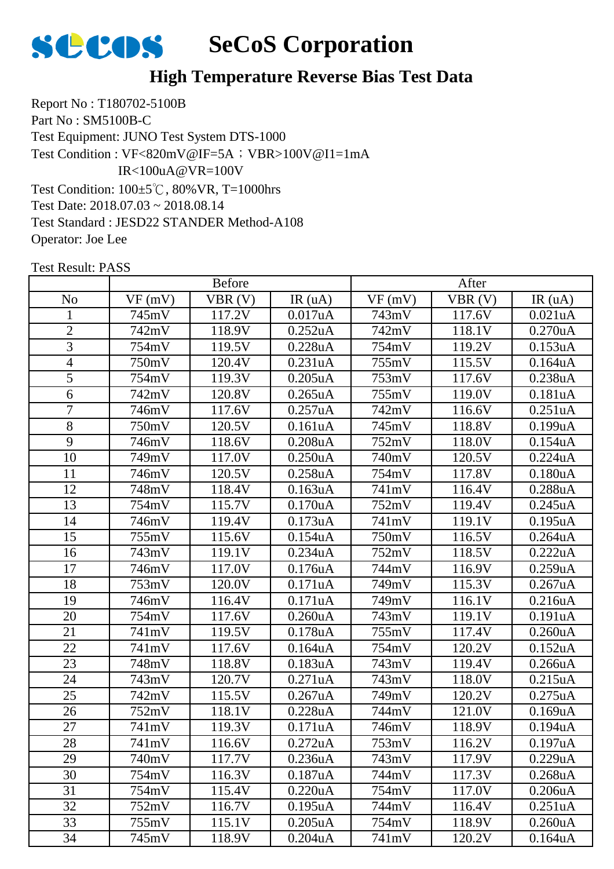

Report No : T180702-5100B Part No : SM5100B-C Test Equipment: JUNO Test System DTS-1000 Test Condition: 100±5℃, 80%VR, T=1000hrs Test Date: 2018.07.03 ~ 2018.08.14 Test Standard : JESD22 STANDER Method-A108 Operator: Joe Lee Test Condition : VF<820mV@IF=5A; VBR>100V@I1=1mA IR<100uA@VR=100V

|                |        | <b>Before</b> |                      |        | After  |                      |
|----------------|--------|---------------|----------------------|--------|--------|----------------------|
| N <sub>0</sub> | VF(mV) | VBR(V)        | IR(uA)               | VF(mV) | VBR(V) | IR(uA)               |
| $\mathbf{1}$   | 745mV  | 117.2V        | 0.017uA              | 743mV  | 117.6V | 0.021uA              |
| $\overline{2}$ | 742mV  | 118.9V        | 0.252uA              | 742mV  | 118.1V | 0.270uA              |
| 3              | 754mV  | 119.5V        | 0.228uA              | 754mV  | 119.2V | 0.153uA              |
| 4              | 750mV  | 120.4V        | 0.231uA              | 755mV  | 115.5V | 0.164uA              |
| 5              | 754mV  | 119.3V        | 0.205uA              | 753mV  | 117.6V | 0.238uA              |
| 6              | 742mV  | 120.8V        | 0.265uA              | 755mV  | 119.0V | 0.181uA              |
| $\overline{7}$ | 746mV  | 117.6V        | 0.257uA              | 742mV  | 116.6V | 0.251uA              |
| 8              | 750mV  | 120.5V        | 0.161uA              | 745mV  | 118.8V | 0.199uA              |
| 9              | 746mV  | 118.6V        | 0.208uA              | 752mV  | 118.0V | 0.154uA              |
| 10             | 749mV  | 117.0V        | 0.250uA              | 740mV  | 120.5V | 0.224uA              |
| 11             | 746mV  | 120.5V        | 0.258uA              | 754mV  | 117.8V | 0.180 <sub>u</sub> A |
| 12             | 748mV  | 118.4V        | 0.163uA              | 741mV  | 116.4V | 0.288uA              |
| 13             | 754mV  | 115.7V        | 0.170uA              | 752mV  | 119.4V | 0.245uA              |
| 14             | 746mV  | 119.4V        | 0.173uA              | 741mV  | 119.1V | 0.195uA              |
| 15             | 755mV  | 115.6V        | 0.154uA              | 750mV  | 116.5V | 0.264uA              |
| 16             | 743mV  | 119.1V        | 0.234uA              | 752mV  | 118.5V | 0.222uA              |
| 17             | 746mV  | 117.0V        | 0.176uA              | 744mV  | 116.9V | 0.259uA              |
| 18             | 753mV  | 120.0V        | 0.171uA              | 749mV  | 115.3V | 0.267uA              |
| 19             | 746mV  | 116.4V        | 0.171uA              | 749mV  | 116.1V | 0.216uA              |
| 20             | 754mV  | 117.6V        | 0.260uA              | 743mV  | 119.1V | 0.191uA              |
| 21             | 741mV  | 119.5V        | 0.178uA              | 755mV  | 117.4V | 0.260uA              |
| 22             | 741mV  | 117.6V        | 0.164uA              | 754mV  | 120.2V | 0.152uA              |
| 23             | 748mV  | 118.8V        | 0.183uA              | 743mV  | 119.4V | 0.266uA              |
| 24             | 743mV  | 120.7V        | 0.271uA              | 743mV  | 118.0V | 0.215uA              |
| 25             | 742mV  | 115.5V        | 0.267uA              | 749mV  | 120.2V | 0.275uA              |
| 26             | 752mV  | 118.1V        | 0.228uA              | 744mV  | 121.0V | 0.169uA              |
| 27             | 741mV  | 119.3V        | 0.171uA              | 746mV  | 118.9V | 0.194uA              |
| 28             | 741mV  | 116.6V        | 0.272uA              | 753mV  | 116.2V | 0.197uA              |
| 29             | 740mV  | 117.7V        | 0.236 <sub>u</sub> A | 743mV  | 117.9V | 0.229uA              |
| 30             | 754mV  | 116.3V        | 0.187uA              | 744mV  | 117.3V | 0.268uA              |
| 31             | 754mV  | 115.4V        | 0.220uA              | 754mV  | 117.0V | 0.206uA              |
| 32             | 752mV  | 116.7V        | 0.195uA              | 744mV  | 116.4V | 0.251uA              |
| 33             | 755mV  | 115.1V        | $0.205$ uA           | 754mV  | 118.9V | 0.260uA              |
| 34             | 745mV  | 118.9V        | $0.204$ u $A$        | 741mV  | 120.2V | $0.164$ uA           |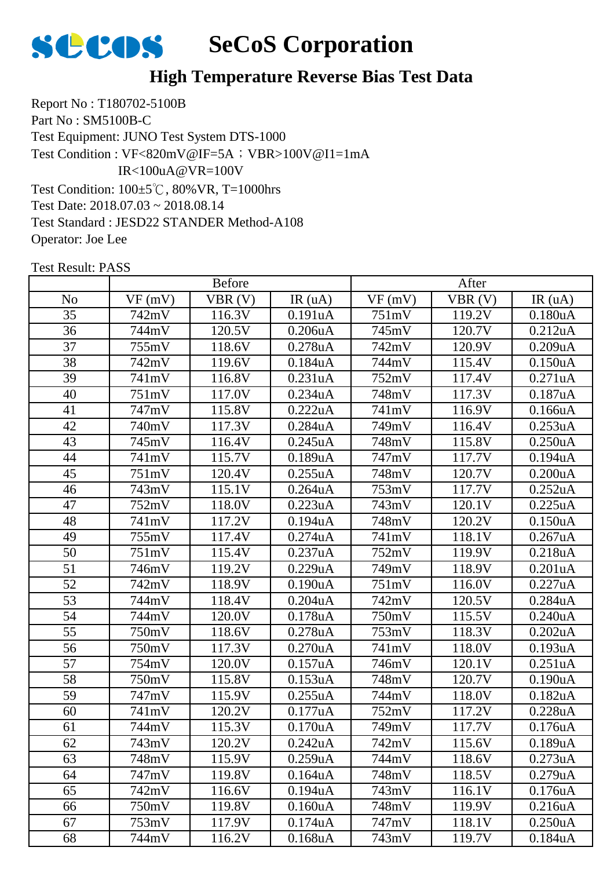

Report No : T180702-5100B Part No : SM5100B-C Test Equipment: JUNO Test System DTS-1000 Test Condition: 100±5℃, 80%VR, T=1000hrs Test Date: 2018.07.03 ~ 2018.08.14 Test Standard : JESD22 STANDER Method-A108 Operator: Joe Lee Test Condition : VF<820mV@IF=5A; VBR>100V@I1=1mA IR<100uA@VR=100V

|                 | <b>Before</b> |        |                      | After  |        |                      |
|-----------------|---------------|--------|----------------------|--------|--------|----------------------|
| N <sub>o</sub>  | VF(mV)        | VBR(V) | IR(uA)               | VF(mV) | VBR(V) | IR(uA)               |
| 35              | 742mV         | 116.3V | 0.191uA              | 751mV  | 119.2V | 0.180uA              |
| 36              | 744mV         | 120.5V | 0.206uA              | 745mV  | 120.7V | 0.212uA              |
| 37              | 755mV         | 118.6V | 0.278uA              | 742mV  | 120.9V | 0.209uA              |
| 38              | 742mV         | 119.6V | 0.184uA              | 744mV  | 115.4V | 0.150uA              |
| 39              | 741mV         | 116.8V | 0.231uA              | 752mV  | 117.4V | 0.271uA              |
| 40              | 751mV         | 117.0V | 0.234uA              | 748mV  | 117.3V | 0.187uA              |
| 41              | 747mV         | 115.8V | 0.222uA              | 741mV  | 116.9V | 0.166uA              |
| 42              | 740mV         | 117.3V | 0.284uA              | 749mV  | 116.4V | 0.253uA              |
| 43              | 745mV         | 116.4V | 0.245uA              | 748mV  | 115.8V | 0.250 <sub>u</sub> A |
| 44              | 741mV         | 115.7V | 0.189uA              | 747mV  | 117.7V | 0.194uA              |
| 45              | 751mV         | 120.4V | 0.255uA              | 748mV  | 120.7V | 0.200uA              |
| 46              | 743mV         | 115.1V | 0.264uA              | 753mV  | 117.7V | 0.252uA              |
| 47              | 752mV         | 118.0V | 0.223uA              | 743mV  | 120.1V | 0.225uA              |
| 48              | 741mV         | 117.2V | 0.194uA              | 748mV  | 120.2V | 0.150uA              |
| 49              | 755mV         | 117.4V | 0.274uA              | 741mV  | 118.1V | $0.267$ uA           |
| $\overline{50}$ | 751mV         | 115.4V | 0.237uA              | 752mV  | 119.9V | 0.218uA              |
| 51              | 746mV         | 119.2V | 0.229uA              | 749mV  | 118.9V | 0.201uA              |
| 52              | 742mV         | 118.9V | 0.190uA              | 751mV  | 116.0V | 0.227uA              |
| 53              | 744mV         | 118.4V | $0.204$ u $A$        | 742mV  | 120.5V | 0.284uA              |
| 54              | 744mV         | 120.0V | 0.178uA              | 750mV  | 115.5V | 0.240uA              |
| 55              | 750mV         | 118.6V | 0.278uA              | 753mV  | 118.3V | 0.202uA              |
| 56              | 750mV         | 117.3V | 0.270uA              | 741mV  | 118.0V | 0.193uA              |
| 57              | 754mV         | 120.0V | 0.157uA              | 746mV  | 120.1V | 0.251uA              |
| 58              | 750mV         | 115.8V | 0.153uA              | 748mV  | 120.7V | 0.190uA              |
| 59              | 747mV         | 115.9V | 0.255uA              | 744mV  | 118.0V | $0.182$ uA           |
| 60              | 741mV         | 120.2V | 0.177uA              | 752mV  | 117.2V | 0.228uA              |
| 61              | 744mV         | 115.3V | 0.170uA              | 749mV  | 117.7V | 0.176uA              |
| 62              | 743mV         | 120.2V | 0.242uA              | 742mV  | 115.6V | 0.189uA              |
| 63              | 748mV         | 115.9V | 0.259uA              | 744mV  | 118.6V | 0.273uA              |
| 64              | 747mV         | 119.8V | 0.164uA              | 748mV  | 118.5V | 0.279uA              |
| 65              | 742mV         | 116.6V | 0.194uA              | 743mV  | 116.1V | 0.176uA              |
| 66              | 750mV         | 119.8V | 0.160 <sub>u</sub> A | 748mV  | 119.9V | 0.216uA              |
| 67              | 753mV         | 117.9V | 0.174uA              | 747mV  | 118.1V | 0.250uA              |
| 68              | 744mV         | 116.2V | $0.168$ u $A$        | 743mV  | 119.7V | 0.184uA              |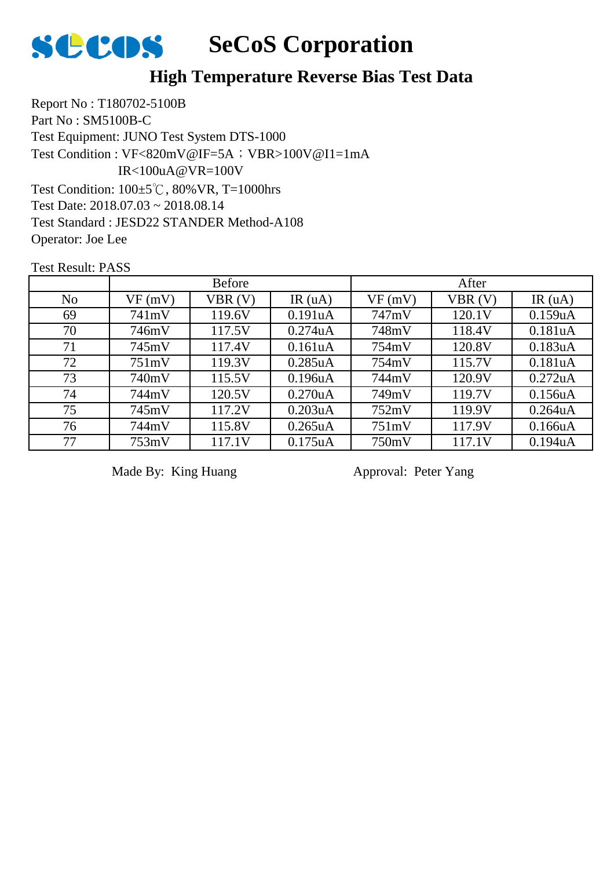

Report No : T180702-5100B Part No : SM5100B-C Test Equipment: JUNO Test System DTS-1000 Test Condition: 100±5℃, 80%VR, T=1000hrs Test Date: 2018.07.03 ~ 2018.08.14 Test Standard : JESD22 STANDER Method-A108 Operator: Joe Lee Test Condition : VF<820mV@IF=5A; VBR>100V@I1=1mA IR<100uA@VR=100V

Test Result: PASS

|                | <b>Before</b> |        |            | After  |        |            |
|----------------|---------------|--------|------------|--------|--------|------------|
| N <sub>o</sub> | VF(mV)        | VBR(V) | IR $(uA)$  | VF(mV) | VBR(V) | IR(uA)     |
| 69             | 741mV         | 119.6V | 0.191uA    | 747mV  | 120.1V | 0.159uA    |
| 70             | 746mV         | 117.5V | 0.274uA    | 748mV  | 118.4V | 0.181uA    |
| 71             | 745mV         | 117.4V | 0.161uA    | 754mV  | 120.8V | 0.183uA    |
| 72             | 751mV         | 119.3V | $0.285$ uA | 754mV  | 115.7V | 0.181uA    |
| 73             | 740mV         | 115.5V | 0.196uA    | 744mV  | 120.9V | 0.272uA    |
| 74             | 744mV         | 120.5V | 0.270uA    | 749mV  | 119.7V | 0.156uA    |
| 75             | 745mV         | 117.2V | 0.203uA    | 752mV  | 119.9V | $0.264$ uA |
| 76             | 744mV         | 115.8V | $0.265$ uA | 751mV  | 117.9V | 0.166uA    |
| 77             | 753mV         | 117.1V | 0.175uA    | 750mV  | 117.1V | 0.194uA    |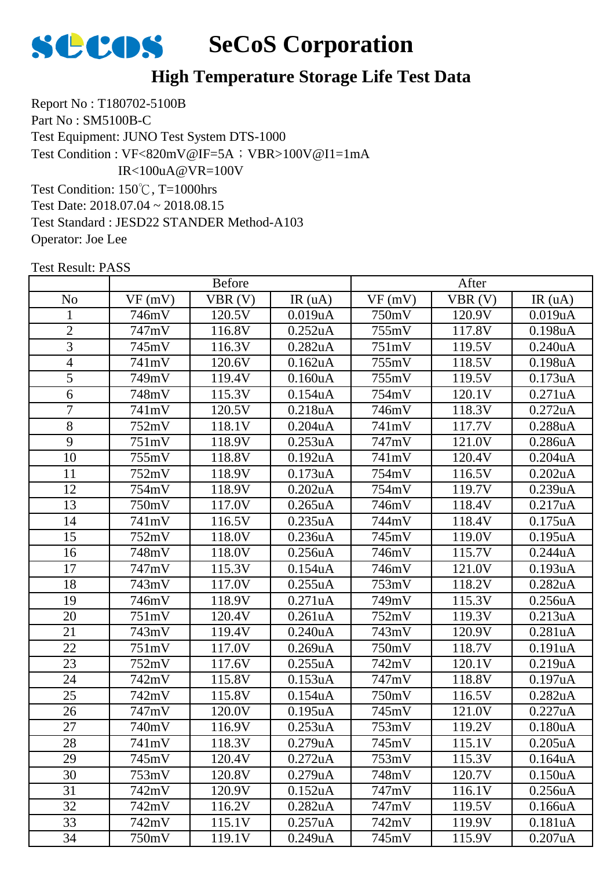

Report No : T180702-5100B Part No : SM5100B-C Test Equipment: JUNO Test System DTS-1000 Test Condition: 150℃, T=1000hrs Test Date: 2018.07.04 ~ 2018.08.15 Test Standard : JESD22 STANDER Method-A103 Operator: Joe Lee Test Condition : VF<820mV@IF=5A; VBR>100V@I1=1mA IR<100uA@VR=100V

|                | <b>Before</b> |        |               | After  |        |                      |
|----------------|---------------|--------|---------------|--------|--------|----------------------|
| N <sub>o</sub> | VF(mV)        | VBR(V) | IR(uA)        | VF(mV) | VBR(V) | IR(uA)               |
| $\mathbf{1}$   | 746mV         | 120.5V | 0.019uA       | 750mV  | 120.9V | 0.019uA              |
| $\overline{2}$ | 747mV         | 116.8V | 0.252uA       | 755mV  | 117.8V | 0.198uA              |
| 3              | 745mV         | 116.3V | 0.282uA       | 751mV  | 119.5V | 0.240uA              |
| 4              | 741mV         | 120.6V | 0.162uA       | 755mV  | 118.5V | 0.198uA              |
| 5              | 749mV         | 119.4V | 0.160uA       | 755mV  | 119.5V | 0.173uA              |
| 6              | 748mV         | 115.3V | 0.154uA       | 754mV  | 120.1V | 0.271uA              |
| 7              | 741mV         | 120.5V | 0.218uA       | 746mV  | 118.3V | 0.272uA              |
| 8              | 752mV         | 118.1V | $0.204$ u $A$ | 741mV  | 117.7V | 0.288uA              |
| 9              | 751mV         | 118.9V | 0.253uA       | 747mV  | 121.0V | 0.286uA              |
| 10             | 755mV         | 118.8V | 0.192uA       | 741mV  | 120.4V | $0.204$ u $A$        |
| 11             | 752mV         | 118.9V | 0.173uA       | 754mV  | 116.5V | 0.202uA              |
| 12             | 754mV         | 118.9V | 0.202uA       | 754mV  | 119.7V | 0.239uA              |
| 13             | 750mV         | 117.0V | 0.265uA       | 746mV  | 118.4V | 0.217uA              |
| 14             | 741mV         | 116.5V | 0.235uA       | 744mV  | 118.4V | 0.175uA              |
| 15             | 752mV         | 118.0V | 0.236uA       | 745mV  | 119.0V | 0.195uA              |
| 16             | 748mV         | 118.0V | 0.256uA       | 746mV  | 115.7V | 0.244uA              |
| 17             | 747mV         | 115.3V | 0.154uA       | 746mV  | 121.0V | 0.193uA              |
| 18             | 743mV         | 117.0V | 0.255uA       | 753mV  | 118.2V | 0.282uA              |
| 19             | 746mV         | 118.9V | 0.271uA       | 749mV  | 115.3V | 0.256uA              |
| 20             | 751mV         | 120.4V | 0.261uA       | 752mV  | 119.3V | 0.213uA              |
| 21             | 743mV         | 119.4V | 0.240uA       | 743mV  | 120.9V | 0.281uA              |
| 22             | 751mV         | 117.0V | 0.269uA       | 750mV  | 118.7V | 0.191uA              |
| 23             | 752mV         | 117.6V | 0.255uA       | 742mV  | 120.1V | 0.219uA              |
| 24             | 742mV         | 115.8V | 0.153uA       | 747mV  | 118.8V | 0.197uA              |
| 25             | 742mV         | 115.8V | 0.154uA       | 750mV  | 116.5V | 0.282uA              |
| 26             | 747mV         | 120.0V | 0.195uA       | 745mV  | 121.0V | 0.227uA              |
| 27             | 740mV         | 116.9V | 0.253uA       | 753mV  | 119.2V | 0.180 <sub>u</sub> A |
| 28             | 741mV         | 118.3V | 0.279uA       | 745mV  | 115.1V | 0.205uA              |
| 29             | 745mV         | 120.4V | 0.272uA       | 753mV  | 115.3V | 0.164uA              |
| 30             | 753mV         | 120.8V | 0.279uA       | 748mV  | 120.7V | 0.150 <sub>u</sub> A |
| 31             | 742mV         | 120.9V | 0.152uA       | 747mV  | 116.1V | 0.256uA              |
| 32             | 742mV         | 116.2V | 0.282uA       | 747mV  | 119.5V | 0.166uA              |
| 33             | 742mV         | 115.1V | 0.257uA       | 742mV  | 119.9V | 0.181uA              |
| 34             | 750mV         | 119.1V | 0.249uA       | 745mV  | 115.9V | 0.207uA              |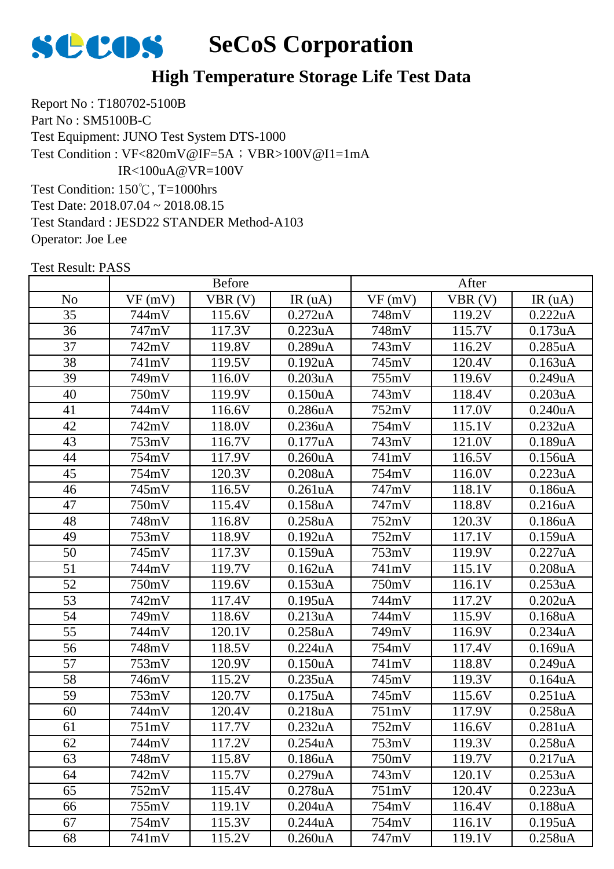

Report No : T180702-5100B Part No : SM5100B-C Test Equipment: JUNO Test System DTS-1000 Test Condition: 150℃, T=1000hrs Test Date: 2018.07.04 ~ 2018.08.15 Test Standard : JESD22 STANDER Method-A103 Test Condition : VF<820mV@IF=5A; VBR>100V@I1=1mA IR<100uA@VR=100V

Operator: Joe Lee

|                 | <b>Before</b> |        |                      | After  |        |                      |
|-----------------|---------------|--------|----------------------|--------|--------|----------------------|
| N <sub>o</sub>  | VF(mV)        | VBR(V) | IR(uA)               | VF(mV) | VBR(V) | IR(uA)               |
| 35              | 744mV         | 115.6V | 0.272uA              | 748mV  | 119.2V | 0.222uA              |
| 36              | 747mV         | 117.3V | 0.223uA              | 748mV  | 115.7V | 0.173uA              |
| 37              | 742mV         | 119.8V | 0.289uA              | 743mV  | 116.2V | 0.285uA              |
| 38              | 741mV         | 119.5V | 0.192uA              | 745mV  | 120.4V | 0.163uA              |
| 39              | 749mV         | 116.0V | 0.203uA              | 755mV  | 119.6V | 0.249uA              |
| 40              | 750mV         | 119.9V | 0.150uA              | 743mV  | 118.4V | 0.203uA              |
| 41              | 744mV         | 116.6V | 0.286uA              | 752mV  | 117.0V | 0.240uA              |
| 42              | 742mV         | 118.0V | 0.236uA              | 754mV  | 115.1V | 0.232uA              |
| 43              | 753mV         | 116.7V | 0.177uA              | 743mV  | 121.0V | 0.189uA              |
| 44              | 754mV         | 117.9V | 0.260uA              | 741mV  | 116.5V | 0.156uA              |
| 45              | 754mV         | 120.3V | 0.208uA              | 754mV  | 116.0V | 0.223uA              |
| 46              | 745mV         | 116.5V | 0.261uA              | 747mV  | 118.1V | 0.186uA              |
| 47              | 750mV         | 115.4V | 0.158uA              | 747mV  | 118.8V | 0.216uA              |
| 48              | 748mV         | 116.8V | 0.258uA              | 752mV  | 120.3V | 0.186uA              |
| 49              | 753mV         | 118.9V | 0.192uA              | 752mV  | 117.1V | 0.159uA              |
| 50              | 745mV         | 117.3V | 0.159uA              | 753mV  | 119.9V | 0.227uA              |
| 51              | 744mV         | 119.7V | 0.162uA              | 741mV  | 115.1V | 0.208uA              |
| $\overline{52}$ | 750mV         | 119.6V | 0.153uA              | 750mV  | 116.1V | 0.253uA              |
| 53              | 742mV         | 117.4V | 0.195uA              | 744mV  | 117.2V | 0.202uA              |
| 54              | 749mV         | 118.6V | 0.213uA              | 744mV  | 115.9V | $0.168$ u $A$        |
| 55              | 744mV         | 120.1V | 0.258uA              | 749mV  | 116.9V | 0.234uA              |
| 56              | 748mV         | 118.5V | 0.224uA              | 754mV  | 117.4V | 0.169uA              |
| 57              | 753mV         | 120.9V | 0.150uA              | 741mV  | 118.8V | 0.249uA              |
| 58              | 746mV         | 115.2V | 0.235uA              | 745mV  | 119.3V | 0.164uA              |
| 59              | 753mV         | 120.7V | 0.175uA              | 745mV  | 115.6V | 0.251uA              |
| 60              | 744mV         | 120.4V | 0.218uA              | 751mV  | 117.9V | 0.258uA              |
| 61              | 751mV         | 117.7V | 0.232uA              | 752mV  | 116.6V | 0.281uA              |
| 62              | 744mV         | 117.2V | 0.254uA              | 753mV  | 119.3V | 0.258uA              |
| 63              | 748mV         | 115.8V | 0.186uA              | 750mV  | 119.7V | 0.217uA              |
| 64              | 742mV         | 115.7V | 0.279uA              | 743mV  | 120.1V | 0.253uA              |
| 65              | 752mV         | 115.4V | 0.278uA              | 751mV  | 120.4V | 0.223uA              |
| 66              | 755mV         | 119.1V | $0.204$ uA           | 754mV  | 116.4V | 0.188uA              |
| 67              | 754mV         | 115.3V | 0.244uA              | 754mV  | 116.1V | 0.195uA              |
| 68              | 741mV         | 115.2V | 0.260 <sub>u</sub> A | 747mV  | 119.1V | 0.258 <sub>u</sub> A |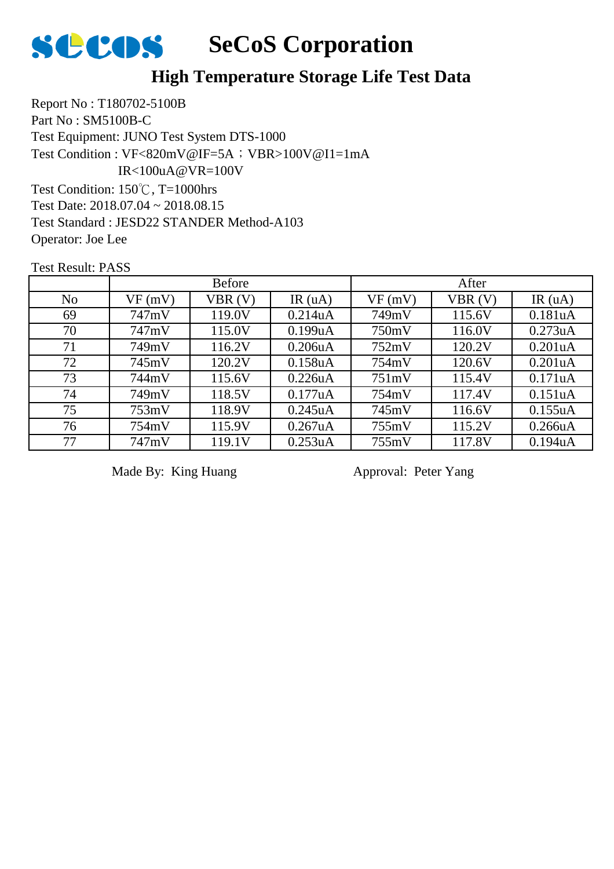

Report No : T180702-5100B Part No : SM5100B-C Test Equipment: JUNO Test System DTS-1000 Test Condition: 150℃, T=1000hrs Test Date: 2018.07.04 ~ 2018.08.15 Test Standard : JESD22 STANDER Method-A103 Operator: Joe Lee Test Condition : VF<820mV@IF=5A; VBR>100V@I1=1mA IR<100uA@VR=100V

Test Result: PASS

|                | <b>Before</b> |        |            | After  |        |                      |
|----------------|---------------|--------|------------|--------|--------|----------------------|
| N <sub>o</sub> | VF(mV)        | VBR(V) | IR(uA)     | VF(mV) | VBR(V) | IR $(uA)$            |
| 69             | 747mV         | 119.0V | 0.214uA    | 749mV  | 115.6V | 0.181uA              |
| 70             | 747mV         | 115.0V | 0.199uA    | 750mV  | 116.0V | 0.273uA              |
| 71             | 749mV         | 116.2V | 0.206uA    | 752mV  | 120.2V | 0.201 <sub>u</sub> A |
| 72             | 745mV         | 120.2V | 0.158uA    | 754mV  | 120.6V | 0.201 <sub>u</sub> A |
| 73             | 744mV         | 115.6V | 0.226uA    | 751mV  | 115.4V | 0.171uA              |
| 74             | 749mV         | 118.5V | 0.177uA    | 754mV  | 117.4V | 0.151uA              |
| 75             | 753mV         | 118.9V | 0.245uA    | 745mV  | 116.6V | 0.155uA              |
| 76             | 754mV         | 115.9V | $0.267$ uA | 755mV  | 115.2V | 0.266uA              |
| 77             | 747mV         | 119.1V | 0.253uA    | 755mV  | 117.8V | 0.194uA              |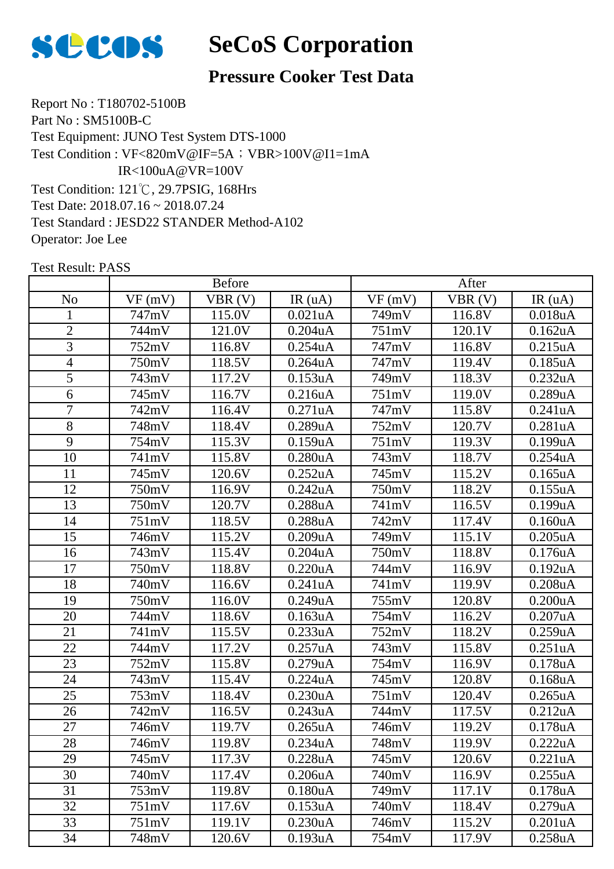

## **Pressure Cooker Test Data**

Report No : T180702-5100B Part No : SM5100B-C Test Equipment: JUNO Test System DTS-1000 Test Condition: 121℃, 29.7PSIG, 168Hrs Test Date: 2018.07.16 ~ 2018.07.24 Test Standard : JESD22 STANDER Method-A102 Operator: Joe Lee Test Condition : VF<820mV@IF=5A; VBR>100V@I1=1mA IR<100uA@VR=100V

|                | <b>Before</b> |        |                      | After  |        |               |
|----------------|---------------|--------|----------------------|--------|--------|---------------|
| N <sub>o</sub> | VF(mV)        | VBR(V) | IR(uA)               | VF(mV) | VBR(V) | IR(uA)        |
| 1              | 747mV         | 115.0V | 0.021uA              | 749mV  | 116.8V | 0.018uA       |
| $\overline{2}$ | 744mV         | 121.0V | $0.204$ u $A$        | 751mV  | 120.1V | 0.162uA       |
| 3              | 752mV         | 116.8V | 0.254uA              | 747mV  | 116.8V | 0.215uA       |
| $\overline{4}$ | 750mV         | 118.5V | $0.264$ uA           | 747mV  | 119.4V | 0.185uA       |
| 5              | 743mV         | 117.2V | 0.153uA              | 749mV  | 118.3V | 0.232uA       |
| 6              | 745mV         | 116.7V | 0.216uA              | 751mV  | 119.0V | 0.289uA       |
| $\overline{7}$ | 742mV         | 116.4V | 0.271uA              | 747mV  | 115.8V | 0.241uA       |
| 8              | 748mV         | 118.4V | 0.289uA              | 752mV  | 120.7V | 0.281uA       |
| 9              | 754mV         | 115.3V | 0.159uA              | 751mV  | 119.3V | $0.199$ u $A$ |
| 10             | 741mV         | 115.8V | 0.280uA              | 743mV  | 118.7V | 0.254uA       |
| 11             | 745mV         | 120.6V | 0.252uA              | 745mV  | 115.2V | $0.165$ uA    |
| 12             | 750mV         | 116.9V | 0.242uA              | 750mV  | 118.2V | 0.155uA       |
| 13             | 750mV         | 120.7V | 0.288uA              | 741mV  | 116.5V | 0.199uA       |
| 14             | 751mV         | 118.5V | 0.288uA              | 742mV  | 117.4V | 0.160uA       |
| 15             | 746mV         | 115.2V | 0.209uA              | 749mV  | 115.1V | $0.205$ uA    |
| 16             | 743mV         | 115.4V | 0.204uA              | 750mV  | 118.8V | 0.176uA       |
| 17             | 750mV         | 118.8V | 0.220uA              | 744mV  | 116.9V | 0.192uA       |
| 18             | 740mV         | 116.6V | 0.241uA              | 741mV  | 119.9V | 0.208uA       |
| 19             | 750mV         | 116.0V | 0.249uA              | 755mV  | 120.8V | 0.200uA       |
| 20             | 744mV         | 118.6V | 0.163uA              | 754mV  | 116.2V | 0.207uA       |
| 21             | 741mV         | 115.5V | 0.233uA              | 752mV  | 118.2V | 0.259uA       |
| 22             | 744mV         | 117.2V | 0.257uA              | 743mV  | 115.8V | 0.251uA       |
| 23             | 752mV         | 115.8V | 0.279uA              | 754mV  | 116.9V | 0.178uA       |
| 24             | 743mV         | 115.4V | 0.224uA              | 745mV  | 120.8V | 0.168uA       |
| 25             | 753mV         | 118.4V | 0.230uA              | 751mV  | 120.4V | $0.265$ uA    |
| 26             | 742mV         | 116.5V | 0.243uA              | 744mV  | 117.5V | 0.212uA       |
| 27             | 746mV         | 119.7V | 0.265uA              | 746mV  | 119.2V | 0.178uA       |
| 28             | 746mV         | 119.8V | 0.234uA              | 748mV  | 119.9V | 0.222uA       |
| 29             | 745mV         | 117.3V | 0.228uA              | 745mV  | 120.6V | 0.221uA       |
| 30             | 740mV         | 117.4V | 0.206uA              | 740mV  | 116.9V | 0.255uA       |
| 31             | 753mV         | 119.8V | 0.180 <sub>u</sub> A | 749mV  | 117.1V | 0.178uA       |
| 32             | 751mV         | 117.6V | 0.153uA              | 740mV  | 118.4V | 0.279uA       |
| 33             | 751mV         | 119.1V | 0.230uA              | 746mV  | 115.2V | 0.201uA       |
| 34             | 748mV         | 120.6V | 0.193uA              | 754mV  | 117.9V | 0.258uA       |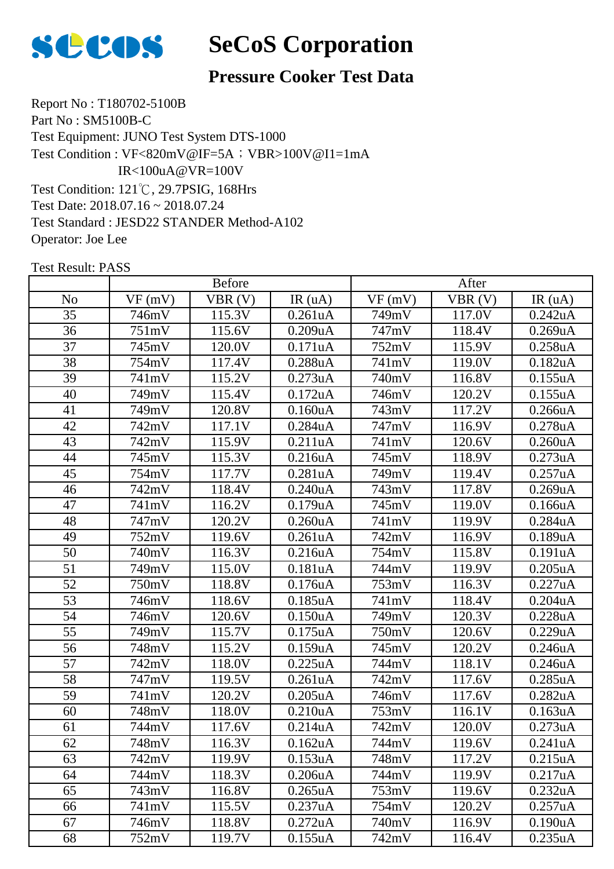

## **Pressure Cooker Test Data**

Report No : T180702-5100B Part No : SM5100B-C Test Equipment: JUNO Test System DTS-1000 Test Condition: 121℃, 29.7PSIG, 168Hrs Test Date: 2018.07.16 ~ 2018.07.24 Test Standard : JESD22 STANDER Method-A102 Operator: Joe Lee Test Condition : VF<820mV@IF=5A; VBR>100V@I1=1mA IR<100uA@VR=100V

|                 | <b>Before</b> |                     |            | After  |                      |               |
|-----------------|---------------|---------------------|------------|--------|----------------------|---------------|
| N <sub>o</sub>  | VF(mV)        | VBR(V)              | IR(uA)     | VF(mV) | VBR(V)               | IR(uA)        |
| 35              | 746mV         | 115.3V              | 0.261uA    | 749mV  | 117.0V               | 0.242uA       |
| 36              | 751mV         | 115.6V              | 0.209uA    | 747mV  | 118.4V               | 0.269uA       |
| 37              | 745mV         | 120.0V              | 0.171uA    | 752mV  | 115.9V               | 0.258uA       |
| 38              | 754mV         | 117.4V              | 0.288uA    | 741mV  | 119.0V               | 0.182uA       |
| 39              | 741mV         | 115.2V              | 0.273uA    | 740mV  | 116.8V               | 0.155uA       |
| 40              | 749mV         | 115.4V              | 0.172uA    | 746mV  | 120.2V               | 0.155uA       |
| 41              | 749mV         | 120.8V              | 0.160uA    | 743mV  | 117.2V               | 0.266uA       |
| 42              | 742mV         | 117.1V              | 0.284uA    | 747mV  | 116.9V               | 0.278uA       |
| 43              | 742mV         | 115.9V              | 0.211uA    | 741mV  | 120.6V               | 0.260uA       |
| 44              | 745mV         | 115.3V              | 0.216uA    | 745mV  | 118.9V               | 0.273uA       |
| 45              | 754mV         | 117.7V              | 0.281uA    | 749mV  | 119.4V               | 0.257uA       |
| 46              | 742mV         | 118.4V              | 0.240uA    | 743mV  | 117.8V               | 0.269uA       |
| 47              | 741mV         | 116.2V              | 0.179uA    | 745mV  | 119.0V               | 0.166uA       |
| 48              | 747mV         | $\overline{1}20.2V$ | 0.260uA    | 741mV  | $\overline{1}$ 19.9V | 0.284uA       |
| 49              | 752mV         | 119.6V              | 0.261uA    | 742mV  | 116.9V               | 0.189uA       |
| $\overline{50}$ | 740mV         | 116.3V              | 0.216uA    | 754mV  | 115.8V               | 0.191uA       |
| 51              | 749mV         | 115.0V              | 0.181uA    | 744mV  | 119.9V               | $0.205$ uA    |
| 52              | 750mV         | 118.8V              | 0.176uA    | 753mV  | 116.3V               | 0.227uA       |
| 53              | 746mV         | 118.6V              | $0.185$ uA | 741mV  | 118.4V               | $0.204$ u $A$ |
| 54              | 746mV         | 120.6V              | 0.150uA    | 749mV  | 120.3V               | 0.228uA       |
| 55              | 749mV         | 115.7V              | 0.175uA    | 750mV  | 120.6V               | 0.229uA       |
| 56              | 748mV         | 115.2V              | 0.159uA    | 745mV  | 120.2V               | 0.246uA       |
| 57              | 742mV         | 118.0V              | 0.225uA    | 744mV  | 118.1V               | 0.246uA       |
| 58              | 747mV         | 119.5V              | 0.261uA    | 742mV  | 117.6V               | 0.285uA       |
| 59              | 741mV         | 120.2V              | 0.205uA    | 746mV  | 117.6V               | 0.282uA       |
| 60              | 748mV         | 118.0V              | 0.210uA    | 753mV  | 116.1V               | 0.163uA       |
| 61              | 744mV         | 117.6V              | 0.214uA    | 742mV  | 120.0V               | 0.273uA       |
| 62              | 748mV         | 116.3V              | 0.162uA    | 744mV  | 119.6V               | 0.241uA       |
| 63              | 742mV         | 119.9V              | 0.153uA    | 748mV  | 117.2V               | 0.215uA       |
| 64              | 744mV         | 118.3V              | 0.206uA    | 744mV  | 119.9V               | 0.217uA       |
| 65              | 743mV         | 116.8V              | 0.265uA    | 753mV  | 119.6V               | 0.232uA       |
| 66              | 741mV         | 115.5V              | 0.237uA    | 754mV  | 120.2V               | 0.257uA       |
| 67              | 746mV         | 118.8V              | 0.272uA    | 740mV  | 116.9V               | 0.190uA       |
| 68              | 752mV         | 119.7V              | 0.155uA    | 742mV  | 116.4V               | 0.235uA       |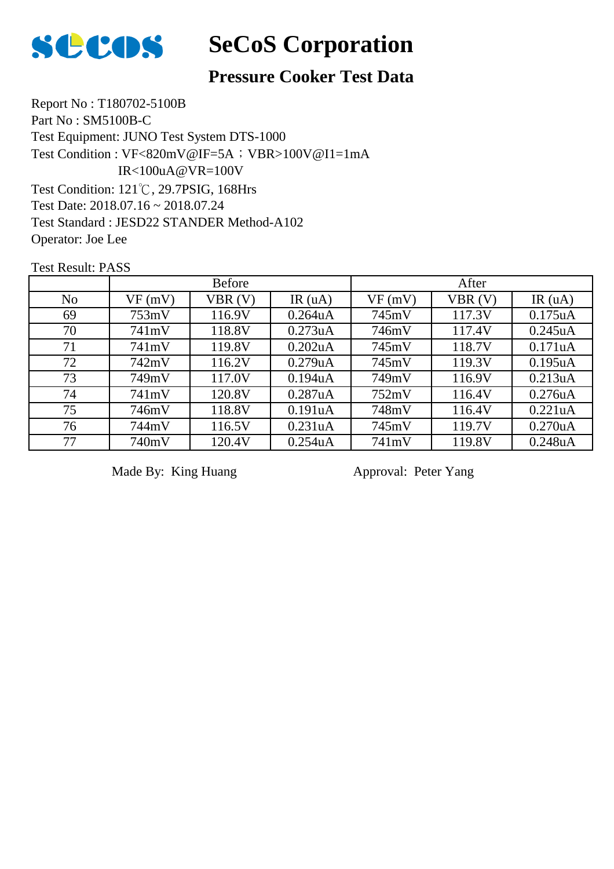

## **Pressure Cooker Test Data**

Report No : T180702-5100B Part No : SM5100B-C Test Equipment: JUNO Test System DTS-1000 Test Condition: 121℃, 29.7PSIG, 168Hrs Test Date: 2018.07.16 ~ 2018.07.24 Test Standard : JESD22 STANDER Method-A102 Operator: Joe Lee Test Condition : VF<820mV@IF=5A; VBR>100V@I1=1mA IR<100uA@VR=100V

Test Result: PASS

|                | <b>Before</b> |        |            | After  |        |               |
|----------------|---------------|--------|------------|--------|--------|---------------|
| N <sub>o</sub> | VF(mV)        | VBR(V) | IR $(uA)$  | VF(mV) | VBR(V) | IR $(uA)$     |
| 69             | 753mV         | 116.9V | $0.264$ uA | 745mV  | 117.3V | 0.175uA       |
| 70             | 741mV         | 118.8V | 0.273uA    | 746mV  | 117.4V | 0.245uA       |
| 71             | 741mV         | 119.8V | 0.202uA    | 745mV  | 118.7V | 0.171uA       |
| 72             | 742mV         | 116.2V | 0.279uA    | 745mV  | 119.3V | 0.195uA       |
| 73             | 749mV         | 117.0V | 0.194uA    | 749mV  | 116.9V | 0.213uA       |
| 74             | 741mV         | 120.8V | 0.287uA    | 752mV  | 116.4V | $0.276$ u $A$ |
| 75             | 746mV         | 118.8V | 0.191uA    | 748mV  | 116.4V | 0.221uA       |
| 76             | 744mV         | 116.5V | 0.231uA    | 745mV  | 119.7V | 0.270uA       |
| 77             | 740mV         | 120.4V | $0.254$ uA | 741mV  | 119.8V | 0.248uA       |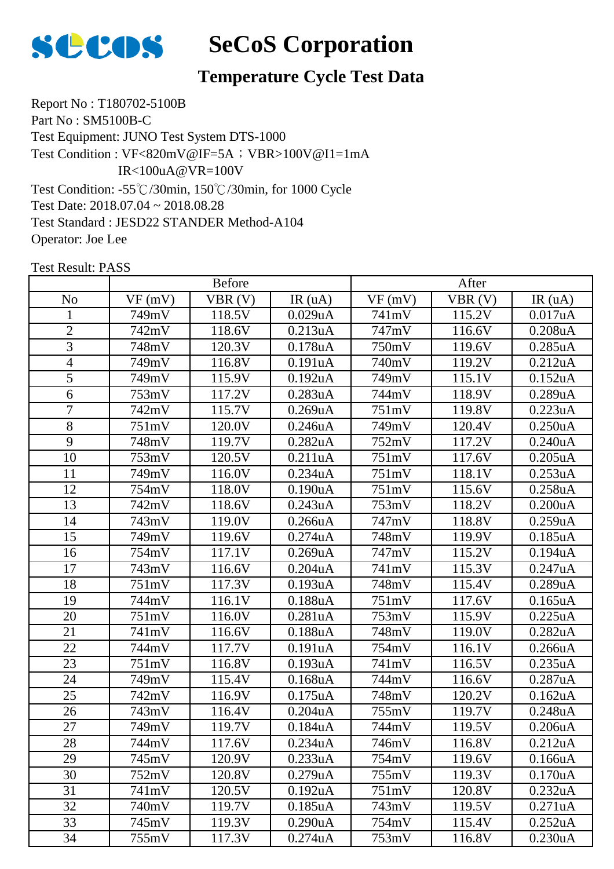

# **Temperature Cycle Test Data**

Report No : T180702-5100B Part No : SM5100B-C Test Equipment: JUNO Test System DTS-1000 Test Condition: -55℃/30min, 150℃/30min, for 1000 Cycle Test Date: 2018.07.04 ~ 2018.08.28 Test Standard : JESD22 STANDER Method-A104 Operator: Joe Lee Test Condition : VF<820mV@IF=5A; VBR>100V@I1=1mA IR<100uA@VR=100V

|                 | <b>Before</b> |        |            | After  |        |                       |
|-----------------|---------------|--------|------------|--------|--------|-----------------------|
| N <sub>o</sub>  | VF(mV)        | VBR(V) | IR(uA)     | VF(mV) | VBR(V) | IR(uA)                |
| 1               | 749mV         | 118.5V | 0.029uA    | 741mV  | 115.2V | 0.017uA               |
| $\overline{2}$  | 742mV         | 118.6V | 0.213uA    | 747mV  | 116.6V | 0.208uA               |
| 3               | 748mV         | 120.3V | 0.178uA    | 750mV  | 119.6V | 0.285uA               |
| $\overline{4}$  | 749mV         | 116.8V | 0.191uA    | 740mV  | 119.2V | 0.212uA               |
| 5               | 749mV         | 115.9V | 0.192uA    | 749mV  | 115.1V | 0.152uA               |
| 6               | 753mV         | 117.2V | 0.283uA    | 744mV  | 118.9V | 0.289uA               |
| $\overline{7}$  | 742mV         | 115.7V | 0.269uA    | 751mV  | 119.8V | 0.223uA               |
| 8               | 751mV         | 120.0V | 0.246uA    | 749mV  | 120.4V | 0.250uA               |
| 9               | 748mV         | 119.7V | 0.282uA    | 752mV  | 117.2V | 0.240uA               |
| 10              | 753mV         | 120.5V | 0.211uA    | 751mV  | 117.6V | $0.205$ uA            |
| 11              | 749mV         | 116.0V | 0.234uA    | 751mV  | 118.1V | 0.253uA               |
| 12              | 754mV         | 118.0V | 0.190uA    | 751mV  | 115.6V | 0.258uA               |
| 13              | 742mV         | 118.6V | 0.243uA    | 753mV  | 118.2V | 0.200uA               |
| 14              | 743mV         | 119.0V | 0.266uA    | 747mV  | 118.8V | 0.259uA               |
| 15              | 749mV         | 119.6V | 0.274uA    | 748mV  | 119.9V | 0.185uA               |
| 16              | 754mV         | 117.1V | 0.269uA    | 747mV  | 115.2V | 0.194uA               |
| 17              | 743mV         | 116.6V | 0.204uA    | 741mV  | 115.3V | 0.247uA               |
| 18              | 751mV         | 117.3V | 0.193uA    | 748mV  | 115.4V | 0.289uA               |
| 19              | 744mV         | 116.1V | 0.188uA    | 751mV  | 117.6V | $0.165$ uA            |
| 20              | 751mV         | 116.0V | 0.281uA    | 753mV  | 115.9V | 0.225uA               |
| 21              | 741mV         | 116.6V | 0.188uA    | 748mV  | 119.0V | 0.282uA               |
| 22              | 744mV         | 117.7V | 0.191uA    | 754mV  | 116.1V | 0.266uA               |
| $\overline{23}$ | 751mV         | 116.8V | 0.193uA    | 741mV  | 116.5V | 0.235uA               |
| 24              | 749mV         | 115.4V | 0.168uA    | 744mV  | 116.6V | 0.287uA               |
| 25              | 742mV         | 116.9V | 0.175uA    | 748mV  | 120.2V | 0.162uA               |
| 26              | 743mV         | 116.4V | 0.204uA    | 755mV  | 119.7V | 0.248uA               |
| 27              | 749mV         | 119.7V | 0.184uA    | 744mV  | 119.5V | 0.206uA               |
| 28              | 744mV         | 117.6V | 0.234uA    | 746mV  | 116.8V | $\overline{0.212}$ uA |
| 29              | 745mV         | 120.9V | 0.233uA    | 754mV  | 119.6V | 0.166uA               |
| 30              | 752mV         | 120.8V | 0.279uA    | 755mV  | 119.3V | 0.170uA               |
| 31              | 741mV         | 120.5V | 0.192uA    | 751mV  | 120.8V | 0.232uA               |
| 32              | 740mV         | 119.7V | $0.185$ uA | 743mV  | 119.5V | 0.271uA               |
| 33              | 745mV         | 119.3V | 0.290uA    | 754mV  | 115.4V | 0.252 <sub>u</sub> A  |
| 34              | 755mV         | 117.3V | 0.274uA    | 753mV  | 116.8V | 0.230 <sub>u</sub> A  |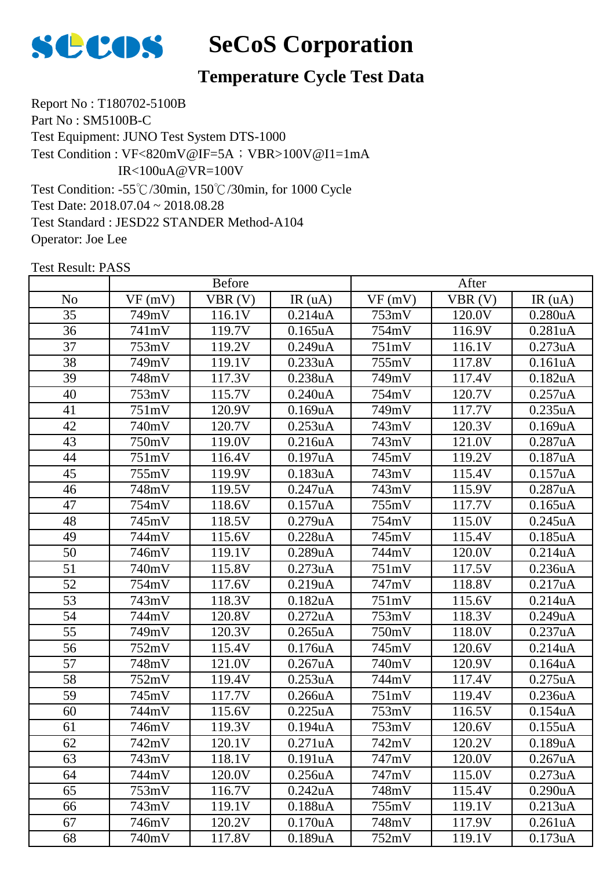

# **Temperature Cycle Test Data**

Report No : T180702-5100B Part No : SM5100B-C Test Equipment: JUNO Test System DTS-1000 Test Condition: -55℃/30min, 150℃/30min, for 1000 Cycle Test Date: 2018.07.04 ~ 2018.08.28 Test Standard : JESD22 STANDER Method-A104 Operator: Joe Lee Test Condition : VF<820mV@IF=5A; VBR>100V@I1=1mA IR<100uA@VR=100V

|                 | <b>Before</b> |        |            | After              |                     |            |
|-----------------|---------------|--------|------------|--------------------|---------------------|------------|
| N <sub>o</sub>  | VF(mV)        | VBR(V) | IR(uA)     | VF(mV)             | VBR(V)              | IR(uA)     |
| 35              | 749mV         | 116.1V | 0.214uA    | 753mV              | 120.0V              | 0.280uA    |
| 36              | 741mV         | 119.7V | $0.165$ uA | 754mV              | 116.9V              | 0.281uA    |
| 37              | 753mV         | 119.2V | 0.249uA    | 751mV              | 116.1V              | 0.273uA    |
| 38              | 749mV         | 119.1V | 0.233uA    | 755mV              | 117.8V              | 0.161uA    |
| 39              | 748mV         | 117.3V | 0.238uA    | 749mV              | 117.4V              | 0.182uA    |
| 40              | 753mV         | 115.7V | 0.240uA    | 754mV              | 120.7V              | 0.257uA    |
| 41              | 751mV         | 120.9V | 0.169uA    | 749mV              | 117.7V              | 0.235uA    |
| 42              | 740mV         | 120.7V | 0.253uA    | 743mV              | 120.3V              | 0.169uA    |
| 43              | 750mV         | 119.0V | 0.216uA    | 743mV              | 121.0V              | 0.287uA    |
| 44              | 751mV         | 116.4V | 0.197uA    | 745mV              | 119.2V              | 0.187uA    |
| 45              | 755mV         | 119.9V | 0.183uA    | 743mV              | 115.4V              | 0.157uA    |
| 46              | 748mV         | 119.5V | 0.247uA    | 743mV              | 115.9V              | 0.287uA    |
| 47              | 754mV         | 118.6V | 0.157uA    | 755mV              | 117.7V              | $0.165$ uA |
| 48              | 745mV         | 118.5V | 0.279uA    | 754mV              | 115.0V              | 0.245uA    |
| 49              | 744mV         | 115.6V | 0.228uA    | 745mV              | 115.4V              | 0.185uA    |
| 50              | 746mV         | 119.1V | 0.289uA    | 744mV              | 120.0V              | 0.214uA    |
| 51              | 740mV         | 115.8V | 0.273uA    | 751mV              | 117.5V              | 0.236uA    |
| 52              | 754mV         | 117.6V | 0.219uA    | 747mV              | 118.8V              | 0.217uA    |
| 53              | 743mV         | 118.3V | 0.182uA    | $\overline{7}51mV$ | 115.6V              | 0.214uA    |
| 54              | 744mV         | 120.8V | 0.272uA    | 753mV              | 118.3V              | 0.249uA    |
| $\overline{55}$ | 749mV         | 120.3V | 0.265uA    | 750mV              | $\overline{1}18.0V$ | 0.237uA    |
| 56              | 752mV         | 115.4V | 0.176uA    | 745mV              | 120.6V              | 0.214uA    |
| 57              | 748mV         | 121.0V | 0.267uA    | 740mV              | 120.9V              | 0.164uA    |
| 58              | 752mV         | 119.4V | 0.253uA    | 744mV              | 117.4V              | 0.275uA    |
| 59              | 745mV         | 117.7V | 0.266uA    | 751mV              | 119.4V              | 0.236uA    |
| 60              | 744mV         | 115.6V | 0.225uA    | 753mV              | 116.5V              | 0.154uA    |
| 61              | 746mV         | 119.3V | 0.194uA    | 753mV              | 120.6V              | 0.155uA    |
| 62              | 742mV         | 120.1V | 0.271uA    | 742mV              | 120.2V              | 0.189uA    |
| 63              | 743mV         | 118.1V | 0.191uA    | 747mV              | 120.0V              | 0.267uA    |
| 64              | 744mV         | 120.0V | 0.256uA    | 747mV              | 115.0V              | 0.273uA    |
| 65              | 753mV         | 116.7V | 0.242uA    | 748mV              | 115.4V              | 0.290uA    |
| 66              | 743mV         | 119.1V | $0.188$ uA | 755mV              | 119.1V              | 0.213uA    |
| 67              | 746mV         | 120.2V | 0.170uA    | 748mV              | 117.9V              | 0.261uA    |
| 68              | 740mV         | 117.8V | 0.189uA    | 752mV              | 119.1V              | 0.173uA    |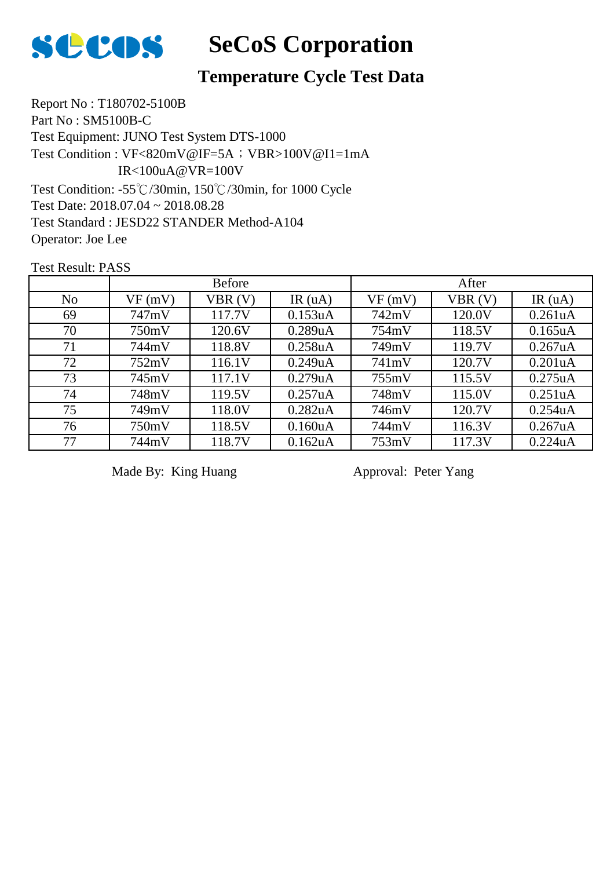

# **Temperature Cycle Test Data**

Report No : T180702-5100B Part No : SM5100B-C Test Equipment: JUNO Test System DTS-1000 Test Condition: -55℃/30min, 150℃/30min, for 1000 Cycle Test Date: 2018.07.04 ~ 2018.08.28 Test Standard : JESD22 STANDER Method-A104 Operator: Joe Lee Test Condition : VF<820mV@IF=5A; VBR>100V@I1=1mA IR<100uA@VR=100V

Test Result: PASS

|                | <b>Before</b> |        |                      | After  |        |                      |
|----------------|---------------|--------|----------------------|--------|--------|----------------------|
| N <sub>o</sub> | VF(mV)        | VBR(V) | IR $(uA)$            | VF(mV) | VBR(V) | IR(uA)               |
| 69             | 747mV         | 117.7V | 0.153uA              | 742mV  | 120.0V | 0.261uA              |
| 70             | 750mV         | 120.6V | 0.289uA              | 754mV  | 118.5V | $0.165$ uA           |
| 71             | 744mV         | 118.8V | 0.258 <sub>u</sub> A | 749mV  | 119.7V | $0.267$ uA           |
| 72             | 752mV         | 116.1V | 0.249uA              | 741mV  | 120.7V | 0.201uA              |
| 73             | 745mV         | 117.1V | 0.279uA              | 755mV  | 115.5V | 0.275uA              |
| 74             | 748mV         | 119.5V | 0.257uA              | 748mV  | 115.0V | 0.251 <sub>u</sub> A |
| 75             | 749mV         | 118.0V | 0.282uA              | 746mV  | 120.7V | 0.254uA              |
| 76             | 750mV         | 118.5V | 0.160 <sub>u</sub> A | 744mV  | 116.3V | $0.267$ uA           |
| 77             | 744mV         | 118.7V | 0.162uA              | 753mV  | 117.3V | 0.224uA              |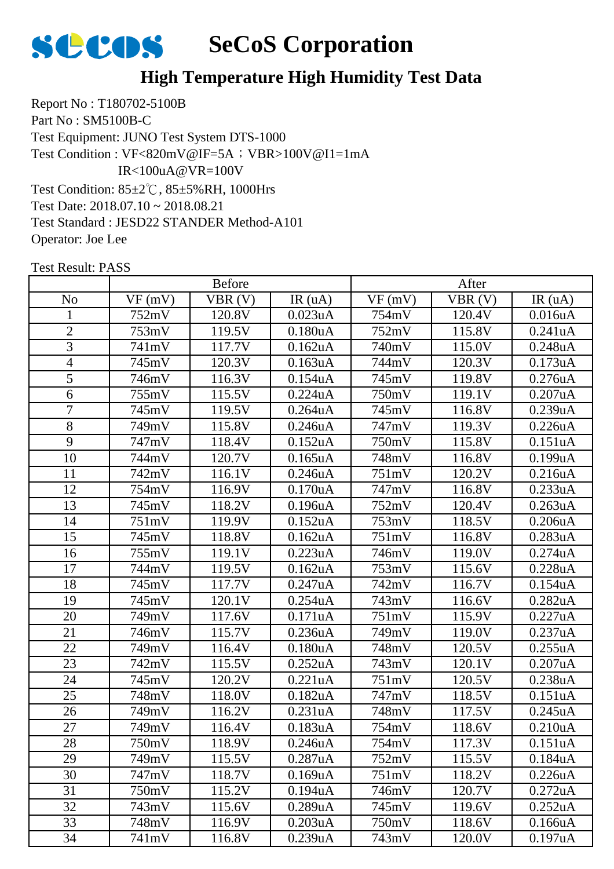

Report No : T180702-5100B Part No : SM5100B-C Test Equipment: JUNO Test System DTS-1000 Test Condition: 85±2℃, 85±5%RH, 1000Hrs Test Date: 2018.07.10 ~ 2018.08.21 Test Standard : JESD22 STANDER Method-A101 Operator: Joe Lee Test Condition : VF<820mV@IF=5A; VBR>100V@I1=1mA IR<100uA@VR=100V

| <b>Before</b>  |        |        | After                |        |        |         |
|----------------|--------|--------|----------------------|--------|--------|---------|
| N <sub>o</sub> | VF(mV) | VBR(V) | IR(uA)               | VF(mV) | VBR(V) | IR(uA)  |
| $\mathbf{1}$   | 752mV  | 120.8V | 0.023uA              | 754mV  | 120.4V | 0.016uA |
| $\overline{2}$ | 753mV  | 119.5V | 0.180 <sub>u</sub> A | 752mV  | 115.8V | 0.241uA |
| 3              | 741mV  | 117.7V | 0.162uA              | 740mV  | 115.0V | 0.248uA |
| 4              | 745mV  | 120.3V | 0.163uA              | 744mV  | 120.3V | 0.173uA |
| $\overline{5}$ | 746mV  | 116.3V | 0.154uA              | 745mV  | 119.8V | 0.276uA |
| 6              | 755mV  | 115.5V | 0.224uA              | 750mV  | 119.1V | 0.207uA |
| $\overline{7}$ | 745mV  | 119.5V | $0.264$ uA           | 745mV  | 116.8V | 0.239uA |
| 8              | 749mV  | 115.8V | 0.246uA              | 747mV  | 119.3V | 0.226uA |
| 9              | 747mV  | 118.4V | 0.152uA              | 750mV  | 115.8V | 0.151uA |
| 10             | 744mV  | 120.7V | $0.165$ uA           | 748mV  | 116.8V | 0.199uA |
| 11             | 742mV  | 116.1V | 0.246uA              | 751mV  | 120.2V | 0.216uA |
| 12             | 754mV  | 116.9V | 0.170uA              | 747mV  | 116.8V | 0.233uA |
| 13             | 745mV  | 118.2V | 0.196uA              | 752mV  | 120.4V | 0.263uA |
| 14             | 751mV  | 119.9V | 0.152uA              | 753mV  | 118.5V | 0.206uA |
| 15             | 745mV  | 118.8V | $0.162$ uA           | 751mV  | 116.8V | 0.283uA |
| 16             | 755mV  | 119.1V | 0.223uA              | 746mV  | 119.0V | 0.274uA |
| 17             | 744mV  | 119.5V | 0.162uA              | 753mV  | 115.6V | 0.228uA |
| 18             | 745mV  | 117.7V | 0.247uA              | 742mV  | 116.7V | 0.154uA |
| 19             | 745mV  | 120.1V | 0.254uA              | 743mV  | 116.6V | 0.282uA |
| 20             | 749mV  | 117.6V | 0.171uA              | 751mV  | 115.9V | 0.227uA |
| 21             | 746mV  | 115.7V | 0.236uA              | 749mV  | 119.0V | 0.237uA |
| 22             | 749mV  | 116.4V | 0.180uA              | 748mV  | 120.5V | 0.255uA |
| 23             | 742mV  | 115.5V | 0.252uA              | 743mV  | 120.1V | 0.207uA |
| 24             | 745mV  | 120.2V | 0.221uA              | 751mV  | 120.5V | 0.238uA |
| 25             | 748mV  | 118.0V | 0.182uA              | 747mV  | 118.5V | 0.151uA |
| 26             | 749mV  | 116.2V | 0.231uA              | 748mV  | 117.5V | 0.245uA |
| 27             | 749mV  | 116.4V | 0.183uA              | 754mV  | 118.6V | 0.210uA |
| 28             | 750mV  | 118.9V | 0.246 <sub>u</sub> A | 754mV  | 117.3V | 0.151uA |
| 29             | 749mV  | 115.5V | 0.287uA              | 752mV  | 115.5V | 0.184uA |
| 30             | 747mV  | 118.7V | 0.169uA              | 751mV  | 118.2V | 0.226uA |
| 31             | 750mV  | 115.2V | 0.194uA              | 746mV  | 120.7V | 0.272uA |
| 32             | 743mV  | 115.6V | 0.289uA              | 745mV  | 119.6V | 0.252uA |
| 33             | 748mV  | 116.9V | 0.203uA              | 750mV  | 118.6V | 0.166uA |
| 34             | 741mV  | 116.8V | 0.239uA              | 743mV  | 120.0V | 0.197uA |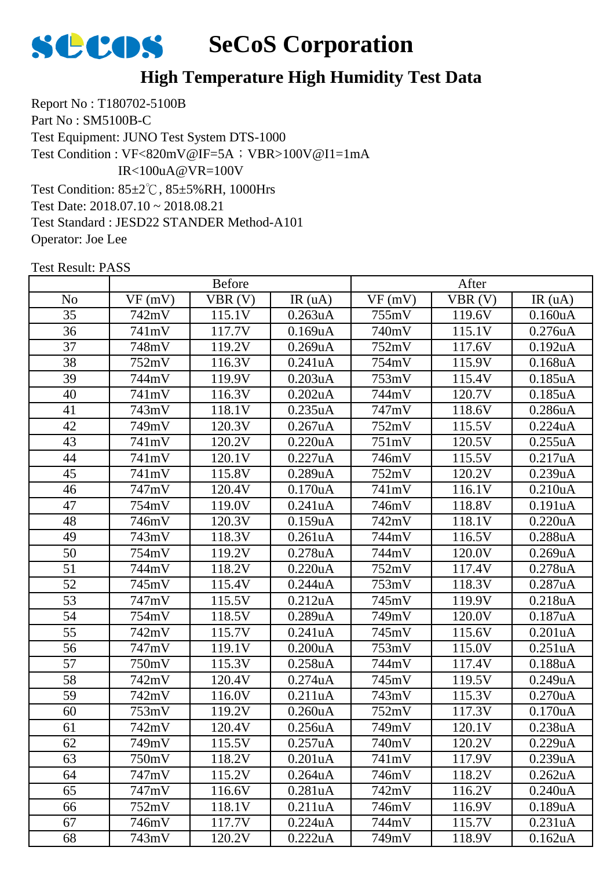

Report No : T180702-5100B Part No : SM5100B-C Test Equipment: JUNO Test System DTS-1000 Test Condition: 85±2℃, 85±5%RH, 1000Hrs Test Date: 2018.07.10 ~ 2018.08.21 Test Standard : JESD22 STANDER Method-A101 Operator: Joe Lee Test Condition : VF<820mV@IF=5A; VBR>100V@I1=1mA IR<100uA@VR=100V

|                | <b>Before</b> |        |                      | After  |        |                      |
|----------------|---------------|--------|----------------------|--------|--------|----------------------|
| N <sub>o</sub> | VF(mV)        | VBR(V) | IR(uA)               | VF(mV) | VBR(V) | IR(uA)               |
| 35             | 742mV         | 115.1V | 0.263uA              | 755mV  | 119.6V | 0.160uA              |
| 36             | 741mV         | 117.7V | 0.169uA              | 740mV  | 115.1V | 0.276uA              |
| 37             | 748mV         | 119.2V | 0.269uA              | 752mV  | 117.6V | 0.192uA              |
| 38             | 752mV         | 116.3V | 0.241uA              | 754mV  | 115.9V | 0.168uA              |
| 39             | 744mV         | 119.9V | 0.203uA              | 753mV  | 115.4V | 0.185uA              |
| 40             | 741mV         | 116.3V | 0.202uA              | 744mV  | 120.7V | 0.185uA              |
| 41             | 743mV         | 118.1V | 0.235uA              | 747mV  | 118.6V | 0.286uA              |
| 42             | 749mV         | 120.3V | 0.267uA              | 752mV  | 115.5V | 0.224uA              |
| 43             | 741mV         | 120.2V | 0.220uA              | 751mV  | 120.5V | 0.255uA              |
| 44             | 741mV         | 120.1V | 0.227uA              | 746mV  | 115.5V | 0.217uA              |
| 45             | 741mV         | 115.8V | 0.289uA              | 752mV  | 120.2V | 0.239uA              |
| 46             | 747mV         | 120.4V | 0.170uA              | 741mV  | 116.1V | 0.210uA              |
| 47             | 754mV         | 119.0V | 0.241uA              | 746mV  | 118.8V | 0.191uA              |
| 48             | 746mV         | 120.3V | 0.159uA              | 742mV  | 118.1V | 0.220uA              |
| 49             | 743mV         | 118.3V | 0.261uA              | 744mV  | 116.5V | 0.288uA              |
| 50             | 754mV         | 119.2V | 0.278uA              | 744mV  | 120.0V | 0.269uA              |
| 51             | 744mV         | 118.2V | 0.220uA              | 752mV  | 117.4V | 0.278uA              |
| 52             | 745mV         | 115.4V | 0.244uA              | 753mV  | 118.3V | 0.287uA              |
| 53             | 747mV         | 115.5V | 0.212uA              | 745mV  | 119.9V | 0.218uA              |
| 54             | 754mV         | 118.5V | 0.289uA              | 749mV  | 120.0V | 0.187uA              |
| 55             | 742mV         | 115.7V | 0.241uA              | 745mV  | 115.6V | 0.201uA              |
| 56             | 747mV         | 119.1V | 0.200uA              | 753mV  | 115.0V | 0.251uA              |
| 57             | 750mV         | 115.3V | 0.258uA              | 744mV  | 117.4V | 0.188uA              |
| 58             | 742mV         | 120.4V | 0.274uA              | 745mV  | 119.5V | 0.249uA              |
| 59             | 742mV         | 116.0V | 0.211uA              | 743mV  | 115.3V | 0.270uA              |
| 60             | 753mV         | 119.2V | 0.260uA              | 752mV  | 117.3V | 0.170uA              |
| 61             | 742mV         | 120.4V | 0.256uA              | 749mV  | 120.1V | 0.238uA              |
| 62             | 749mV         | 115.5V | 0.257uA              | 740mV  | 120.2V | 0.229uA              |
| 63             | 750mV         | 118.2V | 0.201uA              | 741mV  | 117.9V | 0.239uA              |
| 64             | 747mV         | 115.2V | 0.264 <sub>u</sub> A | 746mV  | 118.2V | 0.262 <sub>u</sub> A |
| 65             | 747mV         | 116.6V | 0.281uA              | 742mV  | 116.2V | 0.240uA              |
| 66             | 752mV         | 118.1V | 0.211uA              | 746mV  | 116.9V | $0.189$ u $A$        |
| 67             | 746mV         | 117.7V | 0.224uA              | 744mV  | 115.7V | 0.231uA              |
| 68             | 743mV         | 120.2V | 0.222uA              | 749mV  | 118.9V | 0.162uA              |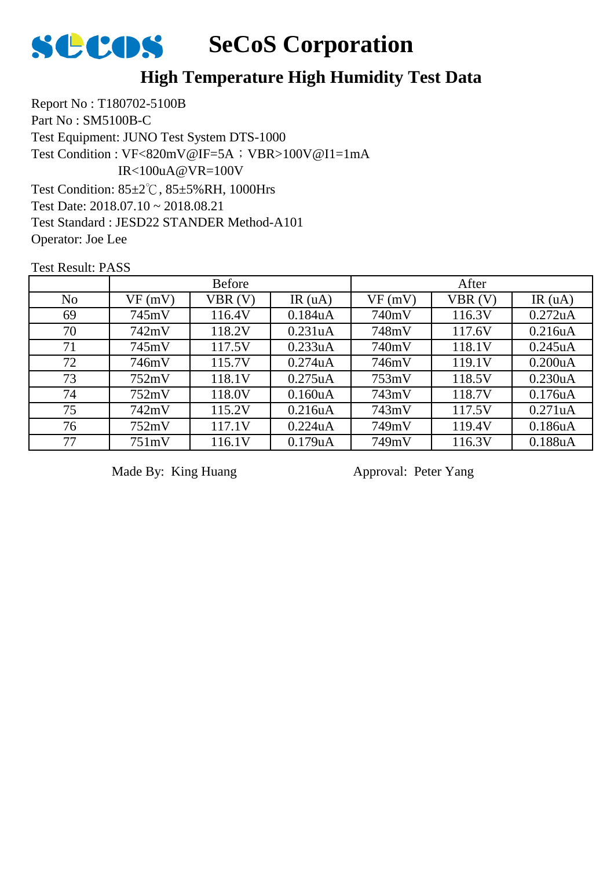

Report No : T180702-5100B Part No : SM5100B-C Test Equipment: JUNO Test System DTS-1000 Test Condition: 85±2℃, 85±5%RH, 1000Hrs Test Date: 2018.07.10 ~ 2018.08.21 Test Standard : JESD22 STANDER Method-A101 Operator: Joe Lee Test Condition : VF<820mV@IF=5A; VBR>100V@I1=1mA IR<100uA@VR=100V

Test Result: PASS

|                |        | <b>Before</b> |                      |        | After  |                      |
|----------------|--------|---------------|----------------------|--------|--------|----------------------|
| N <sub>o</sub> | VF(mV) | VBR(V)        | IR $(uA)$            | VF(mV) | VBR(V) | IR $(uA)$            |
| 69             | 745mV  | 116.4V        | 0.184 <sub>u</sub> A | 740mV  | 116.3V | 0.272uA              |
| 70             | 742mV  | 118.2V        | 0.231uA              | 748mV  | 117.6V | 0.216uA              |
| 71             | 745mV  | 117.5V        | 0.233uA              | 740mV  | 118.1V | 0.245uA              |
| 72             | 746mV  | 115.7V        | 0.274uA              | 746mV  | 119.1V | 0.200uA              |
| 73             | 752mV  | 118.1V        | $0.275$ uA           | 753mV  | 118.5V | 0.230 <sub>u</sub> A |
| 74             | 752mV  | 118.0V        | 0.160uA              | 743mV  | 118.7V | 0.176uA              |
| 75             | 742mV  | 115.2V        | 0.216uA              | 743mV  | 117.5V | 0.271uA              |
| 76             | 752mV  | 117.1V        | 0.224uA              | 749mV  | 119.4V | 0.186uA              |
| 77             | 751mV  | 116.1V        | 0.179uA              | 749mV  | 116.3V | 0.188uA              |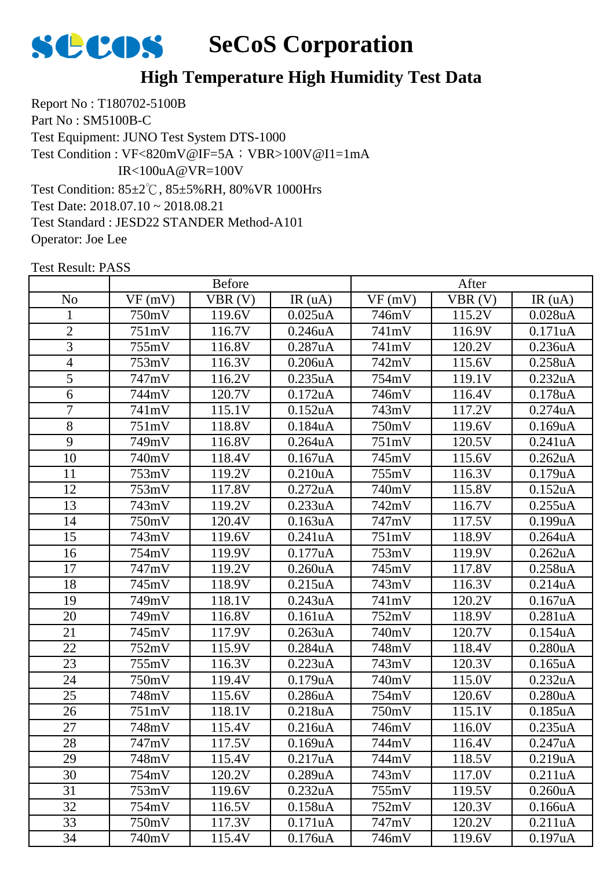

Report No : T180702-5100B Part No : SM5100B-C Test Equipment: JUNO Test System DTS-1000 Test Condition: 85±2℃, 85±5%RH, 80%VR 1000Hrs Test Date: 2018.07.10 ~ 2018.08.21 Test Standard : JESD22 STANDER Method-A101 Operator: Joe Lee Test Condition : VF<820mV@IF=5A; VBR>100V@I1=1mA IR<100uA@VR=100V

|                 | <b>Before</b> |        |                      | After  |        |            |
|-----------------|---------------|--------|----------------------|--------|--------|------------|
| N <sub>o</sub>  | VF(mV)        | VBR(V) | IR(uA)               | VF(mV) | VBR(V) | IR(uA)     |
| $\mathbf{1}$    | 750mV         | 119.6V | $0.025$ uA           | 746mV  | 115.2V | 0.028uA    |
| $\overline{2}$  | 751mV         | 116.7V | 0.246uA              | 741mV  | 116.9V | 0.171uA    |
| 3               | 755mV         | 116.8V | 0.287uA              | 741mV  | 120.2V | 0.236uA    |
| $\overline{4}$  | 753mV         | 116.3V | 0.206uA              | 742mV  | 115.6V | 0.258uA    |
| 5               | 747mV         | 116.2V | 0.235uA              | 754mV  | 119.1V | 0.232uA    |
| 6               | 744mV         | 120.7V | 0.172uA              | 746mV  | 116.4V | 0.178uA    |
| $\overline{7}$  | 741mV         | 115.1V | 0.152uA              | 743mV  | 117.2V | 0.274uA    |
| 8               | 751mV         | 118.8V | 0.184uA              | 750mV  | 119.6V | 0.169uA    |
| 9               | 749mV         | 116.8V | $0.264$ uA           | 751mV  | 120.5V | 0.241uA    |
| 10              | 740mV         | 118.4V | 0.167uA              | 745mV  | 115.6V | 0.262uA    |
| 11              | 753mV         | 119.2V | 0.210 <sub>u</sub> A | 755mV  | 116.3V | 0.179uA    |
| 12              | 753mV         | 117.8V | 0.272uA              | 740mV  | 115.8V | 0.152uA    |
| 13              | 743mV         | 119.2V | 0.233uA              | 742mV  | 116.7V | 0.255uA    |
| 14              | 750mV         | 120.4V | 0.163uA              | 747mV  | 117.5V | 0.199uA    |
| 15              | 743mV         | 119.6V | 0.241uA              | 751mV  | 118.9V | $0.264$ uA |
| 16              | 754mV         | 119.9V | 0.177uA              | 753mV  | 119.9V | 0.262uA    |
| 17              | 747mV         | 119.2V | 0.260uA              | 745mV  | 117.8V | 0.258uA    |
| 18              | 745mV         | 118.9V | 0.215uA              | 743mV  | 116.3V | 0.214uA    |
| 19              | 749mV         | 118.1V | 0.243uA              | 741mV  | 120.2V | 0.167uA    |
| 20              | 749mV         | 116.8V | 0.161uA              | 752mV  | 118.9V | 0.281uA    |
| 21              | 745mV         | 117.9V | 0.263uA              | 740mV  | 120.7V | 0.154uA    |
| 22              | 752mV         | 115.9V | 0.284uA              | 748mV  | 118.4V | 0.280uA    |
| 23              | 755mV         | 116.3V | 0.223uA              | 743mV  | 120.3V | $0.165$ uA |
| 24              | 750mV         | 119.4V | 0.179uA              | 740mV  | 115.0V | 0.232uA    |
| 25              | 748mV         | 115.6V | 0.286uA              | 754mV  | 120.6V | 0.280uA    |
| $\overline{26}$ | 751mV         | 118.1V | 0.218uA              | 750mV  | 115.1V | 0.185uA    |
| 27              | 748mV         | 115.4V | 0.216uA              | 746mV  | 116.0V | 0.235uA    |
| 28              | 747mV         | 117.5V | 0.169uA              | 744mV  | 116.4V | 0.247uA    |
| 29              | 748mV         | 115.4V | 0.217uA              | 744mV  | 118.5V | 0.219uA    |
| 30              | 754mV         | 120.2V | 0.289uA              | 743mV  | 117.0V | 0.211uA    |
| 31              | 753mV         | 119.6V | 0.232uA              | 755mV  | 119.5V | 0.260uA    |
| 32              | 754mV         | 116.5V | 0.158uA              | 752mV  | 120.3V | 0.166uA    |
| 33              | 750mV         | 117.3V | 0.171uA              | 747mV  | 120.2V | 0.211uA    |
| 34              | 740mV         | 115.4V | 0.176uA              | 746mV  | 119.6V | 0.197uA    |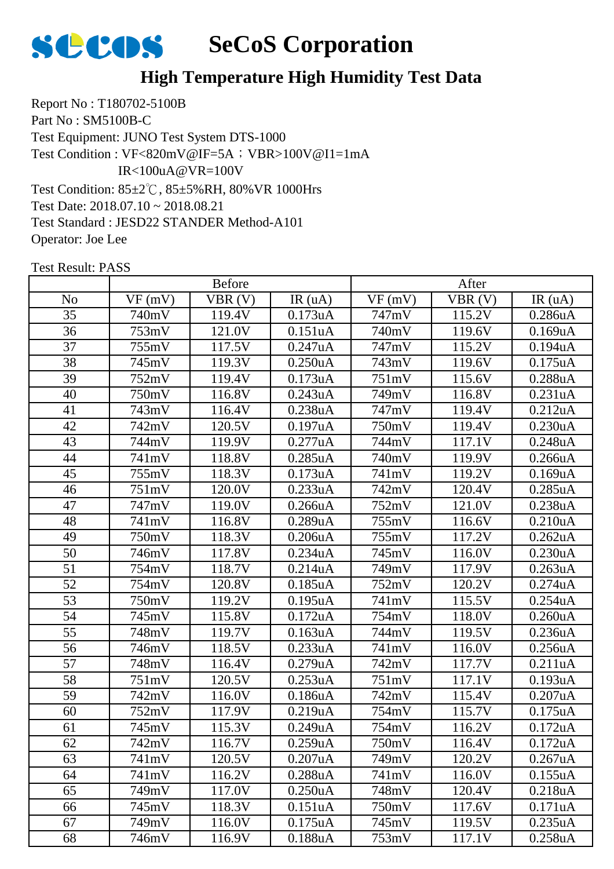

Report No : T180702-5100B Part No : SM5100B-C Test Equipment: JUNO Test System DTS-1000 Test Condition: 85±2℃, 85±5%RH, 80%VR 1000Hrs Test Date: 2018.07.10 ~ 2018.08.21 Test Standard : JESD22 STANDER Method-A101 Operator: Joe Lee Test Condition : VF<820mV@IF=5A; VBR>100V@I1=1mA IR<100uA@VR=100V

|                |        | <b>Before</b> |            |        | After  |         |
|----------------|--------|---------------|------------|--------|--------|---------|
| N <sub>o</sub> | VF(mV) | VBR(V)        | IR(uA)     | VF(mV) | VBR(V) | IR(uA)  |
| 35             | 740mV  | 119.4V        | 0.173uA    | 747mV  | 115.2V | 0.286uA |
| 36             | 753mV  | 121.0V        | 0.151uA    | 740mV  | 119.6V | 0.169uA |
| 37             | 755mV  | 117.5V        | 0.247uA    | 747mV  | 115.2V | 0.194uA |
| 38             | 745mV  | 119.3V        | 0.250uA    | 743mV  | 119.6V | 0.175uA |
| 39             | 752mV  | 119.4V        | 0.173uA    | 751mV  | 115.6V | 0.288uA |
| 40             | 750mV  | 116.8V        | 0.243uA    | 749mV  | 116.8V | 0.231uA |
| 41             | 743mV  | 116.4V        | 0.238uA    | 747mV  | 119.4V | 0.212uA |
| 42             | 742mV  | 120.5V        | 0.197uA    | 750mV  | 119.4V | 0.230uA |
| 43             | 744mV  | 119.9V        | 0.277uA    | 744mV  | 117.1V | 0.248uA |
| 44             | 741mV  | 118.8V        | 0.285uA    | 740mV  | 119.9V | 0.266uA |
| 45             | 755mV  | 118.3V        | 0.173uA    | 741mV  | 119.2V | 0.169uA |
| 46             | 751mV  | 120.0V        | 0.233uA    | 742mV  | 120.4V | 0.285uA |
| 47             | 747mV  | 119.0V        | 0.266uA    | 752mV  | 121.0V | 0.238uA |
| 48             | 741mV  | 116.8V        | 0.289uA    | 755mV  | 116.6V | 0.210uA |
| 49             | 750mV  | 118.3V        | 0.206uA    | 755mV  | 117.2V | 0.262uA |
| 50             | 746mV  | 117.8V        | 0.234uA    | 745mV  | 116.0V | 0.230uA |
| 51             | 754mV  | 118.7V        | 0.214uA    | 749mV  | 117.9V | 0.263uA |
| 52             | 754mV  | 120.8V        | $0.185$ uA | 752mV  | 120.2V | 0.274uA |
| 53             | 750mV  | 119.2V        | 0.195uA    | 741mV  | 115.5V | 0.254uA |
| 54             | 745mV  | 115.8V        | 0.172uA    | 754mV  | 118.0V | 0.260uA |
| 55             | 748mV  | 119.7V        | 0.163uA    | 744mV  | 119.5V | 0.236uA |
| 56             | 746mV  | 118.5V        | 0.233uA    | 741mV  | 116.0V | 0.256uA |
| 57             | 748mV  | 116.4V        | 0.279uA    | 742mV  | 117.7V | 0.211uA |
| 58             | 751mV  | 120.5V        | 0.253uA    | 751mV  | 117.1V | 0.193uA |
| 59             | 742mV  | 116.0V        | 0.186uA    | 742mV  | 115.4V | 0.207uA |
| 60             | 752mV  | 117.9V        | 0.219uA    | 754mV  | 115.7V | 0.175uA |
| 61             | 745mV  | 115.3V        | 0.249uA    | 754mV  | 116.2V | 0.172uA |
| 62             | 742mV  | 116.7V        | 0.259uA    | 750mV  | 116.4V | 0.172uA |
| 63             | 741mV  | 120.5V        | 0.207uA    | 749mV  | 120.2V | 0.267uA |
| 64             | 741mV  | 116.2V        | 0.288uA    | 741mV  | 116.0V | 0.155uA |
| 65             | 749mV  | 117.0V        | 0.250uA    | 748mV  | 120.4V | 0.218uA |
| 66             | 745mV  | 118.3V        | 0.151uA    | 750mV  | 117.6V | 0.171uA |
| 67             | 749mV  | 116.0V        | 0.175uA    | 745mV  | 119.5V | 0.235uA |
| 68             | 746mV  | 116.9V        | 0.188uA    | 753mV  | 117.1V | 0.258uA |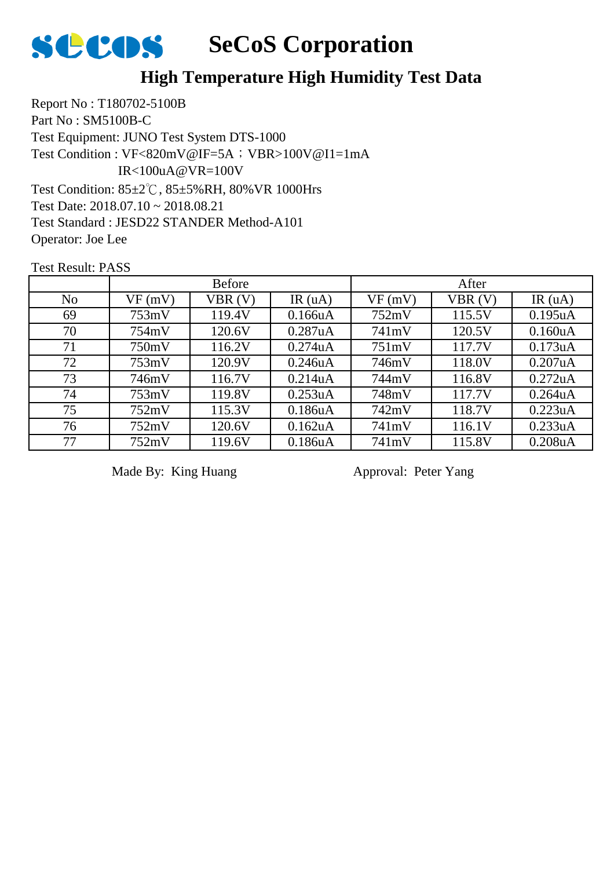

Report No : T180702-5100B Part No : SM5100B-C Test Equipment: JUNO Test System DTS-1000 Test Condition: 85±2℃, 85±5%RH, 80%VR 1000Hrs Test Date: 2018.07.10 ~ 2018.08.21 Test Standard : JESD22 STANDER Method-A101 Operator: Joe Lee Test Condition : VF<820mV@IF=5A; VBR>100V@I1=1mA IR<100uA@VR=100V

Test Result: PASS

|                | <b>Before</b> |        |         | After  |        |                      |  |
|----------------|---------------|--------|---------|--------|--------|----------------------|--|
| N <sub>o</sub> | VF(mV)        | VBR(V) | IR(uA)  | VF(mV) | VBR(V) | IR(uA)               |  |
| 69             | 753mV         | 119.4V | 0.166uA | 752mV  | 115.5V | 0.195uA              |  |
| 70             | 754mV         | 120.6V | 0.287uA | 741mV  | 120.5V | 0.160 <sub>u</sub> A |  |
| 71             | 750mV         | 116.2V | 0.274uA | 751mV  | 117.7V | 0.173uA              |  |
| 72             | 753mV         | 120.9V | 0.246uA | 746mV  | 118.0V | 0.207uA              |  |
| 73             | 746mV         | 116.7V | 0.214uA | 744mV  | 116.8V | 0.272uA              |  |
| 74             | 753mV         | 119.8V | 0.253uA | 748mV  | 117.7V | $0.264$ uA           |  |
| 75             | 752mV         | 115.3V | 0.186uA | 742mV  | 118.7V | 0.223uA              |  |
| 76             | 752mV         | 120.6V | 0.162uA | 741mV  | 116.1V | 0.233uA              |  |
| 77             | 752mV         | 119.6V | 0.186uA | 741mV  | 115.8V | 0.208uA              |  |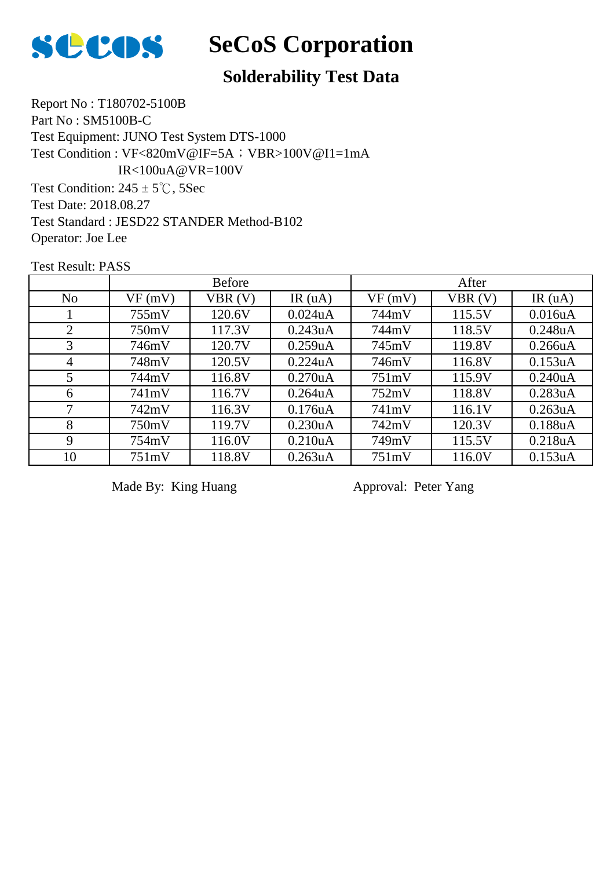

# **Solderability Test Data**

Report No : T180702-5100B Part No : SM5100B-C Test Equipment: JUNO Test System DTS-1000 Test Condition:  $245 \pm 5^{\circ}$ C, 5Sec Test Date: 2018.08.27 Test Standard : JESD22 STANDER Method-B102 Operator: Joe Lee Test Condition : VF<820mV@IF=5A; VBR>100V@I1=1mA IR<100uA@VR=100V

Test Result: PASS

|                | <b>Before</b> |        |                      | After  |        |                      |
|----------------|---------------|--------|----------------------|--------|--------|----------------------|
| N <sub>o</sub> | VF(mV)        | VBR(V) | IR $(uA)$            | VF(mV) | VBR(V) | IR(uA)               |
|                | 755mV         | 120.6V | $0.024$ uA           | 744mV  | 115.5V | 0.016uA              |
| $\overline{2}$ | 750mV         | 117.3V | 0.243uA              | 744mV  | 118.5V | 0.248uA              |
| 3              | 746mV         | 120.7V | 0.259uA              | 745mV  | 119.8V | 0.266uA              |
| $\overline{4}$ | 748mV         | 120.5V | 0.224uA              | 746mV  | 116.8V | 0.153uA              |
| 5              | 744mV         | 116.8V | 0.270 <sub>u</sub> A | 751mV  | 115.9V | 0.240 <sub>u</sub> A |
| 6              | 741mV         | 116.7V | $0.264$ uA           | 752mV  | 118.8V | 0.283uA              |
| 7              | 742mV         | 116.3V | 0.176uA              | 741mV  | 116.1V | 0.263uA              |
| 8              | 750mV         | 119.7V | 0.230uA              | 742mV  | 120.3V | 0.188uA              |
| 9              | 754mV         | 116.0V | 0.210 <sub>u</sub> A | 749mV  | 115.5V | 0.218 <sub>u</sub> A |
| 10             | 751mV         | 118.8V | 0.263uA              | 751mV  | 116.0V | 0.153uA              |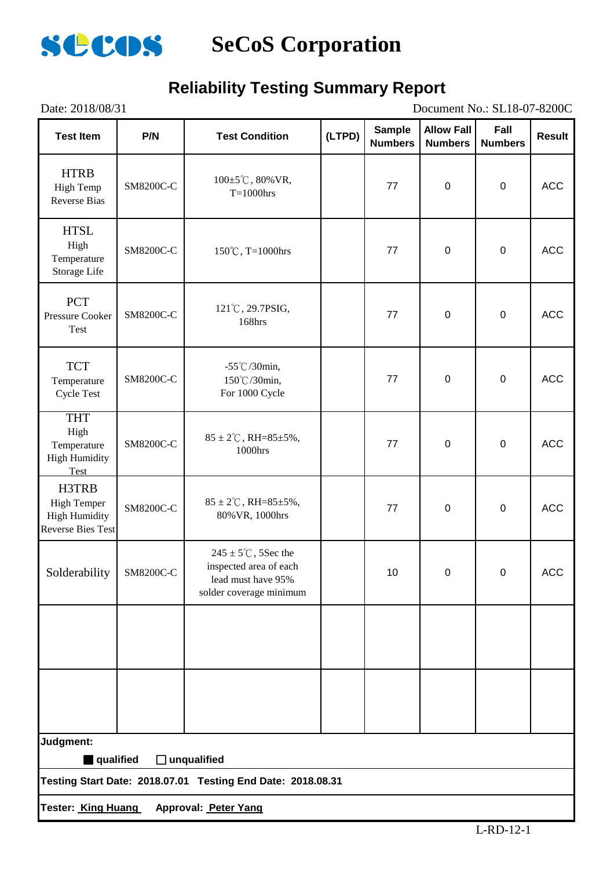

## **Reliability Testing Summary Report**

| Document No.: SL18-07-8200C<br>Date: 2018/08/31                                 |                  |                                                                                                            |        |                                 |                                     |                        |            |
|---------------------------------------------------------------------------------|------------------|------------------------------------------------------------------------------------------------------------|--------|---------------------------------|-------------------------------------|------------------------|------------|
| <b>Test Item</b>                                                                | P/N              | <b>Test Condition</b>                                                                                      | (LTPD) | <b>Sample</b><br><b>Numbers</b> | <b>Allow Fall</b><br><b>Numbers</b> | Fall<br><b>Numbers</b> | Result     |
| <b>HTRB</b><br>High Temp<br><b>Reverse Bias</b>                                 | SM8200C-C        | $100 \pm 5^{\circ}$ C, 80% VR,<br>$T=1000$ hrs                                                             |        | 77                              | $\mathbf 0$                         | $\boldsymbol{0}$       | <b>ACC</b> |
| <b>HTSL</b><br>High<br>Temperature<br>Storage Life                              | SM8200C-C        | 150°C, T=1000hrs                                                                                           |        | 77                              | $\pmb{0}$                           | $\pmb{0}$              | <b>ACC</b> |
| <b>PCT</b><br>Pressure Cooker<br>Test                                           | SM8200C-C        | 121°C, 29.7PSIG,<br>168hrs                                                                                 |        | 77                              | $\pmb{0}$                           | $\boldsymbol{0}$       | <b>ACC</b> |
| <b>TCT</b><br>Temperature<br><b>Cycle Test</b>                                  | SM8200C-C        | $-55^{\circ}$ C/30min,<br>150℃/30min,<br>For 1000 Cycle                                                    |        | 77                              | $\boldsymbol{0}$                    | $\pmb{0}$              | <b>ACC</b> |
| <b>THT</b><br>High<br>Temperature<br><b>High Humidity</b><br>Test               | SM8200C-C        | $85 \pm 2^{\circ}$ C, RH= $85 \pm 5\%$ ,<br>1000hrs                                                        |        | 77                              | $\mathbf 0$                         | $\boldsymbol{0}$       | ACC        |
| H3TRB<br><b>High Temper</b><br><b>High Humidity</b><br><b>Reverse Bies Test</b> | <b>SM8200C-C</b> | $85 \pm 2^{\circ}$ C, RH= $85 \pm 5\%$ ,<br>80% VR, 1000hrs                                                |        | 77                              | $\boldsymbol{0}$                    | $\pmb{0}$              | <b>ACC</b> |
| Solderability                                                                   | SM8200C-C        | $245 \pm 5^{\circ}$ C, 5Sec the<br>inspected area of each<br>lead must have 95%<br>solder coverage minimum |        | 10                              | 0                                   | 0                      | ACC        |
|                                                                                 |                  |                                                                                                            |        |                                 |                                     |                        |            |
|                                                                                 |                  |                                                                                                            |        |                                 |                                     |                        |            |
| Judgment:                                                                       |                  |                                                                                                            |        |                                 |                                     |                        |            |
| qualified                                                                       |                  | $\Box$ unqualified<br>Testing Start Date: 2018.07.01 Testing End Date: 2018.08.31                          |        |                                 |                                     |                        |            |
|                                                                                 |                  | Tester: King Huang Approval: Peter Yang                                                                    |        |                                 |                                     |                        |            |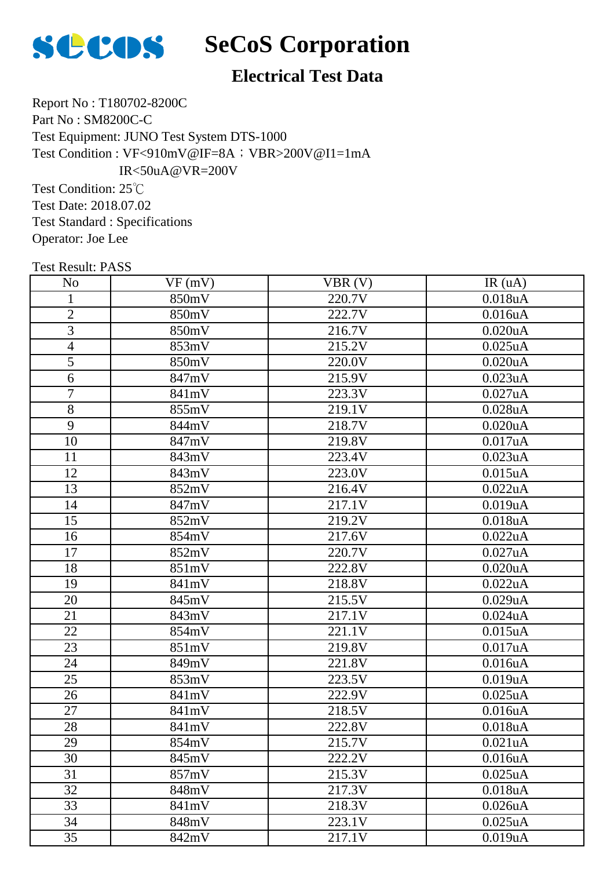

# **Electrical Test Data**

Report No : T180702-8200C Part No : SM8200C-C Test Equipment: JUNO Test System DTS-1000 Test Condition : VF<910mV@IF=8A; VBR>200V@I1=1mA IR<50uA@VR=200V

Test Condition: 25℃ Test Date: 2018.07.02 Test Standard : Specifications Operator: Joe Lee

| <b>Test Result: PASS</b> |        |        |               |
|--------------------------|--------|--------|---------------|
| N <sub>0</sub>           | VF(mV) | VBR(V) | IR(uA)        |
| 1                        | 850mV  | 220.7V | 0.018uA       |
| $\overline{2}$           | 850mV  | 222.7V | 0.016uA       |
| $\overline{3}$           | 850mV  | 216.7V | 0.020uA       |
| $\overline{4}$           | 853mV  | 215.2V | $0.025$ uA    |
| $\overline{5}$           | 850mV  | 220.0V | $0.020$ u $A$ |
| 6                        | 847mV  | 215.9V | 0.023uA       |
| $\overline{7}$           | 841mV  | 223.3V | 0.027uA       |
| $\overline{8}$           | 855mV  | 219.1V | $0.028$ u $A$ |
| $\overline{9}$           | 844mV  | 218.7V | $0.020$ uA    |
| 10                       | 847mV  | 219.8V | 0.017uA       |
| 11                       | 843mV  | 223.4V | 0.023uA       |
| 12                       | 843mV  | 223.0V | $0.015$ uA    |
| 13                       | 852mV  | 216.4V | 0.022uA       |
| 14                       | 847mV  | 217.1V | 0.019uA       |
| 15                       | 852mV  | 219.2V | 0.018uA       |
| 16                       | 854mV  | 217.6V | 0.022uA       |
| 17                       | 852mV  | 220.7V | 0.027uA       |
| 18                       | 851mV  | 222.8V | $0.020$ uA    |
| 19                       | 841mV  | 218.8V | 0.022uA       |
| 20                       | 845mV  | 215.5V | 0.029uA       |
| 21                       | 843mV  | 217.1V | $0.024$ uA    |
| 22                       | 854mV  | 221.1V | $0.015$ uA    |
| 23                       | 851mV  | 219.8V | 0.017uA       |
| 24                       | 849mV  | 221.8V | 0.016uA       |
| 25                       | 853mV  | 223.5V | 0.019uA       |
| 26                       | 841mV  | 222.9V | $0.025$ uA    |
| 27                       | 841mV  | 218.5V | 0.016uA       |
| 28                       | 841mV  | 222.8V | 0.018uA       |
| 29                       | 854mV  | 215.7V | 0.021uA       |
| 30                       | 845mV  | 222.2V | 0.016uA       |
| 31                       | 857mV  | 215.3V | $0.025$ uA    |
| 32                       | 848mV  | 217.3V | 0.018uA       |
| 33                       | 841mV  | 218.3V | $0.026$ u $A$ |
| 34                       | 848mV  | 223.1V | $0.025$ uA    |

35 | 842mV | 217.1V | 0.019uA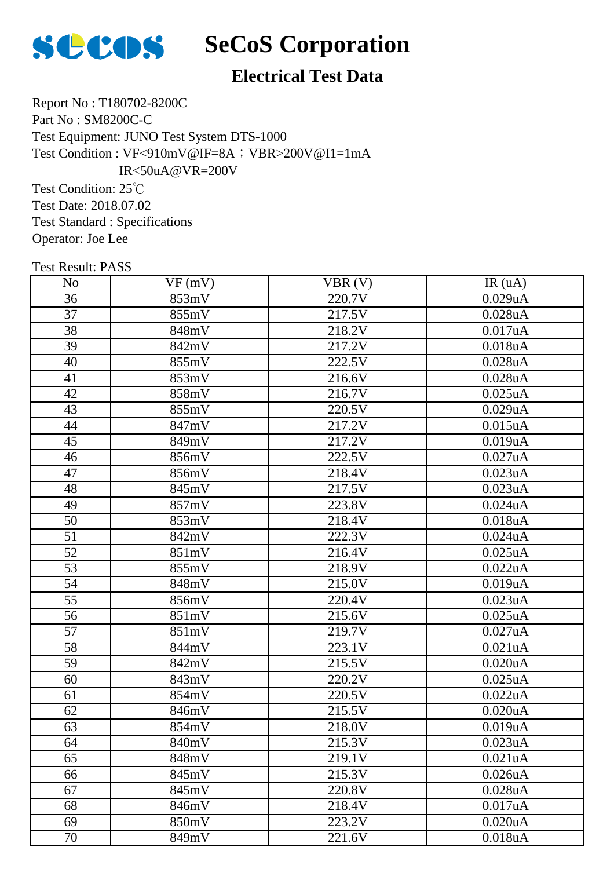

# **SCOS** SeCoS Corporation

# **Electrical Test Data**

Report No : T180702-8200C Part No : SM8200C-C Test Equipment: JUNO Test System DTS-1000 Test Condition : VF<910mV@IF=8A; VBR>200V@I1=1mA IR<50uA@VR=200V

Test Condition: 25℃ Test Date: 2018.07.02 Test Standard : Specifications Operator: Joe Lee

| <b>Test Result: PASS</b> |        |        |               |
|--------------------------|--------|--------|---------------|
| N <sub>o</sub>           | VF(mV) | VBR(V) | IR(uA)        |
| 36                       | 853mV  | 220.7V | 0.029uA       |
| 37                       | 855mV  | 217.5V | $0.028$ u $A$ |
| 38                       | 848mV  | 218.2V | 0.017uA       |
| 39                       | 842mV  | 217.2V | 0.018uA       |
| 40                       | 855mV  | 222.5V | $0.028$ u $A$ |
| 41                       | 853mV  | 216.6V | $0.028$ u $A$ |
| 42                       | 858mV  | 216.7V | $0.025$ uA    |
| 43                       | 855mV  | 220.5V | 0.029uA       |
| 44                       | 847mV  | 217.2V | $0.015$ uA    |
| 45                       | 849mV  | 217.2V | 0.019uA       |
| 46                       | 856mV  | 222.5V | 0.027uA       |
| 47                       | 856mV  | 218.4V | 0.023uA       |
| 48                       | 845mV  | 217.5V | 0.023uA       |
| 49                       | 857mV  | 223.8V | $0.024$ uA    |
| 50                       | 853mV  | 218.4V | 0.018uA       |
| 51                       | 842mV  | 222.3V | $0.024$ uA    |
| 52                       | 851mV  | 216.4V | $0.025$ uA    |
| 53                       | 855mV  | 218.9V | 0.022uA       |
| 54                       | 848mV  | 215.0V | 0.019uA       |
| 55                       | 856mV  | 220.4V | 0.023uA       |
| 56                       | 851mV  | 215.6V | $0.025$ uA    |
| 57                       | 851mV  | 219.7V | $0.027$ uA    |
| 58                       | 844mV  | 223.1V | 0.021uA       |
| 59                       | 842mV  | 215.5V | 0.020uA       |
| 60                       | 843mV  | 220.2V | $0.025$ uA    |
| 61                       | 854mV  | 220.5V | 0.022uA       |
| 62                       | 846mV  | 215.5V | 0.020uA       |
| 63                       | 854mV  | 218.0V | 0.019uA       |
| 64                       | 840mV  | 215.3V | 0.023uA       |
| 65                       | 848mV  | 219.1V | 0.021uA       |
| 66                       | 845mV  | 215.3V | $0.026$ u $A$ |
| 67                       | 845mV  | 220.8V | 0.028uA       |
| 68                       | 846mV  | 218.4V | 0.017uA       |
| 69                       | 850mV  | 223.2V | 0.020uA       |

70 | 849mV | 221.6V | 0.018uA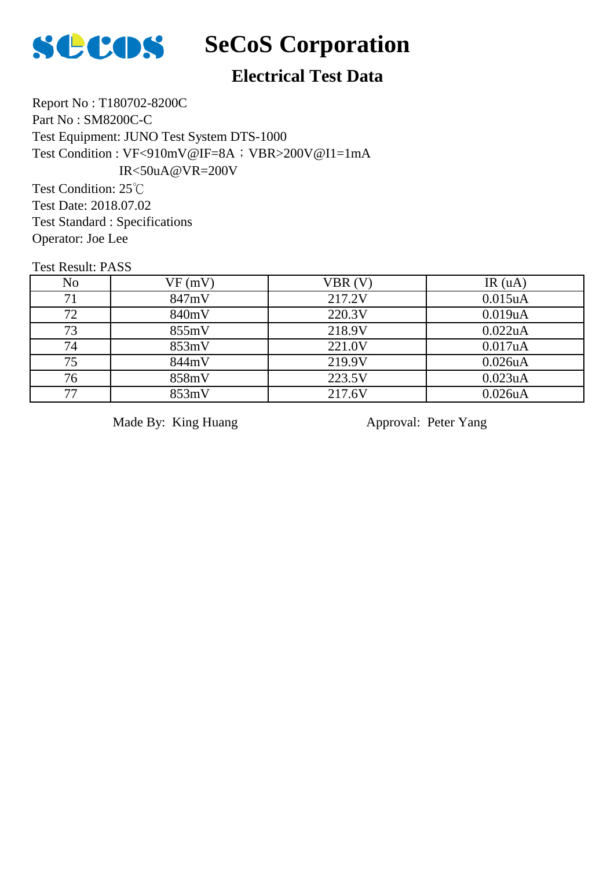

# **SCOS** SeCoS Corporation

# **Electrical Test Data**

Report No : T180702-8200C Part No : SM8200C-C Test Equipment: JUNO Test System DTS-1000 Test Condition : VF<910mV@IF=8A; VBR>200V@I1=1mA IR<50uA@VR=200V

Test Condition: 25℃ Test Date: 2018.07.02 Test Standard : Specifications Operator: Joe Lee

Test Result: PASS

| N <sub>o</sub> | VF(mV) | VBR(V) | IR $(uA)$ |
|----------------|--------|--------|-----------|
| 71             | 847mV  | 217.2V | 0.015uA   |
| 72             | 840mV  | 220.3V | 0.019uA   |
| 73             | 855mV  | 218.9V | 0.022uA   |
| 74             | 853mV  | 221.0V | 0.017uA   |
| 75             | 844mV  | 219.9V | 0.026uA   |
| 76             | 858mV  | 223.5V | 0.023uA   |
| 77             | 853mV  | 217.6V | 0.026uA   |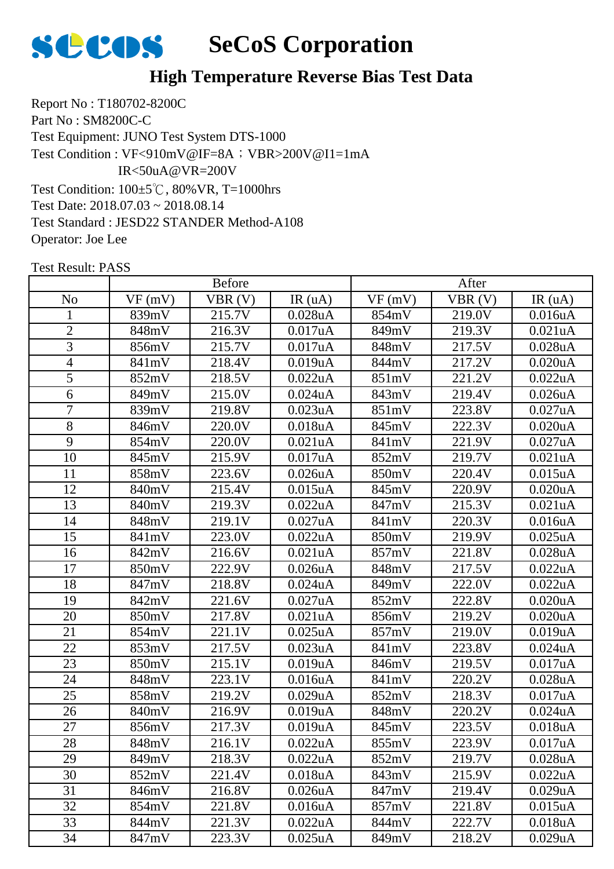

## **High Temperature Reverse Bias Test Data**

Report No : T180702-8200C Part No : SM8200C-C Test Equipment: JUNO Test System DTS-1000 Test Condition: 100±5℃, 80%VR, T=1000hrs Test Date: 2018.07.03 ~ 2018.08.14 Test Standard : JESD22 STANDER Method-A108 Operator: Joe Lee Test Condition : VF<910mV@IF=8A; VBR>200V@I1=1mA IR<50uA@VR=200V

|                |        | <b>Before</b> |                      |        | After  |               |
|----------------|--------|---------------|----------------------|--------|--------|---------------|
| N <sub>o</sub> | VF(mV) | VBR(V)        | IR(uA)               | VF(mV) | VBR(V) | IR(uA)        |
| $\mathbf{1}$   | 839mV  | 215.7V        | 0.028uA              | 854mV  | 219.0V | 0.016uA       |
| $\overline{2}$ | 848mV  | 216.3V        | 0.017uA              | 849mV  | 219.3V | 0.021uA       |
| 3              | 856mV  | 215.7V        | 0.017uA              | 848mV  | 217.5V | 0.028uA       |
| $\overline{4}$ | 841mV  | 218.4V        | 0.019uA              | 844mV  | 217.2V | 0.020uA       |
| 5              | 852mV  | 218.5V        | 0.022uA              | 851mV  | 221.2V | 0.022uA       |
| 6              | 849mV  | 215.0V        | $0.024$ uA           | 843mV  | 219.4V | $0.026$ u $A$ |
| $\overline{7}$ | 839mV  | 219.8V        | 0.023uA              | 851mV  | 223.8V | 0.027uA       |
| 8              | 846mV  | 220.0V        | 0.018uA              | 845mV  | 222.3V | 0.020uA       |
| 9              | 854mV  | 220.0V        | 0.021uA              | 841mV  | 221.9V | 0.027uA       |
| 10             | 845mV  | 215.9V        | 0.017uA              | 852mV  | 219.7V | 0.021uA       |
| 11             | 858mV  | 223.6V        | $0.026$ u $A$        | 850mV  | 220.4V | $0.015$ uA    |
| 12             | 840mV  | 215.4V        | $0.015$ uA           | 845mV  | 220.9V | 0.020uA       |
| 13             | 840mV  | 219.3V        | 0.022uA              | 847mV  | 215.3V | 0.021uA       |
| 14             | 848mV  | 219.1V        | 0.027uA              | 841mV  | 220.3V | 0.016uA       |
| 15             | 841mV  | 223.0V        | 0.022uA              | 850mV  | 219.9V | $0.025$ uA    |
| 16             | 842mV  | 216.6V        | 0.021uA              | 857mV  | 221.8V | 0.028uA       |
| 17             | 850mV  | 222.9V        | $0.026$ uA           | 848mV  | 217.5V | 0.022uA       |
| 18             | 847mV  | 218.8V        | $0.024$ uA           | 849mV  | 222.0V | 0.022uA       |
| 19             | 842mV  | 221.6V        | 0.027uA              | 852mV  | 222.8V | 0.020uA       |
| 20             | 850mV  | 217.8V        | 0.021uA              | 856mV  | 219.2V | 0.020uA       |
| 21             | 854mV  | 221.1V        | $0.025$ uA           | 857mV  | 219.0V | 0.019uA       |
| 22             | 853mV  | 217.5V        | 0.023uA              | 841mV  | 223.8V | $0.024$ uA    |
| 23             | 850mV  | 215.1V        | 0.019uA              | 846mV  | 219.5V | 0.017uA       |
| 24             | 848mV  | 223.1V        | 0.016uA              | 841mV  | 220.2V | 0.028uA       |
| 25             | 858mV  | 219.2V        | 0.029uA              | 852mV  | 218.3V | 0.017uA       |
| 26             | 840mV  | 216.9V        | 0.019uA              | 848mV  | 220.2V | $0.024$ u $A$ |
| 27             | 856mV  | 217.3V        | 0.019uA              | 845mV  | 223.5V | 0.018uA       |
| 28             | 848mV  | 216.1V        | 0.022uA              | 855mV  | 223.9V | 0.017uA       |
| 29             | 849mV  | 218.3V        | 0.022uA              | 852mV  | 219.7V | 0.028uA       |
| 30             | 852mV  | 221.4V        | 0.018uA              | 843mV  | 215.9V | 0.022uA       |
| 31             | 846mV  | 216.8V        | $0.026$ u $A$        | 847mV  | 219.4V | 0.029uA       |
| 32             | 854mV  | 221.8V        | 0.016 <sub>u</sub> A | 857mV  | 221.8V | $0.015$ uA    |
| 33             | 844mV  | 221.3V        | 0.022uA              | 844mV  | 222.7V | 0.018uA       |
| 34             | 847mV  | 223.3V        | $0.025$ uA           | 849mV  | 218.2V | 0.029uA       |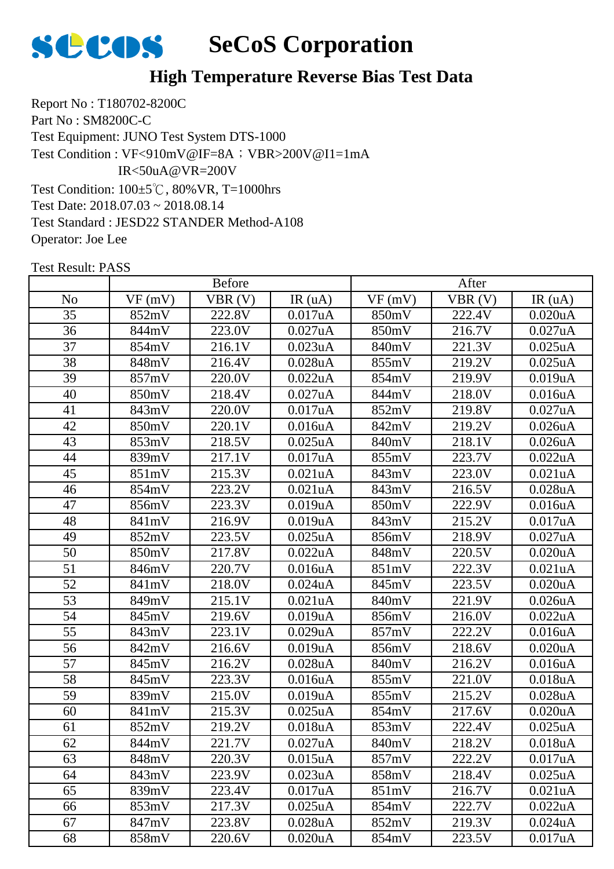

## **High Temperature Reverse Bias Test Data**

Report No : T180702-8200C Part No : SM8200C-C Test Equipment: JUNO Test System DTS-1000 Test Condition: 100±5℃, 80%VR, T=1000hrs Test Date: 2018.07.03 ~ 2018.08.14 Test Standard : JESD22 STANDER Method-A108 Operator: Joe Lee Test Condition : VF<910mV@IF=8A; VBR>200V@I1=1mA IR<50uA@VR=200V

|                 |        | <b>Before</b>        |                      |        | After                |                       |
|-----------------|--------|----------------------|----------------------|--------|----------------------|-----------------------|
| N <sub>o</sub>  | VF(mV) | VBR(V)               | IR(uA)               | VF(mV) | VBR(V)               | IR(uA)                |
| 35              | 852mV  | 222.8V               | 0.017uA              | 850mV  | 222.4V               | 0.020uA               |
| 36              | 844mV  | 223.0V               | 0.027uA              | 850mV  | 216.7V               | $0.027$ uA            |
| 37              | 854mV  | 216.1V               | 0.023uA              | 840mV  | 221.3V               | $0.025$ uA            |
| 38              | 848mV  | 216.4V               | 0.028uA              | 855mV  | 219.2V               | $0.025$ uA            |
| 39              | 857mV  | 220.0V               | 0.022uA              | 854mV  | 219.9V               | 0.019uA               |
| 40              | 850mV  | 218.4V               | 0.027uA              | 844mV  | 218.0V               | 0.016uA               |
| 41              | 843mV  | 220.0V               | 0.017uA              | 852mV  | 219.8V               | 0.027uA               |
| 42              | 850mV  | 220.1V               | 0.016uA              | 842mV  | 219.2V               | $0.026$ u $A$         |
| 43              | 853mV  | 218.5V               | $0.025$ uA           | 840mV  | 218.1V               | 0.026uA               |
| 44              | 839mV  | 217.1V               | 0.017uA              | 855mV  | 223.7V               | 0.022uA               |
| 45              | 851mV  | 215.3V               | 0.021uA              | 843mV  | 223.0V               | 0.021uA               |
| 46              | 854mV  | 223.2V               | 0.021uA              | 843mV  | 216.5V               | 0.028uA               |
| 47              | 856mV  | 223.3V               | 0.019uA              | 850mV  | 222.9V               | 0.016uA               |
| 48              | 841mV  | 216.9V               | 0.019uA              | 843mV  | 215.2V               | 0.017uA               |
| 49              | 852mV  | 223.5V               | $0.025$ uA           | 856mV  | 218.9V               | 0.027uA               |
| 50              | 850mV  | 217.8V               | 0.022uA              | 848mV  | 220.5V               | 0.020uA               |
| 51              | 846mV  | 220.7V               | 0.016uA              | 851mV  | $\overline{2}$ 22.3V | $\overline{0.021}$ uA |
| 52              | 841mV  | 218.0V               | $0.024$ uA           | 845mV  | 223.5V               | 0.020uA               |
| 53              | 849mV  | 215.1V               | 0.021uA              | 840mV  | 221.9V               | 0.026uA               |
| 54              | 845mV  | 219.6V               | 0.019uA              | 856mV  | 216.0V               | 0.022uA               |
| $\overline{55}$ | 843mV  | $\overline{2}$ 23.1V | 0.029uA              | 857mV  | 222.2V               | 0.016uA               |
| 56              | 842mV  | 216.6V               | 0.019uA              | 856mV  | 218.6V               | 0.020uA               |
| 57              | 845mV  | 216.2V               | 0.028uA              | 840mV  | 216.2V               | 0.016uA               |
| 58              | 845mV  | 223.3V               | 0.016uA              | 855mV  | 221.0V               | 0.018uA               |
| 59              | 839mV  | 215.0V               | 0.019uA              | 855mV  | 215.2V               | 0.028uA               |
| 60              | 841mV  | 215.3V               | $0.025$ uA           | 854mV  | 217.6V               | 0.020uA               |
| 61              | 852mV  | 219.2V               | 0.018uA              | 853mV  | 222.4V               | $0.025$ uA            |
| 62              | 844mV  | 221.7V               | 0.027uA              | 840mV  | 218.2V               | 0.018uA               |
| 63              | 848mV  | 220.3V               | 0.015uA              | 857mV  | 222.2V               | 0.017uA               |
| 64              | 843mV  | 223.9V               | 0.023uA              | 858mV  | 218.4V               | $0.025$ uA            |
| 65              | 839mV  | 223.4V               | 0.017uA              | 851mV  | 216.7V               | 0.021uA               |
| 66              | 853mV  | 217.3V               | $0.025$ uA           | 854mV  | 222.7V               | 0.022uA               |
| 67              | 847mV  | 223.8V               | $0.028$ u $A$        | 852mV  | 219.3V               | $0.024$ uA            |
| 68              | 858mV  | 220.6V               | 0.020 <sub>u</sub> A | 854mV  | 223.5V               | 0.017uA               |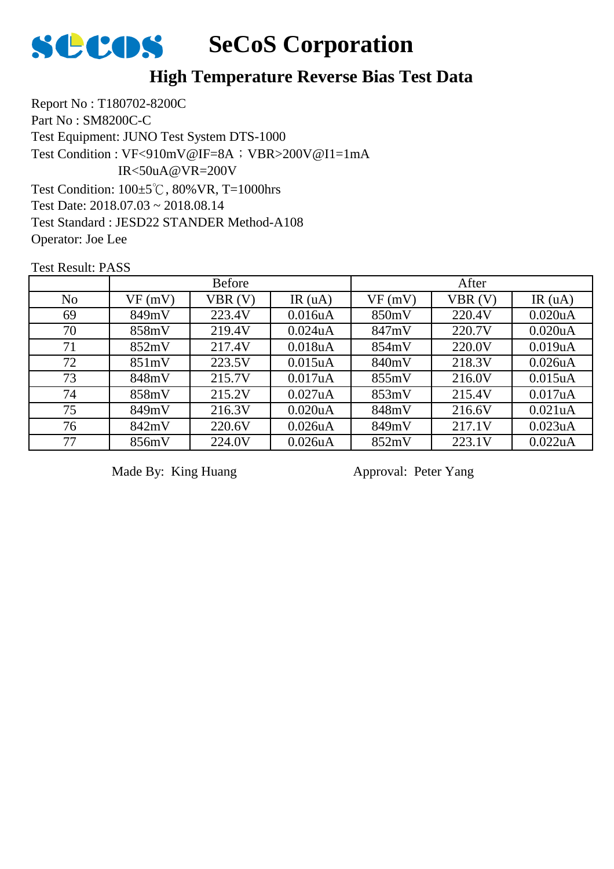

## **High Temperature Reverse Bias Test Data**

Report No : T180702-8200C Part No : SM8200C-C Test Equipment: JUNO Test System DTS-1000 Test Condition: 100±5℃, 80%VR, T=1000hrs Test Date: 2018.07.03 ~ 2018.08.14 Test Standard : JESD22 STANDER Method-A108 Operator: Joe Lee Test Condition : VF<910mV@IF=8A; VBR>200V@I1=1mA IR<50uA@VR=200V

Test Result: PASS

|                | <b>Before</b> |        |                      | After  |        |                      |  |
|----------------|---------------|--------|----------------------|--------|--------|----------------------|--|
| N <sub>o</sub> | VF(mV)        | VBR(V) | IR $(uA)$            | VF(mV) | VBR(V) | IR $(uA)$            |  |
| 69             | 849mV         | 223.4V | 0.016 <sub>u</sub> A | 850mV  | 220.4V | 0.020 <sub>u</sub> A |  |
| 70             | 858mV         | 219.4V | $0.024$ u $A$        | 847mV  | 220.7V | 0.020 <sub>u</sub> A |  |
| 71             | 852mV         | 217.4V | 0.018uA              | 854mV  | 220.0V | 0.019uA              |  |
| 72             | 851mV         | 223.5V | 0.015 <sub>u</sub> A | 840mV  | 218.3V | $0.026$ u $A$        |  |
| 73             | 848mV         | 215.7V | 0.017uA              | 855mV  | 216.0V | 0.015 <sub>u</sub> A |  |
| 74             | 858mV         | 215.2V | $0.027$ uA           | 853mV  | 215.4V | 0.017uA              |  |
| 75             | 849mV         | 216.3V | 0.020 <sub>u</sub> A | 848mV  | 216.6V | $0.021$ uA           |  |
| 76             | 842mV         | 220.6V | 0.026 <sub>u</sub> A | 849mV  | 217.1V | 0.023uA              |  |
| 77             | 856mV         | 224.0V | 0.026uA              | 852mV  | 223.1V | 0.022uA              |  |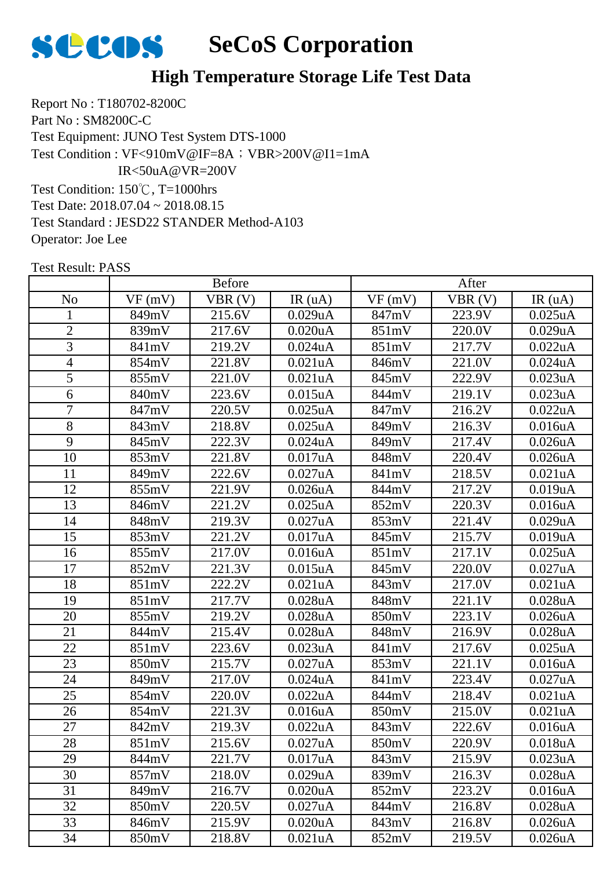

Report No : T180702-8200C Part No : SM8200C-C Test Equipment: JUNO Test System DTS-1000 Test Condition: 150℃, T=1000hrs Test Date: 2018.07.04 ~ 2018.08.15 Test Standard : JESD22 STANDER Method-A103 Test Condition : VF<910mV@IF=8A; VBR>200V@I1=1mA IR<50uA@VR=200V

Operator: Joe Lee

|                |        | <b>Before</b> |                      |        | After  |                      |
|----------------|--------|---------------|----------------------|--------|--------|----------------------|
| N <sub>0</sub> | VF(mV) | VBR(V)        | IR(uA)               | VF(mV) | VBR(V) | IR(uA)               |
| $\mathbf{1}$   | 849mV  | 215.6V        | 0.029uA              | 847mV  | 223.9V | $0.025$ uA           |
| $\mathbf{2}$   | 839mV  | 217.6V        | $0.020$ u $A$        | 851mV  | 220.0V | 0.029uA              |
| 3              | 841mV  | 219.2V        | $0.024$ uA           | 851mV  | 217.7V | 0.022uA              |
| 4              | 854mV  | 221.8V        | 0.021uA              | 846mV  | 221.0V | 0.024 <sub>u</sub> A |
| 5              | 855mV  | 221.0V        | 0.021uA              | 845mV  | 222.9V | 0.023uA              |
| 6              | 840mV  | 223.6V        | 0.015uA              | 844mV  | 219.1V | 0.023uA              |
| 7              | 847mV  | 220.5V        | $0.025$ uA           | 847mV  | 216.2V | 0.022uA              |
| 8              | 843mV  | 218.8V        | $0.025$ uA           | 849mV  | 216.3V | 0.016uA              |
| 9              | 845mV  | 222.3V        | $0.024$ uA           | 849mV  | 217.4V | $0.026$ u $A$        |
| 10             | 853mV  | 221.8V        | 0.017uA              | 848mV  | 220.4V | 0.026uA              |
| 11             | 849mV  | 222.6V        | 0.027uA              | 841mV  | 218.5V | 0.021uA              |
| 12             | 855mV  | 221.9V        | $0.026$ u $A$        | 844mV  | 217.2V | 0.019uA              |
| 13             | 846mV  | 221.2V        | $0.025$ uA           | 852mV  | 220.3V | 0.016uA              |
| 14             | 848mV  | 219.3V        | 0.027uA              | 853mV  | 221.4V | 0.029uA              |
| 15             | 853mV  | 221.2V        | 0.017uA              | 845mV  | 215.7V | 0.019uA              |
| 16             | 855mV  | 217.0V        | 0.016 <sub>u</sub> A | 851mV  | 217.1V | $0.025$ uA           |
| 17             | 852mV  | 221.3V        | $0.015$ uA           | 845mV  | 220.0V | 0.027uA              |
| 18             | 851mV  | 222.2V        | 0.021uA              | 843mV  | 217.0V | 0.021uA              |
| 19             | 851mV  | 217.7V        | 0.028uA              | 848mV  | 221.1V | $0.028$ u $A$        |
| 20             | 855mV  | 219.2V        | 0.028uA              | 850mV  | 223.1V | 0.026uA              |
| 21             | 844mV  | 215.4V        | $0.028$ u $A$        | 848mV  | 216.9V | $0.028$ u $A$        |
| 22             | 851mV  | 223.6V        | 0.023uA              | 841mV  | 217.6V | $0.025$ uA           |
| 23             | 850mV  | 215.7V        | 0.027uA              | 853mV  | 221.1V | 0.016uA              |
| 24             | 849mV  | 217.0V        | $0.024$ u $A$        | 841mV  | 223.4V | 0.027uA              |
| 25             | 854mV  | 220.0V        | 0.022uA              | 844mV  | 218.4V | 0.021 <sub>u</sub> A |
| 26             | 854mV  | 221.3V        | 0.016uA              | 850mV  | 215.0V | 0.021uA              |
| 27             | 842mV  | 219.3V        | 0.022uA              | 843mV  | 222.6V | 0.016uA              |
| 28             | 851mV  | 215.6V        | 0.027uA              | 850mV  | 220.9V | 0.018uA              |
| 29             | 844mV  | 221.7V        | 0.017uA              | 843mV  | 215.9V | 0.023uA              |
| 30             | 857mV  | 218.0V        | 0.029uA              | 839mV  | 216.3V | 0.028uA              |
| 31             | 849mV  | 216.7V        | 0.020uA              | 852mV  | 223.2V | 0.016uA              |
| 32             | 850mV  | 220.5V        | 0.027uA              | 844mV  | 216.8V | $0.028$ u $A$        |
| 33             | 846mV  | 215.9V        | 0.020uA              | 843mV  | 216.8V | $0.026$ u $A$        |
| 34             | 850mV  | 218.8V        | 0.021uA              | 852mV  | 219.5V | 0.026 <sub>u</sub> A |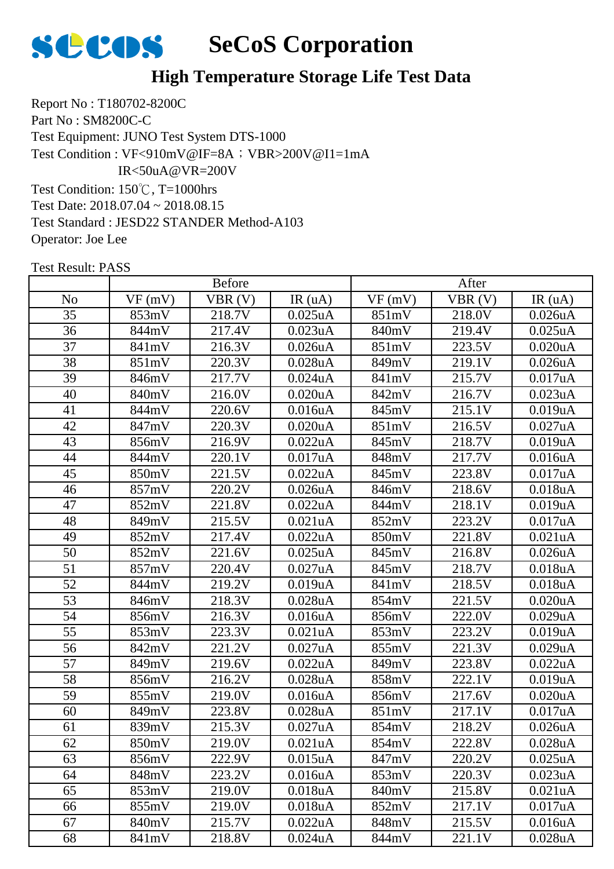

Report No : T180702-8200C Part No : SM8200C-C Test Equipment: JUNO Test System DTS-1000 Test Condition: 150℃, T=1000hrs Test Date: 2018.07.04 ~ 2018.08.15 Test Standard : JESD22 STANDER Method-A103 Test Condition : VF<910mV@IF=8A; VBR>200V@I1=1mA IR<50uA@VR=200V

Operator: Joe Lee

|                 |        | <b>Before</b> |                      |        | After  |                      |
|-----------------|--------|---------------|----------------------|--------|--------|----------------------|
| N <sub>o</sub>  | VF(mV) | VBR(V)        | IR(uA)               | VF(mV) | VBR(V) | IR(uA)               |
| 35              | 853mV  | 218.7V        | $0.025$ uA           | 851mV  | 218.0V | $0.026$ uA           |
| 36              | 844mV  | 217.4V        | 0.023uA              | 840mV  | 219.4V | $0.025$ uA           |
| 37              | 841mV  | 216.3V        | 0.026uA              | 851mV  | 223.5V | 0.020uA              |
| 38              | 851mV  | 220.3V        | $0.028$ u $A$        | 849mV  | 219.1V | $0.026$ u $A$        |
| 39              | 846mV  | 217.7V        | $0.024$ uA           | 841mV  | 215.7V | 0.017uA              |
| 40              | 840mV  | 216.0V        | 0.020uA              | 842mV  | 216.7V | 0.023uA              |
| 41              | 844mV  | 220.6V        | 0.016uA              | 845mV  | 215.1V | 0.019uA              |
| 42              | 847mV  | 220.3V        | $0.020$ u $A$        | 851mV  | 216.5V | 0.027uA              |
| 43              | 856mV  | 216.9V        | 0.022uA              | 845mV  | 218.7V | 0.019uA              |
| 44              | 844mV  | 220.1V        | 0.017uA              | 848mV  | 217.7V | 0.016uA              |
| 45              | 850mV  | 221.5V        | 0.022uA              | 845mV  | 223.8V | 0.017uA              |
| 46              | 857mV  | 220.2V        | 0.026uA              | 846mV  | 218.6V | 0.018uA              |
| 47              | 852mV  | 221.8V        | 0.022uA              | 844mV  | 218.1V | 0.019uA              |
| 48              | 849mV  | 215.5V        | 0.021uA              | 852mV  | 223.2V | 0.017uA              |
| 49              | 852mV  | 217.4V        | 0.022uA              | 850mV  | 221.8V | 0.021uA              |
| 50              | 852mV  | 221.6V        | $0.025$ uA           | 845mV  | 216.8V | 0.026uA              |
| 51              | 857mV  | 220.4V        | 0.027uA              | 845mV  | 218.7V | 0.018uA              |
| $\overline{52}$ | 844mV  | 219.2V        | 0.019uA              | 841mV  | 218.5V | 0.018uA              |
| 53              | 846mV  | 218.3V        | $0.028$ u $A$        | 854mV  | 221.5V | 0.020uA              |
| 54              | 856mV  | 216.3V        | 0.016uA              | 856mV  | 222.0V | 0.029uA              |
| 55              | 853mV  | 223.3V        | 0.021uA              | 853mV  | 223.2V | 0.019uA              |
| 56              | 842mV  | 221.2V        | 0.027uA              | 855mV  | 221.3V | 0.029uA              |
| 57              | 849mV  | 219.6V        | 0.022uA              | 849mV  | 223.8V | 0.022uA              |
| 58              | 856mV  | 216.2V        | $0.028$ u $A$        | 858mV  | 222.1V | 0.019uA              |
| 59              | 855mV  | 219.0V        | 0.016uA              | 856mV  | 217.6V | 0.020uA              |
| 60              | 849mV  | 223.8V        | $0.028$ u $A$        | 851mV  | 217.1V | 0.017uA              |
| 61              | 839mV  | 215.3V        | 0.027uA              | 854mV  | 218.2V | $0.026$ u $A$        |
| 62              | 850mV  | 219.0V        | 0.021uA              | 854mV  | 222.8V | 0.028uA              |
| 63              | 856mV  | 222.9V        | $0.015$ uA           | 847mV  | 220.2V | $0.025$ uA           |
| 64              | 848mV  | 223.2V        | 0.016uA              | 853mV  | 220.3V | 0.023uA              |
| 65              | 853mV  | 219.0V        | 0.018uA              | 840mV  | 215.8V | 0.021uA              |
| 66              | 855mV  | 219.0V        | 0.018 <sub>u</sub> A | 852mV  | 217.1V | 0.017uA              |
| 67              | 840mV  | 215.7V        | 0.022uA              | 848mV  | 215.5V | 0.016 <sub>u</sub> A |
| 68              | 841mV  | 218.8V        | $0.024$ uA           | 844mV  | 221.1V | $0.028$ u $A$        |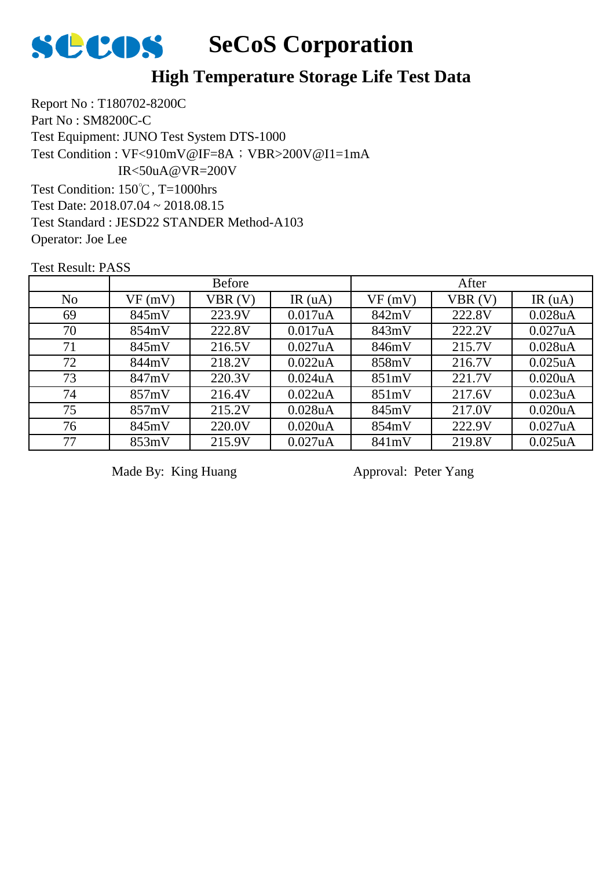

Report No : T180702-8200C Part No : SM8200C-C Test Equipment: JUNO Test System DTS-1000 Test Condition: 150℃, T=1000hrs Test Date: 2018.07.04 ~ 2018.08.15 Test Standard : JESD22 STANDER Method-A103 Test Condition : VF<910mV@IF=8A; VBR>200V@I1=1mA IR<50uA@VR=200V

Operator: Joe Lee

Test Result: PASS

|                |        | <b>Before</b> |               |        | After  |                      |
|----------------|--------|---------------|---------------|--------|--------|----------------------|
| N <sub>o</sub> | VF(mV) | VBR(V)        | IR $(uA)$     | VF(mV) | VBR(V) | IR $(uA)$            |
| 69             | 845mV  | 223.9V        | 0.017uA       | 842mV  | 222.8V | 0.028uA              |
| 70             | 854mV  | 222.8V        | 0.017uA       | 843mV  | 222.2V | 0.027uA              |
| 71             | 845mV  | 216.5V        | 0.027uA       | 846mV  | 215.7V | $0.028$ u $A$        |
| 72             | 844mV  | 218.2V        | 0.022uA       | 858mV  | 216.7V | $0.025$ uA           |
| 73             | 847mV  | 220.3V        | $0.024$ u $A$ | 851mV  | 221.7V | 0.020 <sub>u</sub> A |
| 74             | 857mV  | 216.4V        | 0.022uA       | 851mV  | 217.6V | $0.023$ uA           |
| 75             | 857mV  | 215.2V        | $0.028$ u $A$ | 845mV  | 217.0V | 0.020 <sub>u</sub> A |
| 76             | 845mV  | 220.0V        | 0.020uA       | 854mV  | 222.9V | 0.027uA              |
| 77             | 853mV  | 215.9V        | 0.027uA       | 841mV  | 219.8V | $0.025$ uA           |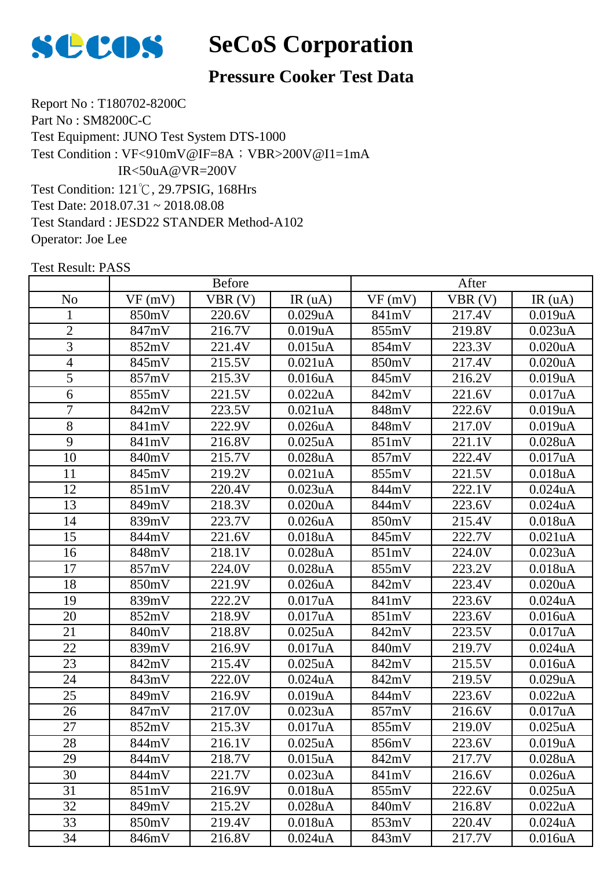

## **Pressure Cooker Test Data**

Report No : T180702-8200C Part No : SM8200C-C Test Equipment: JUNO Test System DTS-1000 Test Condition: 121℃, 29.7PSIG, 168Hrs Test Date: 2018.07.31 ~ 2018.08.08 Test Standard : JESD22 STANDER Method-A102 Operator: Joe Lee Test Condition : VF<910mV@IF=8A; VBR>200V@I1=1mA IR<50uA@VR=200V

|                |        | <b>Before</b> |                      |        | After  |                      |
|----------------|--------|---------------|----------------------|--------|--------|----------------------|
| N <sub>o</sub> | VF(mV) | VBR(V)        | IR(uA)               | VF(mV) | VBR(V) | IR(uA)               |
| 1              | 850mV  | 220.6V        | 0.029uA              | 841mV  | 217.4V | 0.019uA              |
| $\overline{2}$ | 847mV  | 216.7V        | 0.019uA              | 855mV  | 219.8V | 0.023uA              |
| 3              | 852mV  | 221.4V        | $0.015$ uA           | 854mV  | 223.3V | 0.020uA              |
| $\overline{4}$ | 845mV  | 215.5V        | 0.021uA              | 850mV  | 217.4V | 0.020uA              |
| 5              | 857mV  | 215.3V        | 0.016 <sub>u</sub> A | 845mV  | 216.2V | 0.019uA              |
| 6              | 855mV  | 221.5V        | 0.022uA              | 842mV  | 221.6V | 0.017uA              |
| $\overline{7}$ | 842mV  | 223.5V        | 0.021uA              | 848mV  | 222.6V | 0.019uA              |
| 8              | 841mV  | 222.9V        | 0.026uA              | 848mV  | 217.0V | 0.019uA              |
| 9              | 841mV  | 216.8V        | $0.025$ uA           | 851mV  | 221.1V | $0.028$ uA           |
| 10             | 840mV  | 215.7V        | $0.028$ u $A$        | 857mV  | 222.4V | 0.017uA              |
| 11             | 845mV  | 219.2V        | 0.021uA              | 855mV  | 221.5V | 0.018uA              |
| 12             | 851mV  | 220.4V        | 0.023uA              | 844mV  | 222.1V | $0.024$ uA           |
| 13             | 849mV  | 218.3V        | 0.020uA              | 844mV  | 223.6V | $0.024$ u $A$        |
| 14             | 839mV  | 223.7V        | 0.026 <sub>u</sub> A | 850mV  | 215.4V | 0.018uA              |
| 15             | 844mV  | 221.6V        | 0.018uA              | 845mV  | 222.7V | 0.021uA              |
| 16             | 848mV  | 218.1V        | $0.028$ u $A$        | 851mV  | 224.0V | 0.023uA              |
| 17             | 857mV  | 224.0V        | 0.028uA              | 855mV  | 223.2V | 0.018uA              |
| 18             | 850mV  | 221.9V        | $0.026$ uA           | 842mV  | 223.4V | $0.020$ u $A$        |
| 19             | 839mV  | 222.2V        | 0.017uA              | 841mV  | 223.6V | $0.024$ u $A$        |
| 20             | 852mV  | 218.9V        | 0.017uA              | 851mV  | 223.6V | 0.016uA              |
| 21             | 840mV  | 218.8V        | $0.025$ uA           | 842mV  | 223.5V | 0.017uA              |
| 22             | 839mV  | 216.9V        | 0.017uA              | 840mV  | 219.7V | $0.024$ uA           |
| 23             | 842mV  | 215.4V        | $0.025$ uA           | 842mV  | 215.5V | 0.016uA              |
| 24             | 843mV  | 222.0V        | $0.024$ u $A$        | 842mV  | 219.5V | 0.029uA              |
| 25             | 849mV  | 216.9V        | 0.019uA              | 844mV  | 223.6V | 0.022uA              |
| 26             | 847mV  | 217.0V        | 0.023uA              | 857mV  | 216.6V | 0.017uA              |
| 27             | 852mV  | 215.3V        | 0.017uA              | 855mV  | 219.0V | $0.025$ uA           |
| 28             | 844mV  | 216.1V        | $0.025$ uA           | 856mV  | 223.6V | 0.019uA              |
| 29             | 844mV  | 218.7V        | $0.015$ uA           | 842mV  | 217.7V | $0.028$ uA           |
| 30             | 844mV  | 221.7V        | 0.023uA              | 841mV  | 216.6V | 0.026 <sub>u</sub> A |
| 31             | 851mV  | 216.9V        | 0.018uA              | 855mV  | 222.6V | $0.025$ uA           |
| 32             | 849mV  | 215.2V        | 0.028uA              | 840mV  | 216.8V | 0.022uA              |
| 33             | 850mV  | 219.4V        | 0.018uA              | 853mV  | 220.4V | $0.024$ uA           |
| 34             | 846mV  | 216.8V        | $0.024$ u $A$        | 843mV  | 217.7V | 0.016 <sub>u</sub> A |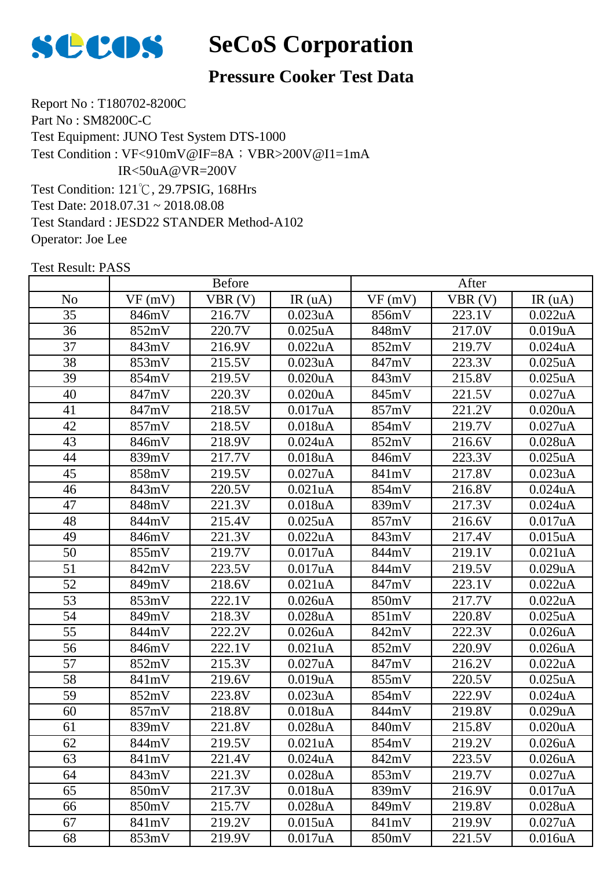

## **Pressure Cooker Test Data**

Report No : T180702-8200C Part No : SM8200C-C Test Equipment: JUNO Test System DTS-1000 Test Condition: 121℃, 29.7PSIG, 168Hrs Test Date: 2018.07.31 ~ 2018.08.08 Test Standard : JESD22 STANDER Method-A102 Operator: Joe Lee Test Condition : VF<910mV@IF=8A; VBR>200V@I1=1mA  $IR < 50uA@VR = 200V$ 

|                 | <b>Before</b> |        |               | After  |        |               |
|-----------------|---------------|--------|---------------|--------|--------|---------------|
| N <sub>o</sub>  | VF(mV)        | VBR(V) | IR(uA)        | VF(mV) | VBR(V) | IR(uA)        |
| 35              | 846mV         | 216.7V | 0.023uA       | 856mV  | 223.1V | 0.022uA       |
| 36              | 852mV         | 220.7V | $0.025$ uA    | 848mV  | 217.0V | 0.019uA       |
| 37              | 843mV         | 216.9V | 0.022uA       | 852mV  | 219.7V | $0.024$ u $A$ |
| 38              | 853mV         | 215.5V | 0.023uA       | 847mV  | 223.3V | $0.025$ uA    |
| 39              | 854mV         | 219.5V | $0.020$ u $A$ | 843mV  | 215.8V | $0.025$ uA    |
| 40              | 847mV         | 220.3V | 0.020uA       | 845mV  | 221.5V | 0.027uA       |
| 41              | 847mV         | 218.5V | 0.017uA       | 857mV  | 221.2V | 0.020uA       |
| 42              | 857mV         | 218.5V | 0.018uA       | 854mV  | 219.7V | 0.027uA       |
| 43              | 846mV         | 218.9V | $0.024$ uA    | 852mV  | 216.6V | 0.028uA       |
| 44              | 839mV         | 217.7V | 0.018uA       | 846mV  | 223.3V | $0.025$ uA    |
| 45              | 858mV         | 219.5V | 0.027uA       | 841mV  | 217.8V | 0.023uA       |
| 46              | 843mV         | 220.5V | 0.021uA       | 854mV  | 216.8V | $0.024$ uA    |
| 47              | 848mV         | 221.3V | 0.018uA       | 839mV  | 217.3V | $0.024$ uA    |
| 48              | 844mV         | 215.4V | $0.025$ uA    | 857mV  | 216.6V | 0.017uA       |
| 49              | 846mV         | 221.3V | 0.022uA       | 843mV  | 217.4V | $0.015$ uA    |
| 50              | 855mV         | 219.7V | 0.017uA       | 844mV  | 219.1V | 0.021uA       |
| 51              | 842mV         | 223.5V | 0.017uA       | 844mV  | 219.5V | 0.029uA       |
| $\overline{52}$ | 849mV         | 218.6V | 0.021uA       | 847mV  | 223.1V | 0.022uA       |
| 53              | 853mV         | 222.1V | 0.026uA       | 850mV  | 217.7V | 0.022uA       |
| 54              | 849mV         | 218.3V | 0.028uA       | 851mV  | 220.8V | $0.025$ uA    |
| 55              | 844mV         | 222.2V | 0.026uA       | 842mV  | 222.3V | 0.026uA       |
| 56              | 846mV         | 222.1V | 0.021uA       | 852mV  | 220.9V | 0.026uA       |
| 57              | 852mV         | 215.3V | 0.027uA       | 847mV  | 216.2V | 0.022uA       |
| 58              | 841mV         | 219.6V | 0.019uA       | 855mV  | 220.5V | $0.025$ uA    |
| 59              | 852mV         | 223.8V | 0.023uA       | 854mV  | 222.9V | $0.024$ uA    |
| 60              | 857mV         | 218.8V | 0.018uA       | 844mV  | 219.8V | 0.029uA       |
| 61              | 839mV         | 221.8V | $0.028$ u $A$ | 840mV  | 215.8V | 0.020uA       |
| 62              | 844mV         | 219.5V | 0.021uA       | 854mV  | 219.2V | 0.026uA       |
| 63              | 841mV         | 221.4V | $0.024$ uA    | 842mV  | 223.5V | $0.026$ uA    |
| 64              | 843mV         | 221.3V | 0.028uA       | 853mV  | 219.7V | 0.027uA       |
| 65              | 850mV         | 217.3V | 0.018uA       | 839mV  | 216.9V | 0.017uA       |
| 66              | 850mV         | 215.7V | $0.028$ u $A$ | 849mV  | 219.8V | 0.028uA       |
| 67              | 841mV         | 219.2V | $0.015$ uA    | 841mV  | 219.9V | 0.027uA       |
| 68              | 853mV         | 219.9V | 0.017uA       | 850mV  | 221.5V | 0.016uA       |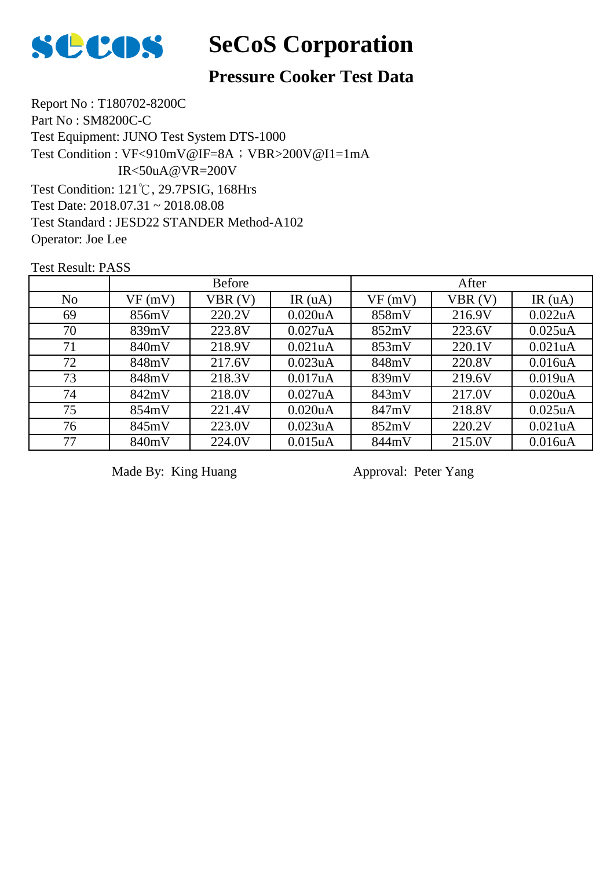

# **Pressure Cooker Test Data**

Report No : T180702-8200C Part No : SM8200C-C Test Equipment: JUNO Test System DTS-1000 Test Condition: 121℃, 29.7PSIG, 168Hrs Test Date: 2018.07.31 ~ 2018.08.08 Test Standard : JESD22 STANDER Method-A102 Operator: Joe Lee Test Condition : VF<910mV@IF=8A; VBR>200V@I1=1mA  $IR < 50uA@VR = 200V$ 

Test Result: PASS

|                |        | <b>Before</b> |                      |        | After  |                      |
|----------------|--------|---------------|----------------------|--------|--------|----------------------|
| N <sub>o</sub> | VF(mV) | VBR(V)        | IR(uA)               | VF(mV) | VBR(V) | IR $(uA)$            |
| 69             | 856mV  | 220.2V        | 0.020 <sub>u</sub> A | 858mV  | 216.9V | 0.022uA              |
| 70             | 839mV  | 223.8V        | 0.027uA              | 852mV  | 223.6V | $0.025$ uA           |
| 71             | 840mV  | 218.9V        | 0.021uA              | 853mV  | 220.1V | 0.021 <sub>u</sub> A |
| 72             | 848mV  | 217.6V        | 0.023uA              | 848mV  | 220.8V | 0.016 <sub>u</sub> A |
| 73             | 848mV  | 218.3V        | 0.017uA              | 839mV  | 219.6V | 0.019uA              |
| 74             | 842mV  | 218.0V        | $0.027$ uA           | 843mV  | 217.0V | 0.020 <sub>u</sub> A |
| 75             | 854mV  | 221.4V        | 0.020 <sub>u</sub> A | 847mV  | 218.8V | $0.025$ uA           |
| 76             | 845mV  | 223.0V        | 0.023uA              | 852mV  | 220.2V | 0.021uA              |
| 77             | 840mV  | 224.0V        | 0.015uA              | 844mV  | 215.0V | 0.016uA              |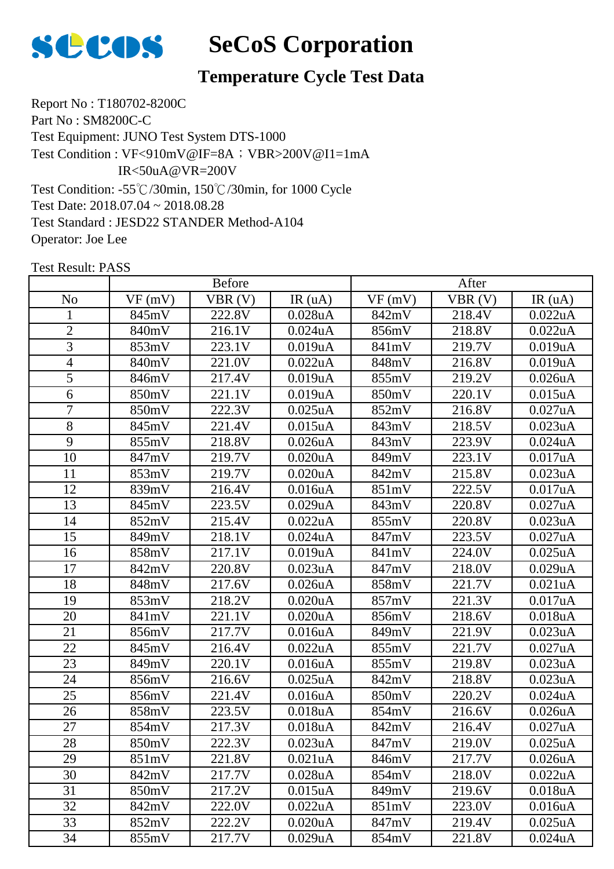

# **Temperature Cycle Test Data**

Report No : T180702-8200C Part No : SM8200C-C Test Equipment: JUNO Test System DTS-1000 Test Condition: -55℃/30min, 150℃/30min, for 1000 Cycle Test Date: 2018.07.04 ~ 2018.08.28 Test Standard : JESD22 STANDER Method-A104 Operator: Joe Lee Test Condition : VF<910mV@IF=8A; VBR>200V@I1=1mA IR<50uA@VR=200V

|                | <b>Before</b>       |        |                      | After  |        |                      |
|----------------|---------------------|--------|----------------------|--------|--------|----------------------|
| N <sub>0</sub> | VF(mV)              | VBR(V) | IR(uA)               | VF(mV) | VBR(V) | IR(uA)               |
| $\mathbf{1}$   | 845mV               | 222.8V | $0.028$ u $A$        | 842mV  | 218.4V | 0.022uA              |
| $\mathbf{2}$   | 840mV               | 216.1V | $0.024$ u $A$        | 856mV  | 218.8V | 0.022uA              |
| 3              | 853mV               | 223.1V | 0.019uA              | 841mV  | 219.7V | 0.019uA              |
| 4              | 840mV               | 221.0V | 0.022uA              | 848mV  | 216.8V | 0.019uA              |
| 5              | 846mV               | 217.4V | 0.019uA              | 855mV  | 219.2V | $0.026$ u $A$        |
| 6              | 850mV               | 221.1V | 0.019uA              | 850mV  | 220.1V | $0.015$ uA           |
| 7              | 850mV               | 222.3V | $0.025$ uA           | 852mV  | 216.8V | 0.027uA              |
| 8              | 845mV               | 221.4V | $0.015$ uA           | 843mV  | 218.5V | 0.023uA              |
| 9              | 855mV               | 218.8V | 0.026uA              | 843mV  | 223.9V | $0.024$ u $A$        |
| 10             | 847mV               | 219.7V | 0.020uA              | 849mV  | 223.1V | 0.017uA              |
| 11             | 853mV               | 219.7V | 0.020uA              | 842mV  | 215.8V | 0.023uA              |
| 12             | 839mV               | 216.4V | 0.016uA              | 851mV  | 222.5V | 0.017uA              |
| 13             | 845mV               | 223.5V | 0.029uA              | 843mV  | 220.8V | 0.027uA              |
| 14             | 852mV               | 215.4V | 0.022uA              | 855mV  | 220.8V | 0.023uA              |
| 15             | 849mV               | 218.1V | $0.024$ uA           | 847mV  | 223.5V | 0.027uA              |
| 16             | 858mV               | 217.1V | 0.019uA              | 841mV  | 224.0V | $0.025$ uA           |
| 17             | 842mV               | 220.8V | 0.023uA              | 847mV  | 218.0V | 0.029uA              |
| 18             | 848mV               | 217.6V | $0.026$ u $A$        | 858mV  | 221.7V | 0.021uA              |
| 19             | $\overline{8}$ 53mV | 218.2V | 0.020uA              | 857mV  | 221.3V | 0.017uA              |
| 20             | 841mV               | 221.1V | 0.020uA              | 856mV  | 218.6V | 0.018uA              |
| 21             | 856mV               | 217.7V | 0.016uA              | 849mV  | 221.9V | 0.023uA              |
| 22             | 845mV               | 216.4V | 0.022uA              | 855mV  | 221.7V | 0.027uA              |
| 23             | 849mV               | 220.1V | 0.016uA              | 855mV  | 219.8V | 0.023uA              |
| 24             | 856mV               | 216.6V | $0.025$ uA           | 842mV  | 218.8V | 0.023uA              |
| 25             | 856mV               | 221.4V | 0.016 <sub>u</sub> A | 850mV  | 220.2V | $0.024$ uA           |
| 26             | 858mV               | 223.5V | 0.018uA              | 854mV  | 216.6V | $0.026$ u $A$        |
| 27             | 854mV               | 217.3V | 0.018uA              | 842mV  | 216.4V | 0.027uA              |
| 28             | 850mV               | 222.3V | 0.023uA              | 847mV  | 219.0V | 0.025uA              |
| 29             | 851mV               | 221.8V | 0.021 <sub>u</sub> A | 846mV  | 217.7V | 0.026 <sub>u</sub> A |
| 30             | 842mV               | 217.7V | 0.028uA              | 854mV  | 218.0V | 0.022uA              |
| 31             | 850mV               | 217.2V | 0.015uA              | 849mV  | 219.6V | 0.018uA              |
| 32             | 842mV               | 222.0V | 0.022uA              | 851mV  | 223.0V | 0.016 <sub>u</sub> A |
| 33             | 852mV               | 222.2V | 0.020uA              | 847mV  | 219.4V | $0.025$ uA           |
| 34             | 855mV               | 217.7V | 0.029uA              | 854mV  | 221.8V | $0.024$ u $A$        |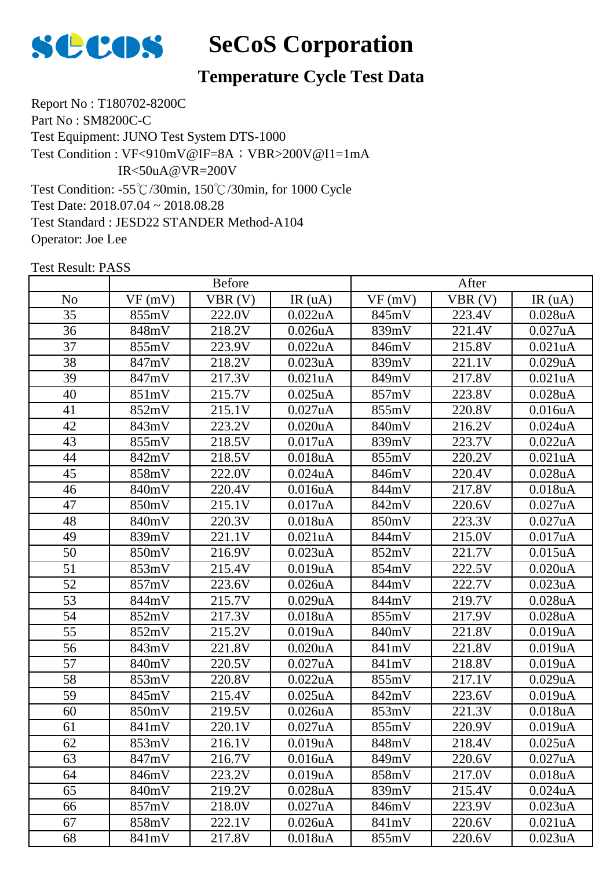

# **Temperature Cycle Test Data**

Report No : T180702-8200C Part No : SM8200C-C Test Equipment: JUNO Test System DTS-1000 Test Condition: -55℃/30min, 150℃/30min, for 1000 Cycle Test Date: 2018.07.04 ~ 2018.08.28 Test Standard : JESD22 STANDER Method-A104 Operator: Joe Lee Test Condition : VF<910mV@IF=8A; VBR>200V@I1=1mA IR<50uA@VR=200V

|                | <b>Before</b> |        |               | After  |        |               |
|----------------|---------------|--------|---------------|--------|--------|---------------|
| N <sub>o</sub> | VF(mV)        | VBR(V) | IR(uA)        | VF(mV) | VBR(V) | IR(uA)        |
| 35             | 855mV         | 222.0V | 0.022uA       | 845mV  | 223.4V | 0.028uA       |
| 36             | 848mV         | 218.2V | 0.026uA       | 839mV  | 221.4V | 0.027uA       |
| 37             | 855mV         | 223.9V | 0.022uA       | 846mV  | 215.8V | 0.021uA       |
| 38             | 847mV         | 218.2V | 0.023uA       | 839mV  | 221.1V | 0.029uA       |
| 39             | 847mV         | 217.3V | 0.021uA       | 849mV  | 217.8V | 0.021uA       |
| 40             | 851mV         | 215.7V | $0.025$ uA    | 857mV  | 223.8V | $0.028$ u $A$ |
| 41             | 852mV         | 215.1V | 0.027uA       | 855mV  | 220.8V | 0.016uA       |
| 42             | 843mV         | 223.2V | 0.020uA       | 840mV  | 216.2V | $0.024$ u $A$ |
| 43             | 855mV         | 218.5V | 0.017uA       | 839mV  | 223.7V | 0.022uA       |
| 44             | 842mV         | 218.5V | 0.018uA       | 855mV  | 220.2V | 0.021uA       |
| 45             | 858mV         | 222.0V | $0.024$ uA    | 846mV  | 220.4V | $0.028$ u $A$ |
| 46             | 840mV         | 220.4V | 0.016uA       | 844mV  | 217.8V | 0.018uA       |
| 47             | 850mV         | 215.1V | 0.017uA       | 842mV  | 220.6V | 0.027uA       |
| 48             | 840mV         | 220.3V | 0.018uA       | 850mV  | 223.3V | 0.027uA       |
| 49             | 839mV         | 221.1V | 0.021uA       | 844mV  | 215.0V | 0.017uA       |
| 50             | 850mV         | 216.9V | 0.023uA       | 852mV  | 221.7V | $0.015$ uA    |
| 51             | 853mV         | 215.4V | 0.019uA       | 854mV  | 222.5V | 0.020uA       |
| 52             | 857mV         | 223.6V | 0.026uA       | 844mV  | 222.7V | 0.023uA       |
| 53             | 844mV         | 215.7V | 0.029uA       | 844mV  | 219.7V | 0.028uA       |
| 54             | 852mV         | 217.3V | 0.018uA       | 855mV  | 217.9V | $0.028$ u $A$ |
| 55             | 852mV         | 215.2V | 0.019uA       | 840mV  | 221.8V | 0.019uA       |
| 56             | 843mV         | 221.8V | 0.020uA       | 841mV  | 221.8V | 0.019uA       |
| 57             | 840mV         | 220.5V | 0.027uA       | 841mV  | 218.8V | 0.019uA       |
| 58             | 853mV         | 220.8V | 0.022uA       | 855mV  | 217.1V | 0.029uA       |
| 59             | 845mV         | 215.4V | $0.025$ uA    | 842mV  | 223.6V | 0.019uA       |
| 60             | 850mV         | 219.5V | $0.026$ u $A$ | 853mV  | 221.3V | 0.018uA       |
| 61             | 841mV         | 220.1V | 0.027uA       | 855mV  | 220.9V | 0.019uA       |
| 62             | 853mV         | 216.1V | 0.019uA       | 848mV  | 218.4V | $0.025$ uA    |
| 63             | 847mV         | 216.7V | 0.016uA       | 849mV  | 220.6V | 0.027uA       |
| 64             | 846mV         | 223.2V | 0.019uA       | 858mV  | 217.0V | 0.018uA       |
| 65             | 840mV         | 219.2V | 0.028uA       | 839mV  | 215.4V | $0.024$ u $A$ |
| 66             | 857mV         | 218.0V | 0.027uA       | 846mV  | 223.9V | 0.023uA       |
| 67             | 858mV         | 222.1V | 0.026uA       | 841mV  | 220.6V | 0.021uA       |
| 68             | 841mV         | 217.8V | 0.018uA       | 855mV  | 220.6V | 0.023uA       |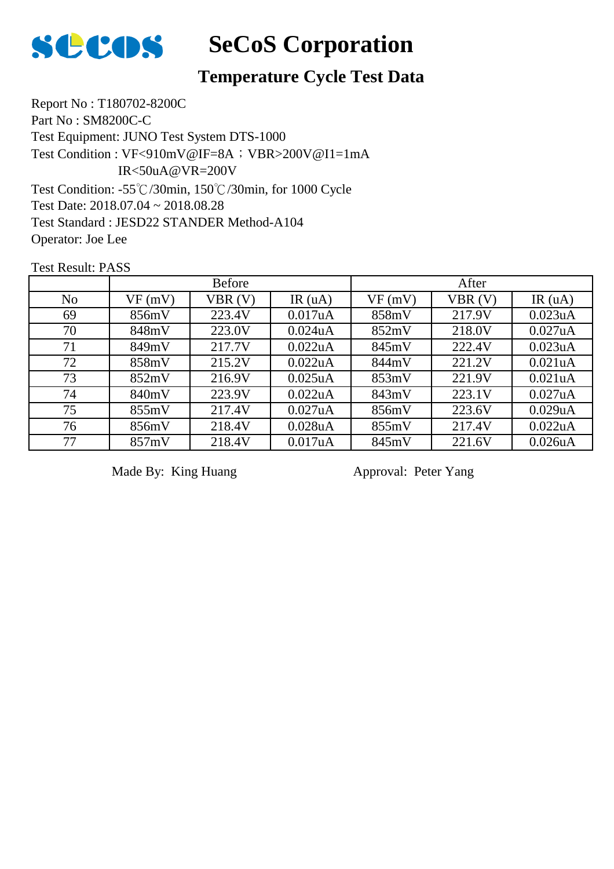

# **Temperature Cycle Test Data**

Report No : T180702-8200C Part No : SM8200C-C Test Equipment: JUNO Test System DTS-1000 Test Condition: -55℃/30min, 150℃/30min, for 1000 Cycle Test Date: 2018.07.04 ~ 2018.08.28 Test Standard : JESD22 STANDER Method-A104 Operator: Joe Lee Test Condition : VF<910mV@IF=8A; VBR>200V@I1=1mA IR<50uA@VR=200V

Test Result: PASS

|                | <b>Before</b> |        |               | After  |        |                      |
|----------------|---------------|--------|---------------|--------|--------|----------------------|
| N <sub>o</sub> | VF(mV)        | VBR(V) | IR $(uA)$     | VF(mV) | VBR(V) | IR $(uA)$            |
| 69             | 856mV         | 223.4V | 0.017uA       | 858mV  | 217.9V | 0.023uA              |
| 70             | 848mV         | 223.0V | $0.024$ u $A$ | 852mV  | 218.0V | 0.027uA              |
| 71             | 849mV         | 217.7V | 0.022uA       | 845mV  | 222.4V | 0.023uA              |
| 72             | 858mV         | 215.2V | 0.022uA       | 844mV  | 221.2V | 0.021uA              |
| 73             | 852mV         | 216.9V | $0.025$ uA    | 853mV  | 221.9V | 0.021 <sub>u</sub> A |
| 74             | 840mV         | 223.9V | 0.022uA       | 843mV  | 223.1V | 0.027uA              |
| 75             | 855mV         | 217.4V | 0.027uA       | 856mV  | 223.6V | 0.029uA              |
| 76             | 856mV         | 218.4V | $0.028$ u $A$ | 855mV  | 217.4V | 0.022uA              |
| 77             | 857mV         | 218.4V | 0.017uA       | 845mV  | 221.6V | 0.026uA              |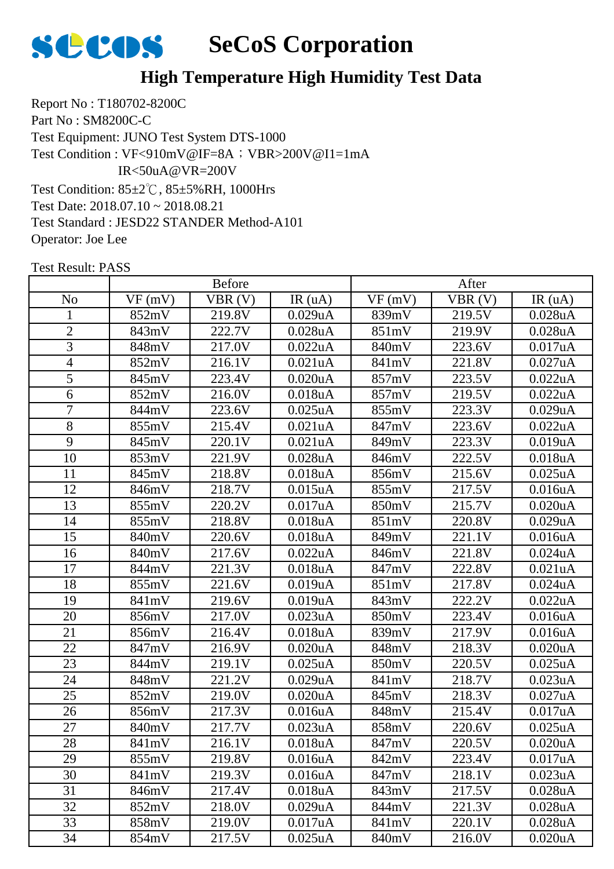

Report No : T180702-8200C Part No : SM8200C-C Test Equipment: JUNO Test System DTS-1000 Test Condition: 85±2℃, 85±5%RH, 1000Hrs Test Date: 2018.07.10 ~ 2018.08.21 Test Standard : JESD22 STANDER Method-A101 Operator: Joe Lee Test Condition : VF<910mV@IF=8A; VBR>200V@I1=1mA IR<50uA@VR=200V

|                |        | <b>Before</b> |                      |        | After  |               |  |
|----------------|--------|---------------|----------------------|--------|--------|---------------|--|
| N <sub>o</sub> | VF(mV) | VBR(V)        | IR(uA)               | VF(mV) | VBR(V) | IR(uA)        |  |
| $\mathbf{1}$   | 852mV  | 219.8V        | 0.029uA              | 839mV  | 219.5V | 0.028uA       |  |
| $\overline{2}$ | 843mV  | 222.7V        | 0.028uA              | 851mV  | 219.9V | $0.028$ u $A$ |  |
| 3              | 848mV  | 217.0V        | 0.022uA              | 840mV  | 223.6V | 0.017uA       |  |
| $\overline{4}$ | 852mV  | 216.1V        | 0.021uA              | 841mV  | 221.8V | 0.027uA       |  |
| 5              | 845mV  | 223.4V        | 0.020 <sub>u</sub> A | 857mV  | 223.5V | 0.022uA       |  |
| 6              | 852mV  | 216.0V        | 0.018uA              | 857mV  | 219.5V | 0.022uA       |  |
| $\overline{7}$ | 844mV  | 223.6V        | $0.025$ uA           | 855mV  | 223.3V | 0.029uA       |  |
| 8              | 855mV  | 215.4V        | 0.021uA              | 847mV  | 223.6V | 0.022uA       |  |
| 9              | 845mV  | 220.1V        | 0.021uA              | 849mV  | 223.3V | 0.019uA       |  |
| 10             | 853mV  | 221.9V        | 0.028uA              | 846mV  | 222.5V | 0.018uA       |  |
| 11             | 845mV  | 218.8V        | 0.018uA              | 856mV  | 215.6V | $0.025$ uA    |  |
| 12             | 846mV  | 218.7V        | 0.015uA              | 855mV  | 217.5V | 0.016uA       |  |
| 13             | 855mV  | 220.2V        | 0.017uA              | 850mV  | 215.7V | 0.020uA       |  |
| 14             | 855mV  | 218.8V        | 0.018uA              | 851mV  | 220.8V | 0.029uA       |  |
| 15             | 840mV  | 220.6V        | 0.018uA              | 849mV  | 221.1V | 0.016uA       |  |
| 16             | 840mV  | 217.6V        | 0.022uA              | 846mV  | 221.8V | $0.024$ uA    |  |
| 17             | 844mV  | 221.3V        | 0.018uA              | 847mV  | 222.8V | 0.021uA       |  |
| 18             | 855mV  | 221.6V        | 0.019uA              | 851mV  | 217.8V | $0.024$ uA    |  |
| 19             | 841mV  | 219.6V        | 0.019uA              | 843mV  | 222.2V | 0.022uA       |  |
| 20             | 856mV  | 217.0V        | 0.023uA              | 850mV  | 223.4V | 0.016uA       |  |
| 21             | 856mV  | 216.4V        | 0.018uA              | 839mV  | 217.9V | 0.016uA       |  |
| 22             | 847mV  | 216.9V        | 0.020uA              | 848mV  | 218.3V | $0.020$ u $A$ |  |
| 23             | 844mV  | 219.1V        | $0.025$ uA           | 850mV  | 220.5V | $0.025$ uA    |  |
| 24             | 848mV  | 221.2V        | 0.029uA              | 841mV  | 218.7V | 0.023uA       |  |
| 25             | 852mV  | 219.0V        | 0.020uA              | 845mV  | 218.3V | 0.027uA       |  |
| 26             | 856mV  | 217.3V        | 0.016uA              | 848mV  | 215.4V | 0.017uA       |  |
| 27             | 840mV  | 217.7V        | 0.023uA              | 858mV  | 220.6V | $0.025$ uA    |  |
| 28             | 841mV  | 216.1V        | 0.018uA              | 847mV  | 220.5V | 0.020uA       |  |
| 29             | 855mV  | 219.8V        | 0.016uA              | 842mV  | 223.4V | 0.017uA       |  |
| 30             | 841mV  | 219.3V        | 0.016uA              | 847mV  | 218.1V | 0.023uA       |  |
| 31             | 846mV  | 217.4V        | 0.018uA              | 843mV  | 217.5V | 0.028uA       |  |
| 32             | 852mV  | 218.0V        | 0.029uA              | 844mV  | 221.3V | $0.028$ u $A$ |  |
| 33             | 858mV  | 219.0V        | 0.017uA              | 841mV  | 220.1V | $0.028$ u $A$ |  |
| 34             | 854mV  | 217.5V        | $0.025$ uA           | 840mV  | 216.0V | $0.020$ u $A$ |  |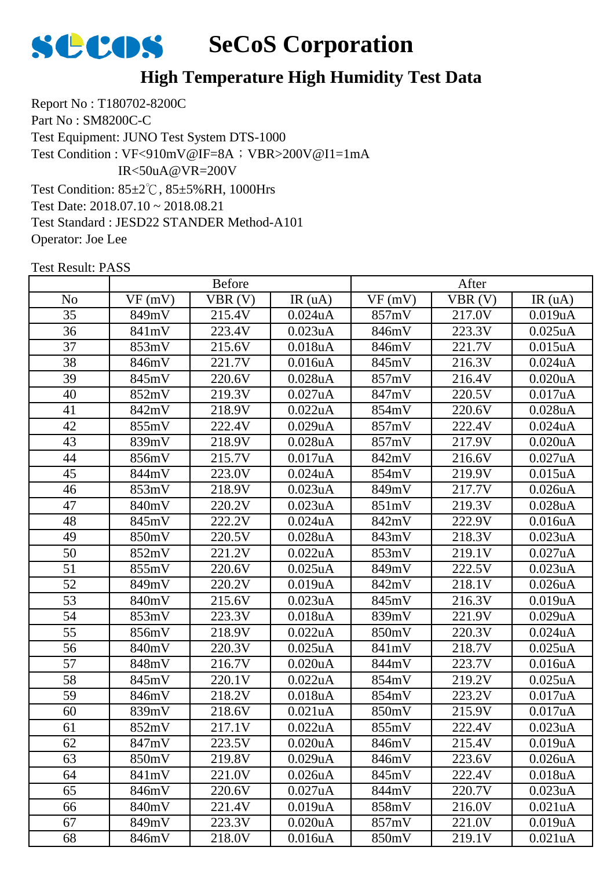

Report No : T180702-8200C Part No : SM8200C-C Test Equipment: JUNO Test System DTS-1000 Test Condition: 85±2℃, 85±5%RH, 1000Hrs Test Date: 2018.07.10 ~ 2018.08.21 Test Standard : JESD22 STANDER Method-A101 Operator: Joe Lee Test Condition : VF<910mV@IF=8A; VBR>200V@I1=1mA IR<50uA@VR=200V

| <b>Before</b>  |        |        | After                |        |        |                      |
|----------------|--------|--------|----------------------|--------|--------|----------------------|
| N <sub>o</sub> | VF(mV) | VBR(V) | IR(uA)               | VF(mV) | VBR(V) | IR(uA)               |
| 35             | 849mV  | 215.4V | $0.024$ uA           | 857mV  | 217.0V | 0.019uA              |
| 36             | 841mV  | 223.4V | 0.023uA              | 846mV  | 223.3V | $0.025$ uA           |
| 37             | 853mV  | 215.6V | 0.018uA              | 846mV  | 221.7V | $0.015$ uA           |
| 38             | 846mV  | 221.7V | 0.016uA              | 845mV  | 216.3V | $0.024$ u $A$        |
| 39             | 845mV  | 220.6V | 0.028uA              | 857mV  | 216.4V | 0.020 <sub>u</sub> A |
| 40             | 852mV  | 219.3V | 0.027uA              | 847mV  | 220.5V | 0.017uA              |
| 41             | 842mV  | 218.9V | 0.022uA              | 854mV  | 220.6V | $0.028$ u $A$        |
| 42             | 855mV  | 222.4V | 0.029uA              | 857mV  | 222.4V | $0.024$ u $A$        |
| 43             | 839mV  | 218.9V | $0.028$ u $A$        | 857mV  | 217.9V | 0.020uA              |
| 44             | 856mV  | 215.7V | 0.017uA              | 842mV  | 216.6V | 0.027uA              |
| 45             | 844mV  | 223.0V | $0.024$ uA           | 854mV  | 219.9V | 0.015uA              |
| 46             | 853mV  | 218.9V | 0.023 <sub>u</sub> A | 849mV  | 217.7V | 0.026 <sub>u</sub> A |
| 47             | 840mV  | 220.2V | 0.023uA              | 851mV  | 219.3V | 0.028uA              |
| 48             | 845mV  | 222.2V | $0.024$ uA           | 842mV  | 222.9V | 0.016uA              |
| 49             | 850mV  | 220.5V | 0.028uA              | 843mV  | 218.3V | 0.023uA              |
| 50             | 852mV  | 221.2V | 0.022uA              | 853mV  | 219.1V | 0.027uA              |
| 51             | 855mV  | 220.6V | $0.025$ uA           | 849mV  | 222.5V | 0.023uA              |
| 52             | 849mV  | 220.2V | 0.019uA              | 842mV  | 218.1V | 0.026uA              |
| 53             | 840mV  | 215.6V | 0.023uA              | 845mV  | 216.3V | 0.019uA              |
| 54             | 853mV  | 223.3V | 0.018uA              | 839mV  | 221.9V | 0.029uA              |
| 55             | 856mV  | 218.9V | 0.022uA              | 850mV  | 220.3V | $0.024$ uA           |
| 56             | 840mV  | 220.3V | $0.025$ uA           | 841mV  | 218.7V | $0.025$ uA           |
| 57             | 848mV  | 216.7V | 0.020uA              | 844mV  | 223.7V | 0.016uA              |
| 58             | 845mV  | 220.1V | 0.022uA              | 854mV  | 219.2V | $0.025$ uA           |
| 59             | 846mV  | 218.2V | 0.018uA              | 854mV  | 223.2V | 0.017uA              |
| 60             | 839mV  | 218.6V | $0.021$ uA           | 850mV  | 215.9V | 0.017uA              |
| 61             | 852mV  | 217.1V | 0.022uA              | 855mV  | 222.4V | 0.023uA              |
| 62             | 847mV  | 223.5V | 0.020 <sub>u</sub> A | 846mV  | 215.4V | 0.019uA              |
| 63             | 850mV  | 219.8V | 0.029uA              | 846mV  | 223.6V | 0.026uA              |
| 64             | 841mV  | 221.0V | 0.026uA              | 845mV  | 222.4V | 0.018uA              |
| 65             | 846mV  | 220.6V | 0.027uA              | 844mV  | 220.7V | 0.023uA              |
| 66             | 840mV  | 221.4V | 0.019uA              | 858mV  | 216.0V | 0.021uA              |
| 67             | 849mV  | 223.3V | 0.020uA              | 857mV  | 221.0V | 0.019uA              |
| 68             | 846mV  | 218.0V | 0.016uA              | 850mV  | 219.1V | 0.021uA              |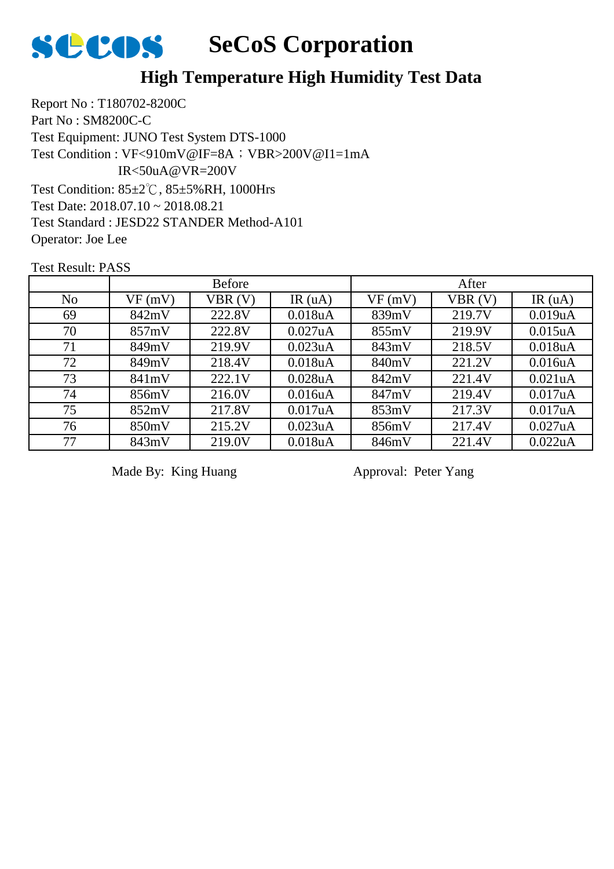

Report No : T180702-8200C Part No : SM8200C-C Test Equipment: JUNO Test System DTS-1000 Test Condition: 85±2℃, 85±5%RH, 1000Hrs Test Date: 2018.07.10 ~ 2018.08.21 Test Standard : JESD22 STANDER Method-A101 Operator: Joe Lee Test Condition : VF<910mV@IF=8A; VBR>200V@I1=1mA IR<50uA@VR=200V

Test Result: PASS

|                |        | <b>Before</b> |                      |        | After  |            |
|----------------|--------|---------------|----------------------|--------|--------|------------|
| N <sub>o</sub> | VF(mV) | VBR(V)        | IR $(uA)$            | VF(mV) | VBR(V) | IR $(uA)$  |
| 69             | 842mV  | 222.8V        | 0.018 <sub>u</sub> A | 839mV  | 219.7V | 0.019uA    |
| 70             | 857mV  | 222.8V        | 0.027uA              | 855mV  | 219.9V | $0.015$ uA |
| 71             | 849mV  | 219.9V        | 0.023uA              | 843mV  | 218.5V | 0.018uA    |
| 72             | 849mV  | 218.4V        | 0.018uA              | 840mV  | 221.2V | 0.016uA    |
| 73             | 841mV  | 222.1V        | $0.028$ u $A$        | 842mV  | 221.4V | 0.021uA    |
| 74             | 856mV  | 216.0V        | 0.016 <sub>u</sub> A | 847mV  | 219.4V | 0.017uA    |
| 75             | 852mV  | 217.8V        | 0.017uA              | 853mV  | 217.3V | 0.017uA    |
| 76             | 850mV  | 215.2V        | 0.023uA              | 856mV  | 217.4V | 0.027uA    |
| 77             | 843mV  | 219.0V        | 0.018uA              | 846mV  | 221.4V | 0.022uA    |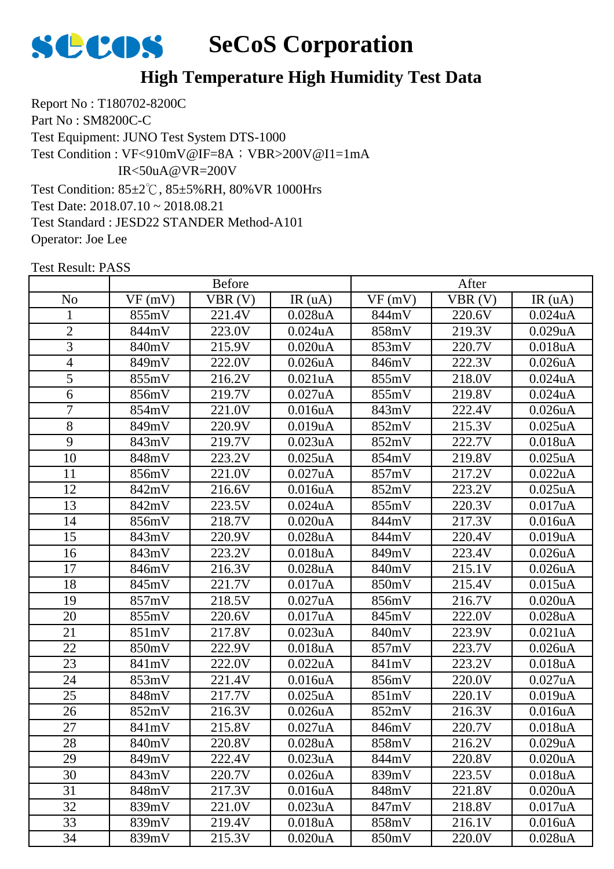

Report No : T180702-8200C Part No : SM8200C-C Test Equipment: JUNO Test System DTS-1000 Test Condition: 85±2℃, 85±5%RH, 80%VR 1000Hrs Test Date: 2018.07.10 ~ 2018.08.21 Test Standard : JESD22 STANDER Method-A101 Operator: Joe Lee Test Condition : VF<910mV@IF=8A; VBR>200V@I1=1mA IR<50uA@VR=200V

| <b>Before</b>  |        |        | After                |        |        |               |
|----------------|--------|--------|----------------------|--------|--------|---------------|
| N <sub>o</sub> | VF(mV) | VBR(V) | IR(uA)               | VF(mV) | VBR(V) | IR(uA)        |
| $\mathbf{1}$   | 855mV  | 221.4V | $0.028$ u $A$        | 844mV  | 220.6V | $0.024$ uA    |
| $\overline{2}$ | 844mV  | 223.0V | $0.024$ uA           | 858mV  | 219.3V | 0.029uA       |
| 3              | 840mV  | 215.9V | 0.020uA              | 853mV  | 220.7V | 0.018uA       |
| $\overline{4}$ | 849mV  | 222.0V | $0.026$ u $A$        | 846mV  | 222.3V | 0.026uA       |
| 5              | 855mV  | 216.2V | 0.021uA              | 855mV  | 218.0V | $0.024$ u $A$ |
| 6              | 856mV  | 219.7V | 0.027uA              | 855mV  | 219.8V | $0.024$ uA    |
| $\overline{7}$ | 854mV  | 221.0V | 0.016uA              | 843mV  | 222.4V | $0.026$ u $A$ |
| 8              | 849mV  | 220.9V | 0.019uA              | 852mV  | 215.3V | $0.025$ uA    |
| 9              | 843mV  | 219.7V | 0.023uA              | 852mV  | 222.7V | 0.018uA       |
| 10             | 848mV  | 223.2V | $0.025$ uA           | 854mV  | 219.8V | $0.025$ uA    |
| 11             | 856mV  | 221.0V | 0.027uA              | 857mV  | 217.2V | 0.022uA       |
| 12             | 842mV  | 216.6V | 0.016 <sub>u</sub> A | 852mV  | 223.2V | $0.025$ uA    |
| 13             | 842mV  | 223.5V | $0.024$ u $A$        | 855mV  | 220.3V | 0.017uA       |
| 14             | 856mV  | 218.7V | 0.020uA              | 844mV  | 217.3V | 0.016uA       |
| 15             | 843mV  | 220.9V | $0.028$ u $A$        | 844mV  | 220.4V | 0.019uA       |
| 16             | 843mV  | 223.2V | 0.018uA              | 849mV  | 223.4V | $0.026$ u $A$ |
| 17             | 846mV  | 216.3V | 0.028uA              | 840mV  | 215.1V | 0.026uA       |
| 18             | 845mV  | 221.7V | 0.017uA              | 850mV  | 215.4V | $0.015$ uA    |
| 19             | 857mV  | 218.5V | 0.027uA              | 856mV  | 216.7V | 0.020uA       |
| 20             | 855mV  | 220.6V | 0.017uA              | 845mV  | 222.0V | 0.028uA       |
| 21             | 851mV  | 217.8V | 0.023uA              | 840mV  | 223.9V | 0.021uA       |
| 22             | 850mV  | 222.9V | 0.018uA              | 857mV  | 223.7V | 0.026uA       |
| 23             | 841mV  | 222.0V | 0.022uA              | 841mV  | 223.2V | 0.018uA       |
| 24             | 853mV  | 221.4V | 0.016uA              | 856mV  | 220.0V | 0.027uA       |
| 25             | 848mV  | 217.7V | $0.025$ uA           | 851mV  | 220.1V | 0.019uA       |
| 26             | 852mV  | 216.3V | $0.026$ u $A$        | 852mV  | 216.3V | 0.016uA       |
| 27             | 841mV  | 215.8V | 0.027uA              | 846mV  | 220.7V | 0.018uA       |
| 28             | 840mV  | 220.8V | 0.028uA              | 858mV  | 216.2V | 0.029uA       |
| 29             | 849mV  | 222.4V | 0.023uA              | 844mV  | 220.8V | 0.020uA       |
| 30             | 843mV  | 220.7V | 0.026 <sub>u</sub> A | 839mV  | 223.5V | 0.018uA       |
| 31             | 848mV  | 217.3V | 0.016uA              | 848mV  | 221.8V | 0.020uA       |
| 32             | 839mV  | 221.0V | 0.023uA              | 847mV  | 218.8V | 0.017uA       |
| 33             | 839mV  | 219.4V | 0.018uA              | 858mV  | 216.1V | 0.016uA       |
| 34             | 839mV  | 215.3V | 0.020uA              | 850mV  | 220.0V | 0.028uA       |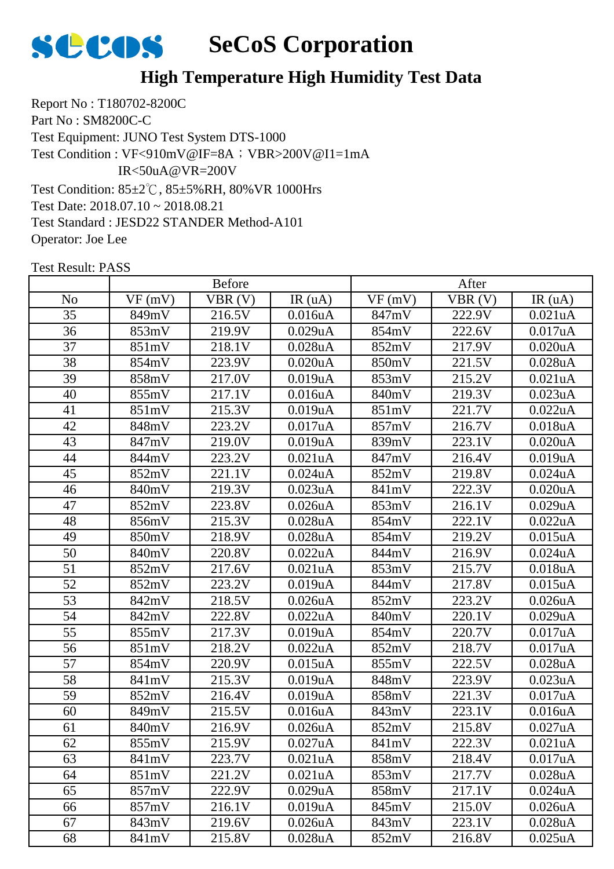

Report No : T180702-8200C Part No : SM8200C-C Test Equipment: JUNO Test System DTS-1000 Test Condition: 85±2℃, 85±5%RH, 80%VR 1000Hrs Test Date: 2018.07.10 ~ 2018.08.21 Test Standard : JESD22 STANDER Method-A101 Operator: Joe Lee Test Condition : VF<910mV@IF=8A; VBR>200V@I1=1mA IR<50uA@VR=200V

| <b>Before</b>  |        |        | After                |        |        |                      |
|----------------|--------|--------|----------------------|--------|--------|----------------------|
| N <sub>o</sub> | VF(mV) | VBR(V) | IR(uA)               | VF(mV) | VBR(V) | IR(uA)               |
| 35             | 849mV  | 216.5V | 0.016uA              | 847mV  | 222.9V | 0.021uA              |
| 36             | 853mV  | 219.9V | 0.029uA              | 854mV  | 222.6V | 0.017uA              |
| 37             | 851mV  | 218.1V | 0.028uA              | 852mV  | 217.9V | 0.020uA              |
| 38             | 854mV  | 223.9V | 0.020uA              | 850mV  | 221.5V | 0.028uA              |
| 39             | 858mV  | 217.0V | 0.019uA              | 853mV  | 215.2V | 0.021uA              |
| 40             | 855mV  | 217.1V | 0.016uA              | 840mV  | 219.3V | 0.023uA              |
| 41             | 851mV  | 215.3V | 0.019uA              | 851mV  | 221.7V | 0.022uA              |
| 42             | 848mV  | 223.2V | 0.017uA              | 857mV  | 216.7V | 0.018uA              |
| 43             | 847mV  | 219.0V | 0.019uA              | 839mV  | 223.1V | 0.020uA              |
| 44             | 844mV  | 223.2V | 0.021uA              | 847mV  | 216.4V | 0.019uA              |
| 45             | 852mV  | 221.1V | $0.024$ uA           | 852mV  | 219.8V | $0.024$ uA           |
| 46             | 840mV  | 219.3V | 0.023 <sub>u</sub> A | 841mV  | 222.3V | 0.020 <sub>u</sub> A |
| 47             | 852mV  | 223.8V | $0.026$ u $A$        | 853mV  | 216.1V | 0.029uA              |
| 48             | 856mV  | 215.3V | 0.028uA              | 854mV  | 222.1V | 0.022uA              |
| 49             | 850mV  | 218.9V | 0.028uA              | 854mV  | 219.2V | $0.015$ uA           |
| 50             | 840mV  | 220.8V | 0.022uA              | 844mV  | 216.9V | $0.024$ uA           |
| 51             | 852mV  | 217.6V | 0.021uA              | 853mV  | 215.7V | 0.018uA              |
| 52             | 852mV  | 223.2V | 0.019uA              | 844mV  | 217.8V | $0.015$ uA           |
| 53             | 842mV  | 218.5V | 0.026uA              | 852mV  | 223.2V | 0.026uA              |
| 54             | 842mV  | 222.8V | 0.022uA              | 840mV  | 220.1V | 0.029uA              |
| 55             | 855mV  | 217.3V | 0.019uA              | 854mV  | 220.7V | 0.017uA              |
| 56             | 851mV  | 218.2V | 0.022uA              | 852mV  | 218.7V | 0.017uA              |
| 57             | 854mV  | 220.9V | $0.015$ uA           | 855mV  | 222.5V | 0.028uA              |
| 58             | 841mV  | 215.3V | 0.019uA              | 848mV  | 223.9V | 0.023uA              |
| 59             | 852mV  | 216.4V | 0.019uA              | 858mV  | 221.3V | 0.017uA              |
| 60             | 849mV  | 215.5V | 0.016uA              | 843mV  | 223.1V | 0.016uA              |
| 61             | 840mV  | 216.9V | $0.026$ u $A$        | 852mV  | 215.8V | 0.027uA              |
| 62             | 855mV  | 215.9V | 0.027uA              | 841mV  | 222.3V | 0.021uA              |
| 63             | 841mV  | 223.7V | 0.021uA              | 858mV  | 218.4V | 0.017uA              |
| 64             | 851mV  | 221.2V | 0.021 <sub>u</sub> A | 853mV  | 217.7V | 0.028uA              |
| 65             | 857mV  | 222.9V | 0.029uA              | 858mV  | 217.1V | $0.024$ uA           |
| 66             | 857mV  | 216.1V | 0.019uA              | 845mV  | 215.0V | 0.026 <sub>u</sub> A |
| 67             | 843mV  | 219.6V | 0.026uA              | 843mV  | 223.1V | 0.028uA              |
| 68             | 841mV  | 215.8V | $0.028$ u $A$        | 852mV  | 216.8V | $0.025$ uA           |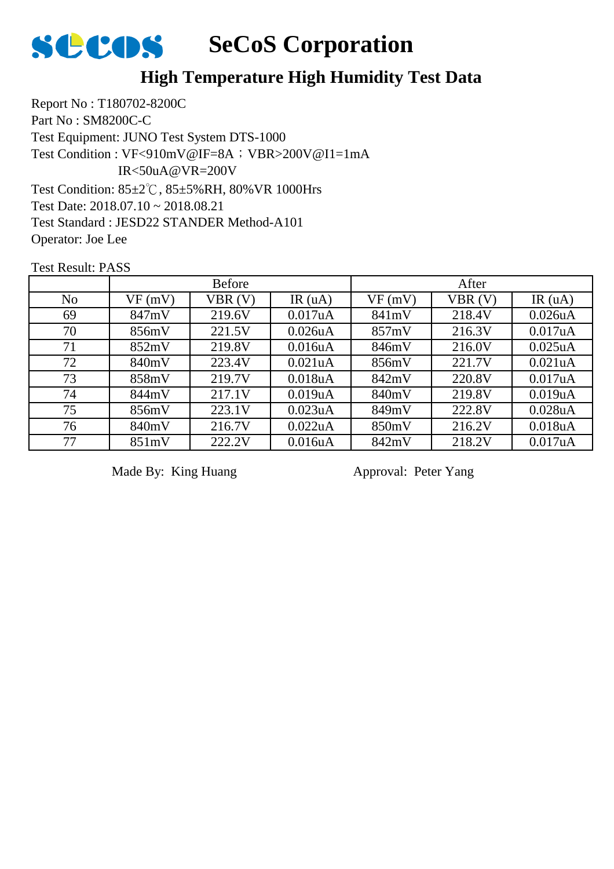

## **High Temperature High Humidity Test Data**

Report No : T180702-8200C Part No : SM8200C-C Test Equipment: JUNO Test System DTS-1000 Test Condition: 85±2℃, 85±5%RH, 80%VR 1000Hrs Test Date: 2018.07.10 ~ 2018.08.21 Test Standard : JESD22 STANDER Method-A101 Operator: Joe Lee Test Condition : VF<910mV@IF=8A; VBR>200V@I1=1mA IR<50uA@VR=200V

Test Result: PASS

|                | <b>Before</b> |        |                      | After  |        |               |
|----------------|---------------|--------|----------------------|--------|--------|---------------|
| N <sub>o</sub> | VF(mV)        | VBR(V) | IR $(uA)$            | VF(mV) | VBR(V) | IR $(uA)$     |
| 69             | 847mV         | 219.6V | 0.017uA              | 841mV  | 218.4V | $0.026$ u $A$ |
| 70             | 856mV         | 221.5V | $0.026$ u $A$        | 857mV  | 216.3V | 0.017uA       |
| 71             | 852mV         | 219.8V | 0.016 <sub>u</sub> A | 846mV  | 216.0V | $0.025$ uA    |
| 72             | 840mV         | 223.4V | $0.021$ uA           | 856mV  | 221.7V | 0.021uA       |
| 73             | 858mV         | 219.7V | 0.018 <sub>u</sub> A | 842mV  | 220.8V | 0.017uA       |
| 74             | 844mV         | 217.1V | 0.019uA              | 840mV  | 219.8V | 0.019uA       |
| 75             | 856mV         | 223.1V | 0.023uA              | 849mV  | 222.8V | $0.028$ u $A$ |
| 76             | 840mV         | 216.7V | 0.022uA              | 850mV  | 216.2V | 0.018uA       |
| 77             | 851mV         | 222.2V | 0.016uA              | 842mV  | 218.2V | 0.017uA       |

Made By: King Huang Approval: Peter Yang